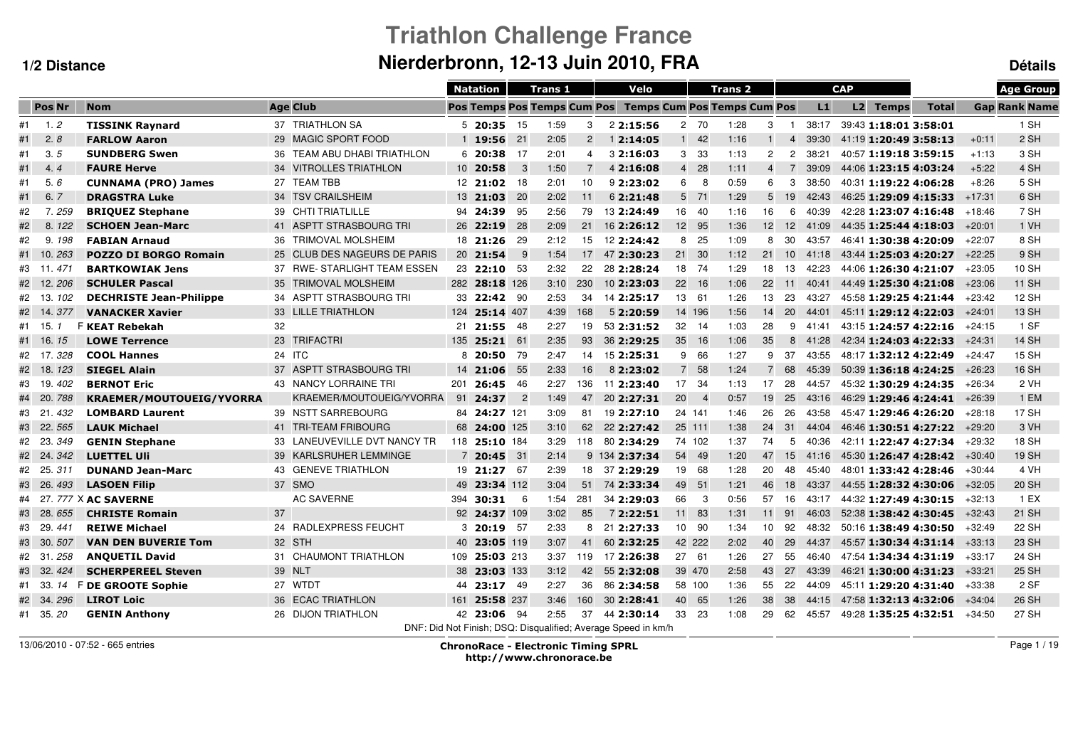# **Triathlon Challenge FranceNierderbronn, 12-13 Juin 2010, FRA Détails**

|    |               |                                 |    |                              |     | <b>Natation</b> |                            | Trans <sub>1</sub> |                 | Velo                                                          |                 |                | <b>Trans 2</b> |                 |                |       | <b>CAP</b> |                       |                       |          | <b>Age Group</b>     |
|----|---------------|---------------------------------|----|------------------------------|-----|-----------------|----------------------------|--------------------|-----------------|---------------------------------------------------------------|-----------------|----------------|----------------|-----------------|----------------|-------|------------|-----------------------|-----------------------|----------|----------------------|
|    | Pos Nr        | <b>Nom</b>                      |    | <b>Age Club</b>              |     |                 |                            |                    |                 | Pos Temps Pos Temps Cum Pos Temps Cum Pos Temps Cum Pos       |                 |                |                |                 |                | L1    |            | L2 Temps              | <b>Total</b>          |          | <b>Gap Rank Name</b> |
|    | $#1 \t 1.2$   | <b>TISSINK Raynard</b>          |    | 37 TRIATHLON SA              |     | $5\,20:35$      | - 15                       | 1:59               | 3               | 22:15:56                                                      |                 | 2 70           | 1:28           | 3               | $\blacksquare$ | 38:17 |            | 39:43 1:18:01 3:58:01 |                       |          | 1 SH                 |
| #1 | 2.8           | <b>FARLOW Aaron</b>             |    | 29 MAGIC SPORT FOOD          |     | $1\,19:56$      | 21                         | 2:05               | $\overline{2}$  | 12:14:05                                                      |                 | $1 \quad 42$   | 1:16           | $\mathbf{1}$    | 4              | 39:30 |            | 41:19 1:20:49 3:58:13 |                       | $+0:11$  | 2 SH                 |
| #1 | 3.5           | <b>SUNDBERG Swen</b>            |    | 36 TEAM ABU DHABI TRIATHLON  |     | 620:38          | -17                        | 2:01               | 4               | 3 2:16:03                                                     | 3               | -33            | 1:13           | $\overline{2}$  | $\overline{2}$ | 38:21 |            | 40:57 1:19:18 3:59:15 |                       | $+1:13$  | 3 SH                 |
| #1 | 4.4           | <b>FAURE Herve</b>              |    | 34 VITROLLES TRIATHLON       |     | 10 20:58        | - 3                        | 1:50               | $\overline{7}$  | 4 2:16:08                                                     | $\overline{4}$  | 28             | 1:11           | $\overline{4}$  | 7              | 39:09 |            | 44:06 1:23:15 4:03:24 |                       | $+5:22$  | 4 SH                 |
| #1 | 5.6           | <b>CUNNAMA (PRO) James</b>      |    | 27 TEAM TBB                  |     | $12$ 21:02      | 18                         | 2:01               | 10              | 92:23:02                                                      | 6               | - 8            | 0:59           | 6               | 3              | 38:50 |            | 40:31 1:19:22 4:06:28 |                       | $+8:26$  | 5 SH                 |
| #1 | 6.<br>7       | <b>DRAGSTRA Luke</b>            |    | 34 TSV CRAILSHEIM            |     | 13 21:03        | -20                        | 2:02               | 11              | 6 2:21:48                                                     |                 | 5 71           | 1:29           | $5^{\circ}$     | 19             | 42:43 |            |                       | 46:25 1:29:09 4:15:33 | $+17:31$ | 6 SH                 |
| #2 | 7.259         | <b>BRIQUEZ Stephane</b>         |    | 39 CHTI TRIATLILLE           |     | 94 24:39        | -95                        | 2:56               | 79              | 13 2:24:49                                                    |                 | 16 40          | 1:16           | 16              | 6              | 40:39 |            |                       | 42:28 1:23:07 4:16:48 | +18:46   | 7 SH                 |
| #2 | 8.122         | <b>SCHOEN Jean-Marc</b>         |    | 41 ASPTT STRASBOURG TRI      |     | 26 22:19        | - 28                       | 2:09               | 21              | 16 2:26:12                                                    |                 | 12 95          | 1:36           | 12 <sup>2</sup> | 12             | 41:09 |            |                       | 44:35 1:25:44 4:18:03 | $+20:01$ | 1 VH                 |
| #2 | 9.<br>198     | <b>FABIAN Arnaud</b>            |    | 36 TRIMOVAL MOLSHEIM         |     | 18 21:26        | - 29                       | 2:12               | 15              | 12 2:24:42                                                    | 8               | - 25           | 1:09           | 8               | 30             | 43:57 |            | 46:41 1:30:38 4:20:09 |                       | $+22:07$ | 8 SH                 |
| #1 | 263<br>$-10.$ | <b>POZZO DI BORGO Romain</b>    |    | 25 CLUB DES NAGEURS DE PARIS |     | 20 21:54        | - 9                        | 1:54               | 17 <sup>7</sup> | 47 2:30:23                                                    | 21              | 30             | 1:12           | 21              | 10             | 41:18 |            |                       | 43:44 1:25:03 4:20:27 | $+22:25$ | 9 SH                 |
| #3 | $-11.$<br>471 | <b>BARTKOWIAK Jens</b>          |    | 37 RWE-STARLIGHT TEAM ESSEN  |     | 23 22:10        | -53                        | 2:32               | 22              | 28 2:28:24                                                    |                 | 18 74          | 1:29           | 18              | 13             | 42:23 |            |                       | 44:06 1:26:30 4:21:07 | $+23:05$ | 10 SH                |
| #2 | 206<br>$-12.$ | <b>SCHULER Pascal</b>           |    | 35 TRIMOVAL MOLSHEIM         |     | 282 28:18 126   |                            | 3:10               | 230             | 102:23:03                                                     | 22              | - 16           | 1:06           | 22              | 11             | 40:41 |            | 44:49 1:25:30 4:21:08 |                       | $+23:06$ | 11 SH                |
|    | #2 13.<br>102 | <b>DECHRISTE Jean-Philippe</b>  |    | 34 ASPTT STRASBOURG TRI      |     | 33 22:42 90     |                            | 2:53               | 34              | 14 2:25:17                                                    |                 | 13 61          | 1:26           | 13              | -23            | 43:27 |            |                       | 45:58 1:29:25 4:21:44 | $+23:42$ | <b>12 SH</b>         |
| #2 | $-14.$<br>377 | <b>VANACKER Xavier</b>          |    | 33 LILLE TRIATHLON           |     | 124 25:14 407   |                            | 4:39               | 168             | 5 2:20:59                                                     |                 | 14 196         | 1:56           | 14              | <b>20</b>      | 44:01 |            |                       | 45:11 1:29:12 4:22:03 | $+24:01$ | 13 SH                |
|    | #1 15.        | <b>F KEAT Rebekah</b>           | 32 |                              | 21  | 21:55 48        |                            | 2:27               | 19              | 53 2:31:52                                                    | 32              | - 14           | 1:03           | 28              | 9              | 41:41 |            |                       | 43:15 1:24:57 4:22:16 | $+24:15$ | 1 SF                 |
|    | #1 16.<br>15  | <b>LOWE Terrence</b>            |    | 23 TRIFACTRI                 | 135 | 25:21 61        |                            | 2:35               | 93              | 36 2:29:25                                                    | 35 <sup>5</sup> | 16             | 1:06           | 35              | 8              | 41:28 |            |                       | 42:34 1:24:03 4:22:33 | $+24:31$ | <b>14 SH</b>         |
|    | #2 17.328     | <b>COOL Hannes</b>              |    | 24 ITC                       | 8   | 20:50           | 79                         | 2:47               | 14              | 15 2:25:31                                                    | 9               | 66             | 1:27           | 9               | 37             | 43:55 |            |                       | 48:17 1:32:12 4:22:49 | $+24:47$ | <b>15 SH</b>         |
| #2 | - 18.<br>123  | <b>SIEGEL Alain</b>             |    | 37 ASPTT STRASBOURG TRI      |     | 14 21:06        | 55                         | 2:33               | 16              | 8 2:23:02                                                     | $\overline{7}$  | 58             | 1:24           | $\overline{7}$  | 68             | 45:39 |            |                       | 50:39 1:36:18 4:24:25 | $+26:23$ | 16 SH                |
| #3 | 402<br>- 19.  | <b>BERNOT Eric</b>              |    | 43 NANCY LORRAINE TRI        | 201 | 26:45           | 46                         | 2:27               | 136             | 11 2:23:40                                                    | 17              | 34             | 1:13           | 17              | 28             | 44:57 |            |                       | 45:32 1:30:29 4:24:35 | $+26:34$ | 2 VH                 |
| #4 | 20.<br>788    | <b>KRAEMER/MOUTOUEIG/YVORRA</b> |    | KRAEMER/MOUTOUEIG/YVORRA     |     | 91 24:37        | $\overline{\phantom{0}}^2$ | 1:49               | 47              | 20 2:27:31                                                    | 20              | $\overline{4}$ | 0:57           | 19              | 25             | 43:16 |            |                       | 46:29 1:29:46 4:24:41 | $+26:39$ | 1 EM                 |
| #3 | - 21.<br>432  | <b>LOMBARD Laurent</b>          |    | 39 NSTT SARREBOURG           |     | 84 24:27 121    |                            | 3:09               | 81              | 19 2:27:10                                                    |                 | 24 141         | 1:46           | 26              | 26             | 43:58 |            |                       | 45:47 1:29:46 4:26:20 | $+28:18$ | 17 SH                |
| #3 | 22.<br>565    | <b>LAUK Michael</b>             |    | 41 TRI-TEAM FRIBOURG         |     | 68 24:00 125    |                            | 3:10               | 62              | 22 2:27:42                                                    |                 | 25 111         | 1:38           | 24              | 31             | 44:04 |            |                       | 46:46 1:30:51 4:27:22 | $+29:20$ | 3 VH                 |
| #2 | - 23.<br>349  | <b>GENIN Stephane</b>           |    | 33 LANEUVEVILLE DVT NANCY TR |     | 118 25:10 184   |                            | 3:29               | 118             | 80 2:34:29                                                    |                 | 74 102         | 1:37           | 74              | 5              | 40:36 |            |                       | 42:11 1:22:47 4:27:34 | $+29:32$ | <b>18 SH</b>         |
|    | #2 24.<br>342 | <b>LUETTEL Uli</b>              |    | 39 KARLSRUHER LEMMINGE       |     | 7 20:45         | 31                         | 2:14               |                 | 9 134 2:37:34                                                 | 54              | 49             | 1:20           | 47              | 15             | 41:16 |            |                       | 45:30 1:26:47 4:28:42 | $+30:40$ | <b>19 SH</b>         |
|    | #2 25.<br>311 | <b>DUNAND Jean-Marc</b>         |    | 43 GENEVE TRIATHLON          |     | 19 21:27        | 67                         | 2:39               | 18              | 37 2:29:29                                                    | 19              | 68             | 1:28           | 20              | 48             | 45:40 |            |                       | 48:01 1:33:42 4:28:46 | $+30:44$ | 4 VH                 |
| #3 | 26.<br>493    | <b>LASOEN Filip</b>             |    | 37 SMO                       |     | 49 23:34 112    |                            | 3:04               |                 | 51 74 2:33:34                                                 | 49              | 51             | 1:21           | 46              | 18             | 43:37 |            |                       | 44:55 1:28:32 4:30:06 | $+32:05$ | 20 SH                |
| #4 |               | 27. 777 X AC SAVERNE            |    | <b>AC SAVERNE</b>            | 394 | 30:31           | - 6                        | 1:54               | 281             | 34 2:29:03                                                    | 66              | -3             | 0:56           | 57              | 16             | 43:17 |            |                       | 44:32 1:27:49 4:30:15 | $+32:13$ | 1 EX                 |
| #3 | 28.<br>655    | <b>CHRISTE Romain</b>           | 37 |                              |     | 92 24:37 109    |                            | 3:02               | 85              | 7 2:22:51                                                     | 11              | 83             | 1:31           | 11              | 91             | 46:03 |            |                       | 52:38 1:38:42 4:30:45 | $+32:43$ | 21 SH                |
| #3 | - 29.<br>441  | <b>REIWE Michael</b>            |    | 24 RADLEXPRESS FEUCHT        |     | 3 20:19 57      |                            | 2:33               | 8               | 21 2:27:33                                                    |                 | 10 90          | 1:34           | 10 <sup>1</sup> | 92             | 48:32 |            |                       | 50:16 1:38:49 4:30:50 | $+32:49$ | 22 SH                |
| #3 | 507<br>- 30.  | <b>VAN DEN BUVERIE Tom</b>      |    | 32 STH                       |     | 40 23:05 119    |                            | 3:07               | 41              | 60 2:32:25                                                    |                 | 42 222         | 2:02           | 40              | 29             | 44:37 |            |                       | 45:57 1:30:34 4:31:14 | $+33:13$ | 23 SH                |
|    | #2 31.<br>258 | <b>ANQUETIL David</b>           |    | 31 CHAUMONT TRIATHLON        | 109 | 25:03 213       |                            | 3:37               | 119             | 17 2:26:38                                                    |                 | 27 61          | 1:26           | 27              | 55             | 46:40 |            | 47:54 1:34:34 4:31:19 |                       | $+33:17$ | 24 SH                |
| #3 | - 32.<br>424  | <b>SCHERPEREEL Steven</b>       |    | 39 NLT                       |     | 38 23:03 133    |                            | 3:12               | 42              | 55 2:32:08                                                    |                 | 39 470         | 2:58           | 43              | 27             | 43:39 |            |                       | 46:21 1:30:00 4:31:23 | $+33:21$ | 25 SH                |
|    | #1 33.<br>14  | F DE GROOTE Sophie              |    | 27 WTDT                      | 44  | 23:17 49        |                            | 2:27               | 36              | 86 2:34:58                                                    |                 | 58 100         | 1:36           | 55              | 22             | 44:09 |            |                       | 45:11 1:29:20 4:31:40 | $+33:38$ | 2 SF                 |
|    | #2 34.<br>296 | <b>LIROT Loic</b>               |    | 36 ECAC TRIATHLON            | 161 | 25:58 237       |                            | 3:46               | 160             | 30 2:28:41                                                    | 40              | 65             | 1:26           | 38              | 38             | 44:15 |            |                       | 47:58 1:32:13 4:32:06 | $+34:04$ | 26 SH                |
|    | #1 35.20      | <b>GENIN Anthony</b>            |    | 26 DIJON TRIATHLON           |     | 42 23:06        | 94                         | 2:55               | 37              | 44 2:30:14                                                    | 33              | -23            | 1:08           | 29              | 62             | 45:57 |            |                       | 49:28 1:35:25 4:32:51 | $+34:50$ | 27 SH                |
|    |               |                                 |    |                              |     |                 |                            |                    |                 | DNF: Did Not Finish: DSQ: Disqualified: Average Speed in km/h |                 |                |                |                 |                |       |            |                       |                       |          |                      |

13/06/2010 - 07:52 - 665 entries

ChronoRace - Electronic Timing SPRL http://www.chronorace.be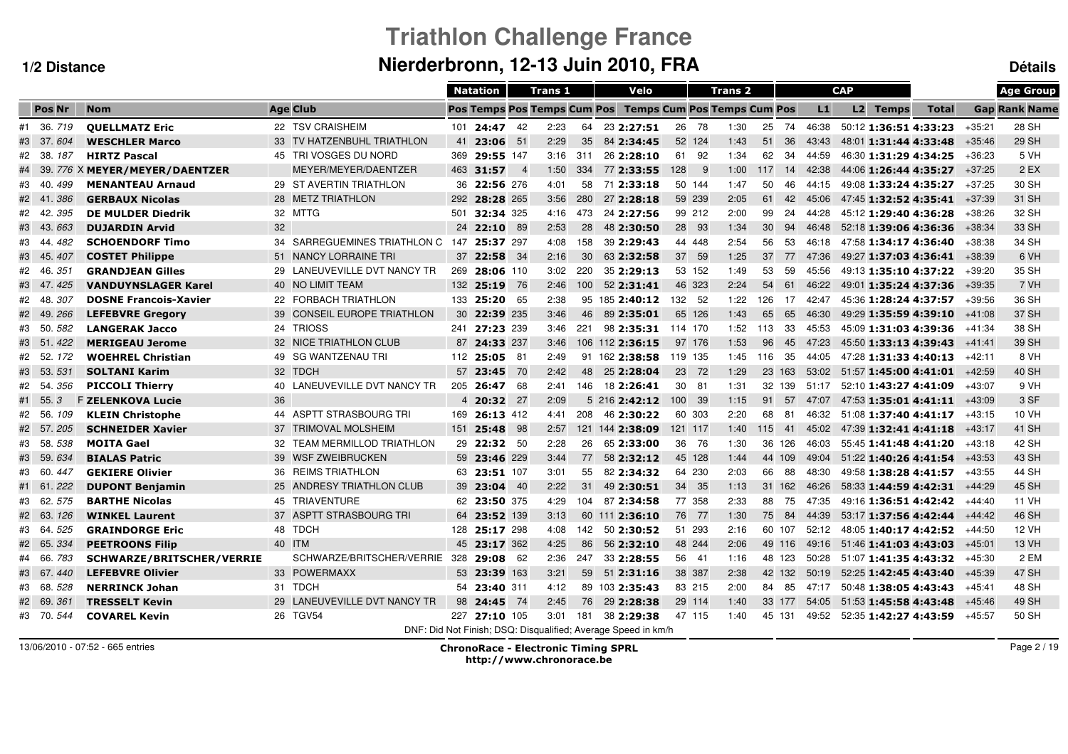# **Triathlon Challenge FranceNierderbronn, 12-13 Juin 2010, FRA Détails**

|                                |                              |                 |                              |                 | <b>Natation</b>                    |                | <b>Trans 1</b> |     | Velo                                                          |         |                                    | Trans <sub>2</sub> |                 |     |       | <b>CAP</b> |                       |                       |          | <b>Age Group</b>     |
|--------------------------------|------------------------------|-----------------|------------------------------|-----------------|------------------------------------|----------------|----------------|-----|---------------------------------------------------------------|---------|------------------------------------|--------------------|-----------------|-----|-------|------------|-----------------------|-----------------------|----------|----------------------|
| <b>Pos Nr</b>                  | <b>Nom</b>                   | <b>Age Club</b> |                              |                 | <b>Pos Temps Pos Temps Cum Pos</b> |                |                |     |                                                               |         | <b>Temps Cum Pos Temps Cum Pos</b> |                    |                 |     | L1    |            | <b>L2 Temps</b>       | <b>Total</b>          |          | <b>Gap Rank Name</b> |
| #1 36.719                      | <b>QUELLMATZ Eric</b>        |                 | 22 TSV CRAISHEIM             |                 | $101$ <b>24:47</b>                 | 42             | 2:23           | 64  | 23 2:27:51                                                    | 26      | -78                                | 1:30               | 25              | 74  | 46:38 |            | 50:12 1:36:51 4:33:23 |                       | +35:21   | 28 SH                |
| - 37.<br>604<br>#3             | <b>WESCHLER Marco</b>        |                 | 33 TV HATZENBUHL TRIATHLON   | 41              | 23:06                              | 51             | 2:29           | 35  | 84 2:34:45                                                    | 52 124  |                                    | 1:43               | 51              | 36  | 43:43 |            | 48:01 1:31:44 4:33:48 |                       | $+35:46$ | 29 SH                |
| #2 38.<br>187                  | <b>HIRTZ Pascal</b>          |                 | 45 TRI VOSGES DU NORD        | 369             | 29:55 147                          |                | 3:16           | 311 | 26 2:28:10                                                    | 61      | 92                                 | 1:34               | 62              | 34  | 44:59 |            | 46:30 1:31:29 4:34:25 |                       | $+36:23$ | 5 VH                 |
| - 39.                          | 776 X MEYER/MEYER/DAENTZER   |                 | MEYER/MEYER/DAENTZER         |                 | 463 31:57                          | $\overline{4}$ | 1:50           | 334 | 77 2:33:55                                                    | 128     | - 9                                | 1:00               | 117             | 14  | 42:38 |            |                       | 44:06 1:26:44 4:35:27 | $+37:25$ | $2$ EX               |
| #3 40.<br>499                  | <b>MENANTEAU Arnaud</b>      |                 | 29 ST AVERTIN TRIATHLON      | 36              | 22:56 276                          |                | 4:01           | 58  | 71 2:33:18                                                    | 50 144  |                                    | 1:47               | 50              | 46  | 44:15 |            | 49:08 1:33:24 4:35:27 |                       | $+37:25$ | 30 SH                |
| 386<br>#2 41.                  | <b>GERBAUX Nicolas</b>       |                 | 28 METZ TRIATHLON            | 292             | 28:28 265                          |                | 3:56           | 280 | 27 2:28:18                                                    | 59 239  |                                    | 2:05               | 61              | 42  | 45:06 |            | 47:45 1:32:52 4:35:41 |                       | $+37:39$ | 31 SH                |
| 395<br>#2 42.                  | <b>DE MULDER Diedrik</b>     | 32 MTTG         |                              | 501             | 32:34 325                          |                | 4:16           | 473 | 24 2:27:56                                                    | 99 212  |                                    | 2:00               | 99              | 24  | 44:28 |            | 45:12 1:29:40 4:36:28 |                       | $+38:26$ | 32 SH                |
| 43.663<br>#3                   | <b>DUJARDIN Arvid</b>        | 32              |                              | 24              | 22:10                              | 89             | 2:53           | 28  | 48 2:30:50                                                    | 28      | 93                                 | 1:34               | 30 <sup>°</sup> | 94  | 46:48 |            | 52:18 1:39:06 4:36:36 |                       | $+38:34$ | 33 SH                |
| 482<br>#3<br>- 44.             | <b>SCHOENDORF Timo</b>       |                 | 34 SARREGUEMINES TRIATHLON C | 147             | 25:37 297                          |                | 4:08           | 158 | 39 2:29:43                                                    | 44 448  |                                    | 2:54               | 56              | 53  | 46:18 |            | 47:58 1:34:17 4:36:40 |                       | $+38:38$ | 34 SH                |
| #3<br>- 45.<br>407             | <b>COSTET Philippe</b>       |                 | 51 NANCY LORRAINE TRI        | 37              | 22:58                              | -34            | 2:16           | 30  | 63 2:32:58                                                    | 37      | 59                                 | 1:25               | 37              | 77  | 47:36 |            | 49:27 1:37:03 4:36:41 |                       | $+38:39$ | 6 VH                 |
| 35 <sub>i</sub><br>#2<br>-46.  | <b>GRANDJEAN Gilles</b>      |                 | 29 LANEUVEVILLE DVT NANCY TR | 269             | 28:06 110                          |                | 3:02           | 220 | 35 2:29:13                                                    | 53 152  |                                    | 1:49               | 53              | 59  | 45:56 |            | 49:13 1:35:10 4:37:22 |                       | $+39:20$ | 35 SH                |
| 47.<br>#3<br>425               | <b>VANDUYNSLAGER Karel</b>   |                 | 40 NO LIMIT TEAM             |                 | 132 25:19                          | - 76           | 2:46           | 100 | 52 2:31:41                                                    | 46 323  |                                    | 2:24               | 54              | 61  | 46:22 |            | 49:01 1:35:24 4:37:36 |                       | $+39:35$ | 7 VH                 |
| 307<br>-48.<br>#2              | <b>DOSNE Francois-Xavier</b> |                 | 22 FORBACH TRIATHLON         | 133             | 25:20                              | 65             | 2:38           |     | 95 185 2:40:12                                                | 132 52  |                                    | 1:22               | 126             | 17  | 42:47 |            | 45:36 1:28:24 4:37:57 |                       | $+39:56$ | 36 SH                |
| #2 49.<br>266                  | <b>LEFEBVRE Gregory</b>      |                 | 39 CONSEIL EUROPE TRIATHLON  | 30 <sup>°</sup> | 22:39 235                          |                | 3:46           | 46  | 89 2:35:01                                                    | 65 126  |                                    | 1:43               | 65              | 65  | 46:30 |            | 49:29 1:35:59 4:39:10 |                       | $+41:08$ | 37 SH                |
| #3 50.582                      | <b>LANGERAK Jacco</b>        | 24 TRIOSS       |                              |                 | 241 27:23 239                      |                | 3:46           | 221 | 98 2:35:31                                                    | 114 170 |                                    | 1:52               | 113             | -33 | 45:53 |            | 45:09 1:31:03 4:39:36 |                       | $+41:34$ | 38 SH                |
| #3 51.422                      | <b>MERIGEAU Jerome</b>       |                 | 32 NICE TRIATHLON CLUB       |                 | 87 24:33 237                       |                | 3:46           |     | 106 112 2:36:15                                               | 97 176  |                                    | 1:53               | 96              | 45  | 47:23 |            | 45:50 1:33:13 4:39:43 |                       | $+41:41$ | 39 SH                |
| #2 52.<br>172                  | <b>WOEHREL Christian</b>     |                 | 49 SG WANTZENAU TRI          |                 | 112 25:05 81                       |                | 2:49           |     | 91 162 2:38:58                                                | 119 135 |                                    | 1:45               | 116             | 35  | 44:05 |            | 47:28 1:31:33 4:40:13 |                       | $+42:11$ | 8 VH                 |
| - 53.<br>53 <sub>1</sub><br>#3 | <b>SOLTANI Karim</b>         | 32 TDCH         |                              | 57              | 23:45                              | 70             | 2:42           | 48  | 25 2:28:04                                                    | 23      | 72                                 | 1:29               | 23 163          |     | 53:02 |            | 51:57 1:45:00 4:41:01 |                       | $+42:59$ | 40 SH                |
| #2 54.<br>356                  | <b>PICCOLI Thierry</b>       |                 | 40 LANEUVEVILLE DVT NANCY TR |                 | 205 26:47                          | 68             | 2:41           | 146 | 18 2:26:41                                                    | 30      | -81                                | 1:31               | 32 139          |     | 51:17 |            | 52:10 1:43:27 4:41:09 |                       | $+43:07$ | 9 VH                 |
| #1 55.<br>3                    | <b>F ZELENKOVA Lucie</b>     | 36              |                              |                 | 4 20:32 27                         |                | 2:09           |     | 52162:42:12                                                   | 100     | - 39                               | 1:15               | 91              | 57  | 47:07 |            |                       | 47:53 1:35:01 4:41:11 | $+43:09$ | 3 SF                 |
| #2 56.<br>109                  | <b>KLEIN Christophe</b>      |                 | 44 ASPTT STRASBOURG TRI      | 169             | 26:13 412                          |                | 4:41           | 208 | 46 2:30:22                                                    | 60 303  |                                    | 2:20               | 68              | 81  | 46:32 |            |                       | 51:08 1:37:40 4:41:17 | $+43:15$ | 10 VH                |
| #2 57.205                      | <b>SCHNEIDER Xavier</b>      |                 | 37 TRIMOVAL MOLSHEIM         | 151             | 25:48                              | 98             | 2:57           |     | 121 144 2:38:09                                               | 121 117 |                                    | 1:40               | 115             | 41  | 45:02 |            | 47:39 1:32:41 4:41:18 |                       | $+43:17$ | 41 SH                |
| #3 58.<br>538                  | <b>MOITA Gael</b>            |                 | 32 TEAM MERMILLOD TRIATHLON  | 29              | 22:32 50                           |                | 2:28           | 26  | 65 2:33:00                                                    | 36      | 76                                 | 1:30               | 36 126          |     | 46:03 |            | 55:45 1:41:48 4:41:20 |                       | $+43:18$ | 42 SH                |
| 634<br>- 59.<br>#3             | <b>BIALAS Patric</b>         |                 | 39 WSF ZWEIBRUCKEN           |                 | 59 23:46 229                       |                | 3:44           | 77  | 58 2:32:12                                                    | 45 128  |                                    | 1:44               | 44 109          |     | 49:04 |            | 51:22 1:40:26 4:41:54 |                       | $+43:53$ | 43 SH                |
| - 60.<br>447<br>#3             | <b>GEKIERE Olivier</b>       |                 | 36 REIMS TRIATHLON           |                 | 63 23:51 107                       |                | 3:01           | 55  | 82 2:34:32                                                    | 64 230  |                                    | 2:03               | 66              | 88  | 48:30 |            | 49:58 1:38:28 4:41:57 |                       | $+43:55$ | 44 SH                |
| #1 61.<br>222                  | <b>DUPONT Benjamin</b>       |                 | 25 ANDRESY TRIATHLON CLUB    |                 | 39 23:04 40                        |                | 2:22           | 31  | 49 2:30:51                                                    | 34      | 35                                 | 1:13               | 31 162          |     | 46:26 |            | 58:33 1:44:59 4:42:31 |                       | $+44:29$ | 45 SH                |
| 62.<br>#3<br>575               | <b>BARTHE Nicolas</b>        |                 | 45 TRIAVENTURE               |                 | 62 23:50 375                       |                | 4:29           | 104 | 87 2:34:58                                                    | 77 358  |                                    | 2:33               | 88              | 75  | 47:35 |            | 49:16 1:36:51 4:42:42 |                       | $+44:40$ | 11 VH                |
| 63.<br>126<br>#2               | <b>WINKEL Laurent</b>        |                 | 37 ASPTT STRASBOURG TRI      | 64              | 23:52 139                          |                | 3:13           |     | 60 111 2:36:10                                                | 76      | 77                                 | 1:30               | 75              | 84  | 44:39 |            | 53:17 1:37:56 4:42:44 |                       | $+44:42$ | 46 SH                |
| #3 64.<br>525                  | <b>GRAINDORGE Eric</b>       | 48 TDCH         |                              | 128             | 25:17 298                          |                | 4:08           | 142 | 50 2:30:52                                                    | 51 293  |                                    | 2:16               | 60 107          |     | 52:12 |            | 48:05 1:40:17 4:42:52 |                       | $+44:50$ | <b>12 VH</b>         |
| #2 65.<br>334                  | <b>PEETROONS Filip</b>       | 40 ITM          |                              |                 | 45 23:17 362                       |                | 4:25           | 86  | 56 2:32:10                                                    | 48 244  |                                    | 2:06               | 49 116          |     | 49:16 |            | 51:46 1:41:03 4:43:03 |                       | $+45:01$ | 13 VH                |
| #4 66.<br>783                  | SCHWARZE/BRITSCHER/VERRIE    |                 | SCHWARZE/BRITSCHER/VERRIE    |                 | 328 29:08 62                       |                | 2:36           | 247 | 33 2:28:55                                                    | 56 41   |                                    | 1:16               | 48 123          |     | 50:28 |            | 51:07 1:41:35 4:43:32 |                       | $+45:30$ | 2 EM                 |
| 67.<br>440<br>#3               | <b>LEFEBVRE Olivier</b>      |                 | 33 POWERMAXX                 |                 | 53 23:39 163                       |                | 3:21           | 59  | 51 2:31:16                                                    | 38 387  |                                    | 2:38               | 42 132          |     | 50:19 |            | 52:25 1:42:45 4:43:40 |                       | $+45:39$ | 47 SH                |
| #3 68.528                      | <b>NERRINCK Johan</b>        | 31 TDCH         |                              |                 | 54 23:40 311                       |                | 4:12           |     | 89 103 2:35:43                                                | 83 215  |                                    | 2:00               | 84 85           |     | 47:17 |            | 50:48 1:38:05 4:43:43 |                       | $+45:41$ | 48 SH                |
| 36 <sub>i</sub><br>#2 69.      | <b>TRESSELT Kevin</b>        |                 | 29 LANEUVEVILLE DVT NANCY TR |                 | 98 24:45 74                        |                | 2:45           | 76  | 29 2:28:38                                                    | 29 114  |                                    | 1:40               | 33 177          |     | 54:05 |            | 51:53 1:45:58 4:43:48 |                       | $+45:46$ | 49 SH                |
| #3 70.544                      | <b>COVAREL Kevin</b>         | 26 TGV54        |                              |                 | 227 27:10 105                      |                | 3:01           | 181 | 38 2:29:38                                                    | 47 115  |                                    | 1:40               | 45 131          |     | 49:52 |            | 52:35 1:42:27 4:43:59 |                       | $+45:57$ | 50 SH                |
|                                |                              |                 |                              |                 |                                    |                |                |     | DNF: Did Not Finish: DSQ: Disqualified: Average Speed in km/h |         |                                    |                    |                 |     |       |            |                       |                       |          |                      |

13/06/2010 - 07:52 - 665 entries

 ChronoRace - Electronic Timing SPRL http://www.chronorace.be

Page 2 / 19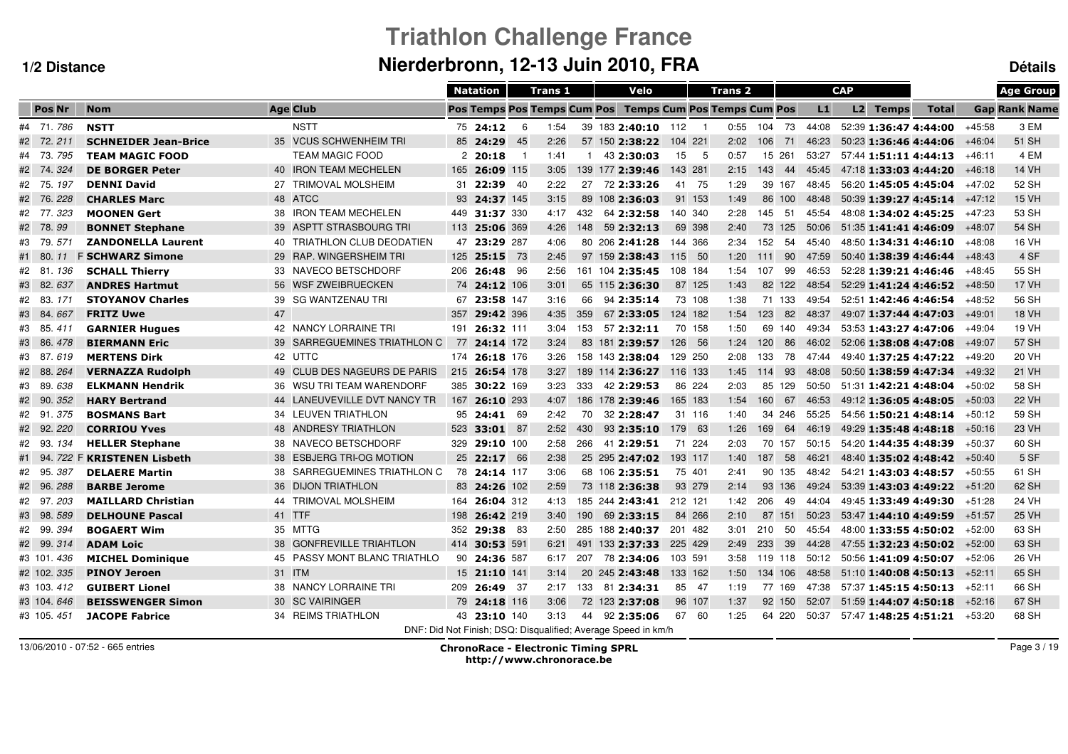# **Triathlon Challenge FranceNierderbronn, 12-13 Juin 2010, FRA Détails**

|               |                             |                              | <b>Natation</b>                                               |           | Trans 1 |              |                 | Velo                               |         |                | Trans <sub>2</sub> |         |     |       | <b>CAP</b> |                       |                       |          | <b>Age Group</b>     |
|---------------|-----------------------------|------------------------------|---------------------------------------------------------------|-----------|---------|--------------|-----------------|------------------------------------|---------|----------------|--------------------|---------|-----|-------|------------|-----------------------|-----------------------|----------|----------------------|
| <b>Pos Nr</b> | <b>Nom</b>                  | <b>Age Club</b>              | <b>Pos Temps Pos Temps Cum Pos</b>                            |           |         |              |                 | <b>Temps Cum Pos Temps Cum Pos</b> |         |                |                    |         |     | L1    |            | L2 Temps              | <b>Total</b>          |          | <b>Gap Rank Name</b> |
| #4 71.786     | <b>NSTT</b>                 | <b>NSTT</b>                  | 75 24:12                                                      | 6         | 1:54    |              |                 | 39 183 2:40:10 112                 |         | $\overline{1}$ | 0:55               | 104 73  |     | 44:08 |            | 52:39 1:36:47 4:44:00 |                       | $+45:58$ | 3 EM                 |
| #2 72.211     | <b>SCHNEIDER Jean-Brice</b> | 35 VCUS SCHWENHEIM TRI       | 85 24:29                                                      | 45        | 2:26    |              | 57 150 2:38:22  |                                    | 104 221 |                | 2:02               | 106     | 71  | 46:23 |            |                       | 50:23 1:36:46 4:44:06 | $+46:04$ | 51 SH                |
| #4 73.795     | <b>TEAM MAGIC FOOD</b>      | <b>TEAM MAGIC FOOD</b>       | 220:18                                                        | - 1       | 1:41    | $\mathbf{1}$ |                 | 43 2:30:03                         | 15      | - 5            | 0:57               | 15 261  |     | 53:27 |            |                       | 57:44 1:51:11 4:44:13 | $+46:11$ | 4 EM                 |
| #2 74.324     | <b>DE BORGER Peter</b>      | 40 IRON TEAM MECHELEN        | 165 26:09 115                                                 |           | 3:05    |              | 139 177 2:39:46 |                                    | 143 281 |                | 2:15               | 143     | 44  | 45:45 |            |                       | 47:18 1:33:03 4:44:20 | $+46:18$ | <b>14 VH</b>         |
| #2 75.197     | <b>DENNI David</b>          | 27 TRIMOVAL MOLSHEIM         | 31 22:39 40                                                   |           | 2:22    | 27           |                 | 72 2:33:26                         | 41      | - 75           | 1:29               | 39 167  |     | 48:45 |            |                       | 56:20 1:45:05 4:45:04 | $+47:02$ | 52 SH                |
| #2 76.228     | <b>CHARLES Marc</b>         | 48 ATCC                      | 93                                                            | 24:37 145 | 3:15    |              | 89 108 2:36:03  |                                    | 91 153  |                | 1:49               | 86 100  |     | 48:48 |            |                       | 50:39 1:39:27 4:45:14 | $+47:12$ | <b>15 VH</b>         |
| #2 77.323     | <b>MOONEN Gert</b>          | 38 IRON TEAM MECHELEN        | 449                                                           | 31:37 330 | 4:17    | 432          |                 | 64 2:32:58                         | 140 340 |                | 2:28               | 145     | -51 | 45:54 |            |                       | 48:08 1:34:02 4:45:25 | $+47:23$ | 53 SH                |
| #2 78.99      | <b>BONNET Stephane</b>      | 39 ASPTT STRASBOURG TRI      | 113                                                           | 25:06 369 | 4:26    | 148          |                 | 59 2:32:13                         | 69 398  |                | 2:40               | 73      | 125 | 50:06 |            | 51:35 1:41:41 4:46:09 |                       | $+48:07$ | 54 SH                |
| #3 79.<br>571 | <b>ZANDONELLA Laurent</b>   | 40 TRIATHLON CLUB DEODATIEN  | 47                                                            | 23:29 287 | 4:06    |              | 80 206 2:41:28  |                                    | 144 366 |                | 2:34               | 152     | 54  | 45:40 |            |                       | 48:50 1:34:31 4:46:10 | $+48:08$ | <b>16 VH</b>         |
| #1 80.<br>11  | <b>F SCHWARZ Simone</b>     | 29 RAP. WINGERSHEIM TRI      | 125                                                           | 25:15 73  | 2:45    |              | 97 159 2:38:43  |                                    | 115     | - 50           | 1:20               | 111     | 90  | 47:59 |            |                       | 50:40 1:38:39 4:46:44 | $+48:43$ | 4 SF                 |
| #2 81.<br>136 | <b>SCHALL Thierry</b>       | 33 NAVECO BETSCHDORF         | 206<br>26:48                                                  | -96       | 2:56    |              | 161 104 2:35:45 |                                    | 108 184 |                | 1:54               | 107     | 99  | 46:53 |            |                       | 52:28 1:39:21 4:46:46 | +48:45   | 55 SH                |
| #3 82.637     | <b>ANDRES Hartmut</b>       | 56 WSF ZWEIBRUECKEN          | 74 24:12 106                                                  |           | 3:01    |              | 65 115 2:36:30  |                                    | 87 125  |                | 1:43               | 82 122  |     | 48:54 |            |                       | 52:29 1:41:24 4:46:52 | $+48:50$ | <b>17 VH</b>         |
| #2 83.<br>171 | <b>STOYANOV Charles</b>     | 39 SG WANTZENAU TRI          | 67                                                            | 23:58 147 | 3:16    | 66           |                 | 94 2:35:14                         | 73 108  |                | 1:38               | 71 133  |     | 49:54 |            |                       | 52:51 1:42:46 4:46:54 | $+48:52$ | 56 SH                |
| #3 84.<br>667 | <b>FRITZ Uwe</b>            | 47                           | 357                                                           | 29:42 396 | 4:35    | 359          |                 | 67 2:33:05                         | 124 182 |                | 1:54               | 123     | 82  | 48:37 |            |                       | 49:07 1:37:44 4:47:03 | $+49:01$ | <b>18 VH</b>         |
| #3 85.<br>411 | <b>GARNIER Hugues</b>       | 42 NANCY LORRAINE TRI        | 191 26:32 111                                                 |           | 3:04    | 153          |                 | 57 2:32:11                         | 70 158  |                | 1:50               | 69 140  |     | 49:34 |            |                       | 53:53 1:43:27 4:47:06 | $+49:04$ | 19 VH                |
| #3 86.<br>478 | <b>BIERMANN Eric</b>        | 39 SARREGUEMINES TRIATHLON C | 77                                                            | 24:14 172 | 3:24    |              | 83 181 2:39:57  |                                    | 126 56  |                | 1:24               | 120     | 86  | 46:02 |            |                       | 52:06 1:38:08 4:47:08 | $+49:07$ | 57 SH                |
| #3 87.619     | <b>MERTENS Dirk</b>         | 42 UTTC                      | 174 26:18 176                                                 |           | 3:26    |              | 158 143 2:38:04 |                                    | 129 250 |                | 2:08               | 133     | 78  | 47:44 |            |                       | 49:40 1:37:25 4:47:22 | $+49:20$ | 20 VH                |
| #2 88.<br>264 | <b>VERNAZZA Rudolph</b>     | 49 CLUB DES NAGEURS DE PARIS | 215 26:54 178                                                 |           | 3:27    |              | 189 114 2:36:27 |                                    | 116 133 |                | 1:45               | 114     | 93  | 48:08 |            |                       | 50:50 1:38:59 4:47:34 | $+49:32$ | 21 VH                |
| #3 89.<br>638 | <b>ELKMANN Hendrik</b>      | 36 WSU TRI TEAM WARENDORF    | 385 30:22 169                                                 |           | 3:23    | 333          |                 | 42 2:29:53                         | 86 224  |                | 2:03               | 85 129  |     | 50:50 |            |                       | 51:31 1:42:21 4:48:04 | $+50:02$ | 58 SH                |
| #2 90.<br>352 | <b>HARY Bertrand</b>        | 44 LANEUVEVILLE DVT NANCY TR | 167 26:10 293                                                 |           | 4:07    |              | 186 178 2:39:46 |                                    | 165 183 |                | 1:54               | 160     | 67  | 46:53 |            |                       | 49:12 1:36:05 4:48:05 | $+50:03$ | <b>22 VH</b>         |
| #2 91.375     | <b>BOSMANS Bart</b>         | 34 LEUVEN TRIATHLON          | 95 24:41 69                                                   |           | 2:42    | 70           |                 | 32 2:28:47                         | 31 116  |                | 1:40               | 34 246  |     | 55:25 |            |                       | 54:56 1:50:21 4:48:14 | $+50:12$ | 59 SH                |
| #2 92.<br>220 | <b>CORRIOU Yves</b>         | 48 ANDRESY TRIATHLON         | 523                                                           | 33:01 87  | 2:52    | 430          |                 | 93 2:35:10                         | 179 63  |                | 1:26               | 169     | 64  | 46:19 |            |                       | 49:29 1:35:48 4:48:18 | $+50:16$ | 23 VH                |
| #2 93.<br>134 | <b>HELLER Stephane</b>      | 38 NAVECO BETSCHDORF         | 329                                                           | 29:10 100 | 2:58    | 266          |                 | 41 2:29:51                         | 71 224  |                | 2:03               | 70 157  |     | 50:15 |            |                       | 54:20 1:44:35 4:48:39 | +50:37   | 60 SH                |
| #1 94.        | 722 F KRISTENEN Lisbeth     | 38 ESBJERG TRI-OG MOTION     | 25 22:17 66                                                   |           | 2:38    |              | 25 295 2:47:02  |                                    | 193 117 |                | 1:40               | 187     | 58  | 46:21 |            |                       | 48:40 1:35:02 4:48:42 | $+50:40$ | 5 SF                 |
| #2 95.<br>387 | <b>DELAERE Martin</b>       | 38 SARREGUEMINES TRIATHLON C | 78 24:14 117                                                  |           | 3:06    |              | 68 106 2:35:51  |                                    | 75 401  |                | 2:41               | 90 135  |     | 48:42 |            |                       | 54:21 1:43:03 4:48:57 | $+50:55$ | 61 SH                |
| #2 96.<br>288 | <b>BARBE Jerome</b>         | 36 DIJON TRIATHLON           | 83                                                            | 24:26 102 | 2:59    |              | 73 118 2:36:38  |                                    | 93 279  |                | 2:14               | 93 136  |     | 49:24 |            |                       | 53:39 1:43:03 4:49:22 | $+51:20$ | 62 SH                |
| #2 97.<br>203 | <b>MAILLARD Christian</b>   | 44 TRIMOVAL MOLSHEIM         | 164                                                           | 26:04 312 | 4:13    |              | 185 244 2:43:41 |                                    | 212 121 |                | 1:42               | 206     | 49  | 44:04 |            |                       | 49:45 1:33:49 4:49:30 | $+51:28$ | 24 VH                |
| #3 98.<br>589 | <b>DELHOUNE Pascal</b>      | 41 TTF                       | 198                                                           | 26:42 219 | 3:40    | 190          |                 | 69 2:33:15                         | 84 266  |                | 2:10               | 87 151  |     | 50:23 |            |                       | 53:47 1:44:10 4:49:59 | $+51:57$ | 25 VH                |
| #2 99.394     | <b>BOGAERT Wim</b>          | 35 MTTG                      | 352                                                           | 29:38 83  | 2:50    |              | 285 188 2:40:37 |                                    | 201 482 |                | 3:01               | 210     | 50  | 45:54 |            |                       | 48:00 1:33:55 4:50:02 | $+52:00$ | 63 SH                |
| #2 99.314     | <b>ADAM Loic</b>            | 38 GONFREVILLE TRIAHTLON     | 414 30:53 591                                                 |           | 6:21    |              | 491 133 2:37:33 |                                    | 225 429 |                | 2:49               | 233     | 39  | 44:28 |            |                       | 47:55 1:32:23 4:50:02 | $+52:00$ | 63 SH                |
| #3 101 436    | <b>MICHEL Dominique</b>     | 45 PASSY MONT BLANC TRIATHLO | 90 24:36 587                                                  |           | 6:17    | 207          |                 | 78 2:34:06                         | 103 591 |                | 3:58               | 119 118 |     | 50:12 |            |                       | 50:56 1:41:09 4:50:07 | $+52:06$ | 26 VH                |
| #2 102. 335   | <b>PINOY Jeroen</b>         | 31 ITM                       | 15 21:10 141                                                  |           | 3:14    |              | 20 245 2:43:48  |                                    | 133 162 |                | 1:50               | 134 106 |     | 48:58 |            |                       | 51:10 1:40:08 4:50:13 | $+52:11$ | 65 SH                |
| #3 103.412    | <b>GUIBERT Lionel</b>       | 38 NANCY LORRAINE TRI        | 209 26:49 37                                                  |           | 2:17    |              | 133 81 2:34:31  |                                    | 85 47   |                | 1:19               | 77 169  |     | 47:38 |            |                       | 57:37 1:45:15 4:50:13 | $+52:11$ | 66 SH                |
| #3 104, 646   | <b>BEISSWENGER Simon</b>    | 30 SC VAIRINGER              | 79 24:18 116                                                  |           | 3:06    |              | 72 123 2:37:08  |                                    | 96 107  |                | 1:37               | 92 150  |     | 52:07 |            |                       | 51:59 1:44:07 4:50:18 | $+52:16$ | 67 SH                |
| #3 105, 451   | <b>JACOPE Fabrice</b>       | 34 REIMS TRIATHLON           | 43 23:10 140                                                  |           | 3:13    | 44           |                 | 92 2:35:06                         | 67 60   |                | 1:25               | 64 220  |     | 50:37 |            |                       | 57:47 1:48:25 4:51:21 | $+53:20$ | 68 SH                |
|               |                             |                              | DNF: Did Not Finish: DSQ: Disqualified: Average Speed in km/h |           |         |              |                 |                                    |         |                |                    |         |     |       |            |                       |                       |          |                      |

13/06/2010 - 07:52 - 665 entries

 ChronoRace - Electronic Timing SPRL http://www.chronorace.be

Page 3 / 19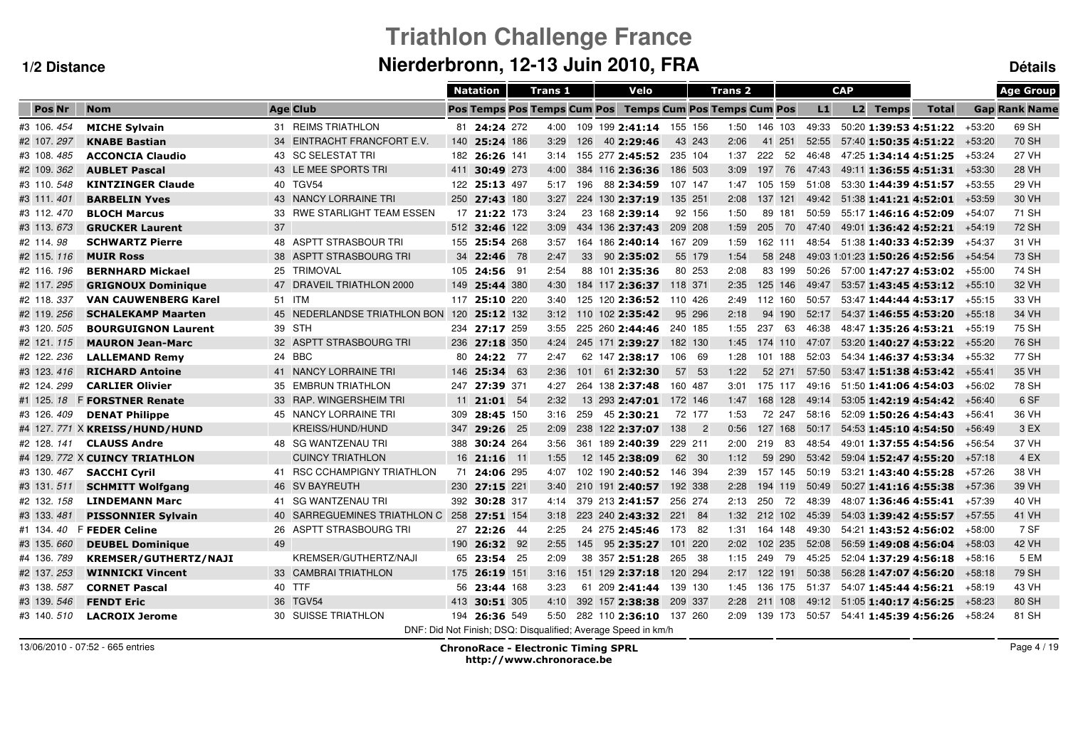# **Triathlon Challenge FranceNierderbronn, 12-13 Juin 2010, FRA Détails**

|               |                                |                                            |     | <b>Natation</b>                                               |      | Trans <sub>1</sub> |     |                 | Velo                   |                              | <b>Trans 2</b>                                          |              |       |       | <b>CAP</b> |                 |                               |          | <b>Age Group</b>     |
|---------------|--------------------------------|--------------------------------------------|-----|---------------------------------------------------------------|------|--------------------|-----|-----------------|------------------------|------------------------------|---------------------------------------------------------|--------------|-------|-------|------------|-----------------|-------------------------------|----------|----------------------|
| <b>Pos Nr</b> | <b>Nom</b>                     | <b>Age Club</b>                            |     |                                                               |      |                    |     |                 |                        |                              | Pos Temps Pos Temps Cum Pos Temps Cum Pos Temps Cum Pos |              |       | L1    |            | <b>L2 Temps</b> | <b>Total</b>                  |          | <b>Gap Rank Name</b> |
| #3 106.454    | <b>MICHE Sylvain</b>           | 31 REIMS TRIATHLON                         |     | 81 24:24 272                                                  |      |                    |     |                 |                        | 4:00 109 199 2:41:14 155 156 |                                                         | 1:50 146 103 | 49:33 |       |            |                 | 50:20 1:39:53 4:51:22         | $+53:20$ | 69 SH                |
| #2 107.297    | <b>KNABE Bastian</b>           | 34 EINTRACHT FRANCFORT E.V.                |     | 140 25:24 186                                                 |      | 3:29               | 126 | 40 2:29:46      |                        | 43 243                       | 2:06                                                    | 41 251       | 52:55 |       |            |                 | 57:40 1:50:35 4:51:22         | $+53:20$ | <b>70 SH</b>         |
| #3 108.485    | <b>ACCONCIA Claudio</b>        | 43 SC SELESTAT TRI                         |     | 182 26:26 141                                                 |      | 3:14               |     |                 | 155 277 <b>2:45:52</b> | 235 104                      | 1:37                                                    | 222<br>52    | 46:48 |       |            |                 | 47:25 1:34:14 4:51:25         | $+53:24$ | 27 VH                |
| #2 109.362    | <b>AUBLET Pascal</b>           | 43 LE MEE SPORTS TRI                       |     | 411 30:49 273                                                 |      | 4:00               |     |                 | 384 116 2:36:36        | 186 503                      | 3:09                                                    | 197 76       | 47:43 |       |            |                 | 49:11 1:36:55 4:51:31         | $+53:30$ | <b>28 VH</b>         |
| #3 110.548    | <b>KINTZINGER Claude</b>       | 40 TGV54                                   |     | 122 25:13 497                                                 |      | 5:17               | 196 |                 | 88 2:34:59             | 107 147                      | 1:47                                                    | 105 159      | 51:08 |       |            |                 | 53:30 1:44:39 4:51:57         | $+53:55$ | 29 VH                |
| #3 111 401    | <b>BARBELIN Yves</b>           | 43 NANCY LORRAINE TRI                      |     | 250 27:43 180                                                 |      | 3:27               |     | 224 130 2:37:19 |                        | 135 251                      | 2:08                                                    | 137 121      |       | 49:42 |            |                 | 51:38 1:41:21 4:52:01         | $+53:59$ | 30 VH                |
| #3 112.470    | <b>BLOCH Marcus</b>            | 33 RWE STARLIGHT TEAM ESSEN                | 17  | 21:22 173                                                     |      | 3:24               |     | 23 168 2:39:14  |                        | 92 156                       | 1:50                                                    | 89 181       |       | 50:59 |            |                 | 55:17 1:46:16 4:52:09         | $+54:07$ | 71 SH                |
| #3 113 673    | <b>GRUCKER Laurent</b>         | 37                                         |     | 512 32:46 122                                                 |      | 3:09               |     | 434 136 2:37:43 |                        | 209 208                      | 1:59                                                    | 205<br>70    | 47:40 |       |            |                 | 49:01 1:36:42 4:52:21         | $+54:19$ | <b>72 SH</b>         |
| #2 114.98     | <b>SCHWARTZ Pierre</b>         | 48 ASPTT STRASBOUR TRI                     |     | 155 25:54 268                                                 |      | 3:57               |     |                 | 164 186 2:40:14        | 167 209                      | 1:59                                                    | 162 111      |       | 48:54 |            |                 | 51:38 1:40:33 4:52:39         | $+54:37$ | 31 VH                |
| #2 115 116    | <b>MUIR Ross</b>               | 38 ASPTT STRASBOURG TRI                    |     | 34 22:46                                                      | - 78 | 2:47               | 33  |                 | 90 2:35:02             | 55 179                       | 1:54                                                    | 58 248       |       |       |            |                 | 49:03 1:01:23 1:50:26 4:52:56 | $+54:54$ | 73 SH                |
| #2 116. 196   | <b>BERNHARD Mickael</b>        | 25 TRIMOVAL                                | 105 | 24:56 91                                                      |      | 2:54               |     | 88 101 2:35:36  |                        | 80 253                       | 2:08                                                    | 83 199       | 50:26 |       |            |                 | 57:00 1:47:27 4:53:02         | $+55:00$ | 74 SH                |
| #2 117.295    | <b>GRIGNOUX Dominique</b>      | 47 DRAVEIL TRIATHLON 2000                  | 149 | 25:44 380                                                     |      | 4:30               |     | 184 117 2:36:37 |                        | 118 371                      | 2:35                                                    | 125 146      | 49:47 |       |            |                 | 53:57 1:43:45 4:53:12         | $+55:10$ | 32 VH                |
| #2 118.337    | <b>VAN CAUWENBERG Karel</b>    | 51 ITM                                     |     | 117 25:10 220                                                 |      | 3:40               |     | 125 120 2:36:52 |                        | 110 426                      | 2:49                                                    | 112 160      | 50:57 |       |            |                 | 53:47 1:44:44 4:53:17         | $+55:15$ | 33 VH                |
| #2 119.256    | <b>SCHALEKAMP Maarten</b>      | 45 NEDERLANDSE TRIATHLON BON 120 25:12 132 |     |                                                               |      | 3:12               |     | 110 102 2:35:42 |                        | 95 296                       | 2:18                                                    | 94 190       | 52:17 |       |            |                 | 54:37 1:46:55 4:53:20         | $+55:18$ | 34 VH                |
| #3 120. 505   | <b>BOURGUIGNON Laurent</b>     | 39 STH                                     |     | 234 27:17 259                                                 |      | 3:55               |     |                 | 225 260 2:44:46        | 240 185                      | 1:55                                                    | 237<br>63    | 46:38 |       |            |                 | 48:47 1:35:26 4:53:21         | $+55:19$ | 75 SH                |
| #2 121.115    | <b>MAURON Jean-Marc</b>        | 32 ASPTT STRASBOURG TRI                    |     | 236 27:18 350                                                 |      | 4:24               |     | 245 171 2:39:27 |                        | 182 130                      | 1:45                                                    | 174 110      | 47:07 |       |            |                 | 53:20 1:40:27 4:53:22         | $+55:20$ | 76 SH                |
| #2 122.236    | <b>LALLEMAND Remy</b>          | 24 BBC                                     |     | 80 24:22 77                                                   |      | 2:47               |     | 62 147 2:38:17  |                        | 106 69                       | 1:28                                                    | 101 188      | 52:03 |       |            |                 | 54:34 1:46:37 4:53:34         | $+55:32$ | 77 SH                |
| #3 123 416    | <b>RICHARD Antoine</b>         | 41 NANCY LORRAINE TRI                      |     | 146 25:34 63                                                  |      | 2:36               |     | 101 61 2:32:30  |                        | 57<br>-53                    | 1:22                                                    | 52 271       | 57:50 |       |            |                 | 53:47 1:51:38 4:53:42         | $+55:41$ | 35 VH                |
| #2 124.299    | <b>CARLIER Olivier</b>         | 35 EMBRUN TRIATHLON                        |     | 247 27:39 371                                                 |      | 4:27               |     | 264 138 2:37:48 |                        | 160 487                      | 3:01                                                    | 175 117      | 49:16 |       |            |                 | 51:50 1:41:06 4:54:03         | $+56:02$ | 78 SH                |
| #1 125.18     | <b>F FORSTNER Renate</b>       | 33 RAP. WINGERSHEIM TRI                    |     | 11 21:01 54                                                   |      | 2:32               |     |                 |                        | 13 293 2:47:01 172 146       | 1:47                                                    | 168 128      | 49:14 |       |            |                 | 53:05 1:42:19 4:54:42         | $+56:40$ | 6 SF                 |
| #3 126.409    | <b>DENAT Philippe</b>          | 45 NANCY LORRAINE TRI                      |     | 309 28:45 150                                                 |      | 3:16               | 259 |                 | 45 2:30:21             | 72 177                       | 1:53                                                    | 72 247       | 58:16 |       |            |                 | 52:09 1:50:26 4:54:43         | $+56:41$ | 36 VH                |
|               | #4 127. 771 X KREISS/HUND/HUND | KREISS/HUND/HUND                           |     | 347 29:26 25                                                  |      | 2:09               |     | 238 122 2:37:07 |                        | 138<br>$\overline{2}$        | 0:56                                                    | 127 168      | 50:17 |       |            |                 | 54:53 1:45:10 4:54:50         | $+56:49$ | 3 EX                 |
| #2 128, 141   | <b>CLAUSS Andre</b>            | 48 SG WANTZENAU TRI                        | 388 | 30:24 264                                                     |      | 3:56               |     | 361 189 2:40:39 |                        | 229 211                      | 2:00                                                    | 219<br>83    | 48:54 |       |            |                 | 49:01 1:37:55 4:54:56         | $+56:54$ | 37 VH                |
|               | #4 129. 772 X CUINCY TRIATHLON | <b>CUINCY TRIATHLON</b>                    |     | 16 21:16 11                                                   |      | 1:55               |     | 12 145 2:38:09  |                        | 62 30                        | 1:12                                                    | 59 290       | 53:42 |       |            |                 | 59:04 1:52:47 4:55:20         | $+57:18$ | 4 EX                 |
| #3 130.467    | <b>SACCHI Cyril</b>            | 41 RSC CCHAMPIGNY TRIATHLON                | 71  | 24:06 295                                                     |      | 4:07               |     |                 | 102 190 2:40:52        | 146 394                      | 2:39                                                    | 157 145      | 50:19 |       |            |                 | 53:21 1:43:40 4:55:28         | $+57:26$ | 38 VH                |
| #3 131.511    | <b>SCHMITT Wolfgang</b>        | 46 SV BAYREUTH                             | 230 | 27:15 221                                                     |      | 3:40               |     | 210 191 2:40:57 |                        | 192 338                      | 2:28                                                    | 194 119      | 50:49 |       |            |                 | 50:27 1:41:16 4:55:38         | +57:36   | 39 VH                |
| #2 132. 158   | <b>LINDEMANN Marc</b>          | 41 SG WANTZENAU TRI                        |     | 392 30:28 317                                                 |      | 4:14               |     | 379 213 2:41:57 |                        | 256 274                      | 2:13                                                    | 250<br>72    | 48:39 |       |            |                 | 48:07 1:36:46 4:55:41         | $+57:39$ | 40 VH                |
| #3 133.481    | <b>PISSONNIER Sylvain</b>      | 40 SARREGUEMINES TRIATHLON C 258 27:51 154 |     |                                                               |      | 3:18               |     | 223 240 2:43:32 |                        | 221 84                       | 1:32                                                    | 212 102      | 45:39 |       |            |                 | 54:03 1:39:42 4:55:57         | $+57:55$ | 41 VH                |
| #1 134.40     | <b>F FEDER Celine</b>          | 26 ASPTT STRASBOURG TRI                    |     | 27 22:26 44                                                   |      | 2:25               |     | 24 275 2:45:46  |                        | 173<br>- 82                  | 1:31                                                    | 164 148      | 49:30 |       |            |                 | 54:21 1:43:52 4:56:02         | $+58:00$ | 7 SF                 |
| #3 135.660    | <b>DEUBEL Dominique</b>        | 49                                         |     | 190 26:32 92                                                  |      | 2:55               |     | 145 95 2:35:27  |                        | 101 220                      | 2:02                                                    | 102 235      | 52:08 |       |            |                 | 56:59 1:49:08 4:56:04         | $+58:03$ | 42 VH                |
| #4 136.789    | <b>KREMSER/GUTHERTZ/NAJI</b>   | KREMSER/GUTHERTZ/NAJI                      |     | 65 23:54 25                                                   |      | 2:09               |     | 38 357 2:51:28  |                        | 265 38                       | 1:15                                                    | 249<br>- 79  | 45:25 |       |            |                 | 52:04 1:37:29 4:56:18         | $+58:16$ | 5 EM                 |
| #2 137.253    | <b>WINNICKI Vincent</b>        | 33 CAMBRAI TRIATHLON                       |     | 175 26:19 151                                                 |      | 3:16               |     | 151 129 2:37:18 |                        | 120 294                      | 2:17                                                    | 122 191      | 50:38 |       |            |                 | 56:28 1:47:07 4:56:20         | $+58:18$ | 79 SH                |
| #3 138.587    | <b>CORNET Pascal</b>           | 40 TTF                                     |     | 56 23:44 168                                                  |      | 3:23               |     |                 | 61 209 2:41:44         | 139 130                      | 1:45                                                    | 136 175      | 51:37 |       |            |                 | 54:07 1:45:44 4:56:21         | $+58:19$ | 43 VH                |
| #3 139.546    | <b>FENDT Eric</b>              | 36 TGV54                                   |     | 413 30:51 305                                                 |      | 4:10               |     |                 |                        | 392 157 2:38:38 209 337      | 2:28                                                    | 211 108      | 49:12 |       |            |                 | 51:05 1:40:17 4:56:25         | $+58:23$ | 80 SH                |
| #3 140.510    | <b>LACROIX Jerome</b>          | 30 SUISSE TRIATHLON                        |     | 194 26:36 549                                                 |      | 5:50               |     |                 |                        | 282 110 2:36:10 137 260      |                                                         | 2:09 139 173 | 50:57 |       |            |                 | 54:41 1:45:39 4:56:26         | $+58:24$ | 81 SH                |
|               |                                |                                            |     | DNF: Did Not Finish; DSQ: Disqualified; Average Speed in km/h |      |                    |     |                 |                        |                              |                                                         |              |       |       |            |                 |                               |          |                      |

13/06/2010 - 07:52 - 665 entries

 ChronoRace - Electronic Timing SPRL http://www.chronorace.be

Page 4 / 19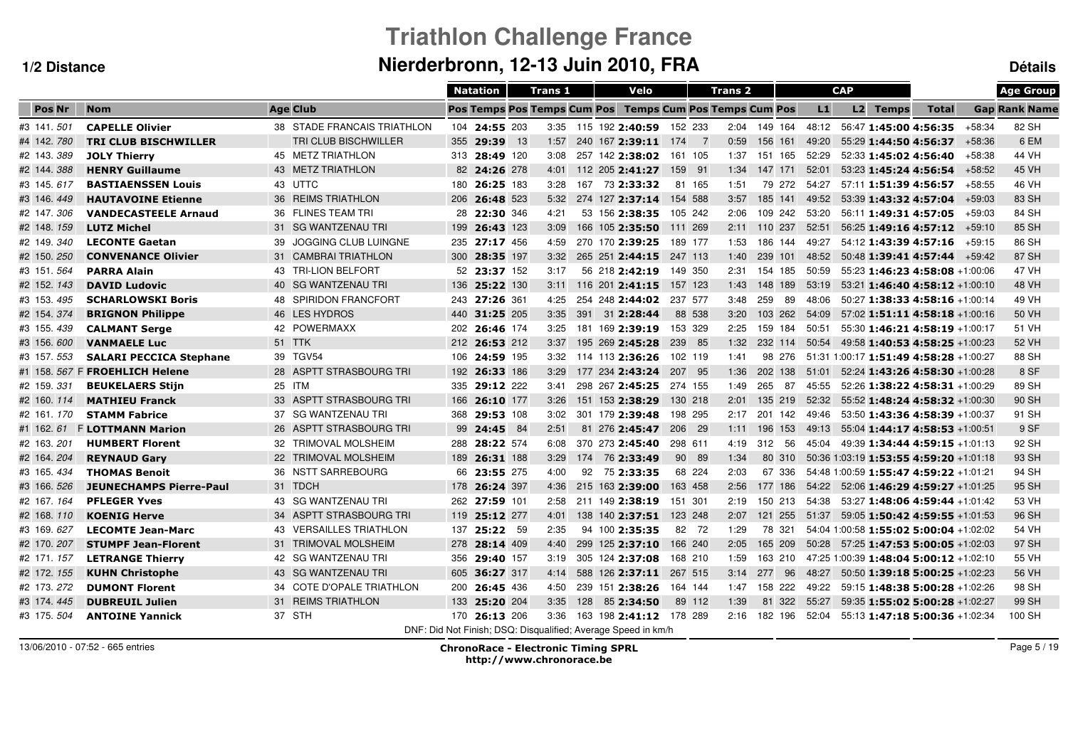# **Triathlon Challenge FranceNierderbronn, 12-13 Juin 2010, FRA Détails**

|               |                                |                             | <b>Natation</b>                    |              | <b>Trans 1</b> |    | Velo                                                          |         | <b>Trans 2</b>                     |              |        |       | <b>CAP</b> |                 |                                        |          | <b>Age Group</b>     |
|---------------|--------------------------------|-----------------------------|------------------------------------|--------------|----------------|----|---------------------------------------------------------------|---------|------------------------------------|--------------|--------|-------|------------|-----------------|----------------------------------------|----------|----------------------|
| <b>Pos Nr</b> | <b>Nom</b>                     | <b>Age Club</b>             | <b>Pos Temps Pos Temps Cum Pos</b> |              |                |    |                                                               |         | <b>Temps Cum Pos Temps Cum Pos</b> |              |        | L1    |            | <b>L2 Temps</b> | <b>Total</b>                           |          | <b>Gap Rank Name</b> |
| #3 141 501    | <b>CAPELLE Olivier</b>         | 38 STADE FRANCAIS TRIATHLON | 104 24:55 203                      |              |                |    | 3:35 115 192 2:40:59 152 233                                  |         |                                    | 2:04 149 164 |        | 48:12 |            |                 | 56:47 1:45:00 4:56:35                  | $+58:34$ | 82 SH                |
| #4 142.780    | <b>TRI CLUB BISCHWILLER</b>    | TRI CLUB BISCHWILLER        | 355                                | 29:39 13     | 1:57           |    | 240 167 2:39:11 174                                           |         | 0:59<br>$\overline{7}$             | 156 161      |        | 49:20 |            |                 | 55:29 1:44:50 4:56:37                  | $+58:36$ | 6 EM                 |
| #2 143 389    | <b>JOLY Thierry</b>            | 45 METZ TRIATHLON           | 313 28:49 120                      |              | 3:08           |    | 257 142 2:38:02                                               | 161 105 | 1:37                               | 151 165      |        | 52:29 |            |                 | 52:33 1:45:02 4:56:40                  | +58:38   | 44 VH                |
| #2 144.388    | <b>HENRY Guillaume</b>         | 43 METZ TRIATHLON           | 82 24:26 278                       |              | 4:01           |    | 112 205 2:41:27                                               | 159 91  | 1:34                               | 147 171      |        | 52:01 |            |                 | 53:23 1:45:24 4:56:54                  | $+58:52$ | 45 VH                |
| #3 145 617    | <b>BASTIAENSSEN Louis</b>      | 43 UTTC                     | 180                                | 26:25 183    | 3:28           |    | 167 73 2:33:32                                                | 81 165  | 1:51                               |              | 79 272 | 54:27 |            |                 | 57:11 1:51:39 4:56:57                  | +58:55   | 46 VH                |
| #3 146.449    | <b>HAUTAVOINE Etienne</b>      | 36 REIMS TRIATHLON          | 206                                | 26:48 523    | 5:32           |    | 274 127 2:37:14                                               | 154 588 | 3:57                               | 185 141      |        | 49:52 |            |                 | 53:39 1:43:32 4:57:04                  | $+59:03$ | 83 SH                |
| #2 147.306    | <b>VANDECASTEELE Arnaud</b>    | 36 FLINES TEAM TRI          | 28                                 | 22:30 346    | 4:21           |    | 53 156 2:38:35                                                | 105 242 | 2:06                               | 109 242      |        | 53:20 |            |                 | 56:11 1:49:31 4:57:05                  | $+59:03$ | 84 SH                |
| #2 148. 159   | <b>LUTZ Michel</b>             | 31 SG WANTZENAU TRI         | 199                                | 26:43 123    | 3:09           |    | 166 105 2:35:50                                               | 111 269 | 2:11                               | 110 237      |        | 52:51 |            |                 | $56:25$ 1:49:16 4:57:12 +59:10         |          | 85 SH                |
| #2 149.340    | <b>LECONTE Gaetan</b>          | JOGGING CLUB LUINGNE<br>39  | 235 27:17 456                      |              | 4:59           |    | 270 170 2:39:25                                               | 189 177 | 1:53                               | 186 144      |        | 49:27 |            |                 | 54:12 1:43:39 4:57:16                  | $+59:15$ | 86 SH                |
| #2 150.250    | <b>CONVENANCE Olivier</b>      | 31 CAMBRAI TRIATHLON        | 300                                | 28:35 197    | 3:32           |    | 265 251 2:44:15                                               | 247 113 | 1:40                               | 239 101      |        | 48:52 |            |                 | 50:48 1:39:41 4:57:44                  | $+59:42$ | 87 SH                |
| #3 151 564    | <b>PARRA Alain</b>             | 43 TRI-LION BELFORT         |                                    | 52 23:37 152 | 3:17           |    | 56 218 2:42:19                                                | 149 350 | 2:31                               | 154 185      |        | 50:59 |            |                 | 55:23 1:46:23 4:58:08 +1:00:06         |          | 47 VH                |
| #2 152. 143   | <b>DAVID Ludovic</b>           | 40 SG WANTZENAU TRI         | 136 25:22 130                      |              | 3:11           |    | 116 201 2:41:15                                               | 157 123 | 1:43                               | 148 189      |        | 53:19 |            |                 | $53:21$ 1:46:40 4:58:12 +1:00:10       |          | 48 VH                |
| #3 153.495    | <b>SCHARLOWSKI Boris</b>       | 48 SPIRIDON FRANCFORT       | 243 27:26 361                      |              | 4:25           |    | 254 248 2:44:02                                               | 237 577 | 3:48                               | 259          | 89     | 48:06 |            |                 | $50:27$ 1:38:33 4:58:16 +1:00:14       |          | 49 VH                |
| #2 154.374    | <b>BRIGNON Philippe</b>        | 46 LES HYDROS               | 440 31:25 205                      |              | 3:35           |    | 391 31 2:28:44                                                | 88 538  | 3:20                               | 103 262      |        | 54:09 |            |                 | 57:02 1:51:11 4:58:18 +1:00:16         |          | 50 VH                |
| #3 155.439    | <b>CALMANT Serge</b>           | 42 POWERMAXX                | 202 26:46 174                      |              | 3:25           |    | 181 169 2:39:19                                               | 153 329 | 2:25                               | 159 184      |        | 50:51 |            |                 | 55:30 1:46:21 4:58:19 +1:00:17         |          | 51 VH                |
| #3 156.600    | <b>VANMAELE Luc</b>            | 51 TTK                      | 212 26:53 212                      |              | 3:37           |    | 195 269 2:45:28 239 85                                        |         | 1:32                               | 232 114      |        | 50:54 |            |                 | 49:58 1:40:53 4:58:25 +1:00:23         |          | 52 VH                |
| #3 157, 553   | <b>SALARI PECCICA Stephane</b> | 39 TGV54                    | 106 24:59 195                      |              | 3:32           |    | 114 113 2:36:26                                               | 102 119 | 1:41                               |              | 98 276 |       |            |                 | 51:31 1:00:17 1:51:49 4:58:28 +1:00:27 |          | 88 SH                |
|               | #1 158. 567 F FROEHLICH Helene | 28 ASPTT STRASBOURG TRI     | 192 26:33 186                      |              | 3:29           |    | 177 234 2:43:24                                               | 207 95  | 1:36                               | 202 138      |        | 51:01 |            |                 | 52:24 1:43:26 4:58:30 +1:00:28         |          | 8 SF                 |
| #2 159 331    | <b>BEUKELAERS Stijn</b>        | 25 ITM                      | 335 29:12 222                      |              | 3:41           |    | 298 267 2:45:25 274 155                                       |         | 1:49                               | 265 87       |        | 45:55 |            |                 | 52:26 1:38:22 4:58:31 +1:00:29         |          | 89 SH                |
| #2 160. 114   | <b>MATHIEU Franck</b>          | 33 ASPTT STRASBOURG TRI     | 166 26:10 177                      |              | 3:26           |    | 151 153 2:38:29                                               | 130 218 | 2:01                               | 135 219      |        | 52:32 |            |                 | 55:52 1:48:24 4:58:32 +1:00:30         |          | 90 SH                |
| #2 161, 170   | <b>STAMM Fabrice</b>           | 37 SG WANTZENAU TRI         | 368 29:53 108                      |              | 3:02           |    | 301 179 2:39:48                                               | 198 295 | 2:17                               | 201 142      |        | 49:46 |            |                 | $53:50$ 1:43:36 4:58:39 +1:00:37       |          | 91 SH                |
| #1 162.61     | <b>F LOTTMANN Marion</b>       | 26 ASPTT STRASBOURG TRI     | 99 24:45 84                        |              | 2:51           |    | 81 276 2:45:47                                                | 206 29  | 1:11                               | 196 153      |        | 49:13 |            |                 | 55:04 1:44:17 4:58:53 +1:00:51         |          | 9 SF                 |
| #2 163.201    | <b>HUMBERT Florent</b>         | 32 TRIMOVAL MOLSHEIM        | 288                                | 28:22 574    | 6:08           |    | 370 273 2:45:40                                               | 298 611 | 4:19                               | 312          | 56     | 45:04 |            |                 | 49:39 1:34:44 4:59:15 +1:01:13         |          | 92 SH                |
| #2 164.204    | <b>REYNAUD Gary</b>            | 22 TRIMOVAL MOLSHEIM        | 189 26:31 188                      |              | 3:29           |    | 174 76 2:33:49                                                | 90 89   | 1:34                               |              | 80 310 |       |            |                 | 50:36 1:03:19 1:53:55 4:59:20 +1:01:18 |          | 93 SH                |
| #3 165.434    | <b>THOMAS Benoit</b>           | 36 NSTT SARREBOURG          | 66                                 | 23:55 275    | 4:00           | 92 | 75 2:33:35                                                    | 68 224  | 2:03                               |              | 67 336 |       |            |                 | 54:48 1:00:59 1:55:47 4:59:22 +1:01:21 |          | 94 SH                |
| #3 166. 526   | <b>JEUNECHAMPS Pierre-Paul</b> | 31 TDCH                     | 178                                | 26:24 397    | 4:36           |    | 215 163 2:39:00                                               | 163 458 | 2:56                               | 177 186      |        | 54:22 |            |                 | 52:06 1:46:29 4:59:27 +1:01:25         |          | 95 SH                |
| #2 167.164    | <b>PFLEGER Yves</b>            | 43 SG WANTZENAU TRI         | 262 27:59 101                      |              | 2:58           |    | 211 149 2:38:19                                               | 151 301 | 2:19                               | 150 213      |        | 54:38 |            |                 | 53:27 1:48:06 4:59:44 +1:01:42         |          | 53 VH                |
| #2 168. 110   | <b>KOENIG Herve</b>            | 34 ASPTT STRASBOURG TRI     | 119                                | 25:12 277    | 4:01           |    | 138 140 2:37:51                                               | 123 248 | 2:07                               | 121 255      |        | 51:37 |            |                 | 59:05 1:50:42 4:59:55 +1:01:53         |          | 96 SH                |
| #3 169.627    | <b>LECOMTE Jean-Marc</b>       | 43 VERSAILLES TRIATHLON     | 137                                | 25:22 59     | 2:35           |    | 94 100 2:35:35                                                | 82 72   | 1:29                               | 78 321       |        |       |            |                 | 54:04 1:00:58 1:55:02 5:00:04 +1:02:02 |          | 54 VH                |
| #2 170. 207   | <b>STUMPF Jean-Florent</b>     | 31 TRIMOVAL MOLSHEIM        | 278                                | 28:14 409    | 4:40           |    | 299 125 2:37:10                                               | 166 240 | 2:05                               | 165 209      |        | 50:28 |            |                 | $57:25$ 1:47:53 5:00:05 +1:02:03       |          | 97 SH                |
| #2 171, 157   | <b>LETRANGE Thierry</b>        | 42 SG WANTZENAU TRI         | 356                                | 29:40 157    | 3:19           |    | 305 124 2:37:08                                               | 168 210 | 1:59                               | 163 210      |        |       |            |                 | 47:25 1:00:39 1:48:04 5:00:12 +1:02:10 |          | 55 VH                |
| #2 172. 155   | <b>KUHN Christophe</b>         | 43 SG WANTZENAU TRI         | 605 36:27 317                      |              | 4:14           |    | 588 126 2:37:11 267 515                                       |         | 3:14                               | 277          | 96     | 48:27 |            |                 | 50:50 1:39:18 5:00:25 +1:02:23         |          | 56 VH                |
| #2 173.272    | <b>DUMONT Florent</b>          | 34 COTE D'OPALE TRIATHLON   | 200 26:45 436                      |              | 4:50           |    | 239 151 2:38:26                                               | 164 144 | 1:47                               | 158 222      |        | 49:22 |            |                 | 59:15 1:48:38 5:00:28 +1:02:26         |          | 98 SH                |
| #3 174.445    | <b>DUBREUIL Julien</b>         | 31 REIMS TRIATHLON          | 133 25:20 204                      |              | 3:35           |    | 128 85 2:34:50                                                | 89 112  | 1:39                               |              | 81 322 | 55:27 |            |                 | 59:35 1:55:02 5:00:28 +1:02:27         |          | 99 SH                |
| #3 175, 504   | <b>ANTOINE Yannick</b>         | 37 STH                      | 170 26:13 206                      |              | 3:36           |    | 163 198 2:41:12 178 289                                       |         | 2:16                               | 182 196      |        | 52:04 |            |                 | $55:13$ 1:47:18 5:00:36 +1:02:34       |          | 100 SH               |
|               |                                |                             |                                    |              |                |    | DNF: Did Not Finish: DSQ: Disqualified: Average Speed in km/h |         |                                    |              |        |       |            |                 |                                        |          |                      |

13/06/2010 - 07:52 - 665 entries

 ChronoRace - Electronic Timing SPRL http://www.chronorace.be

Page 5 / 19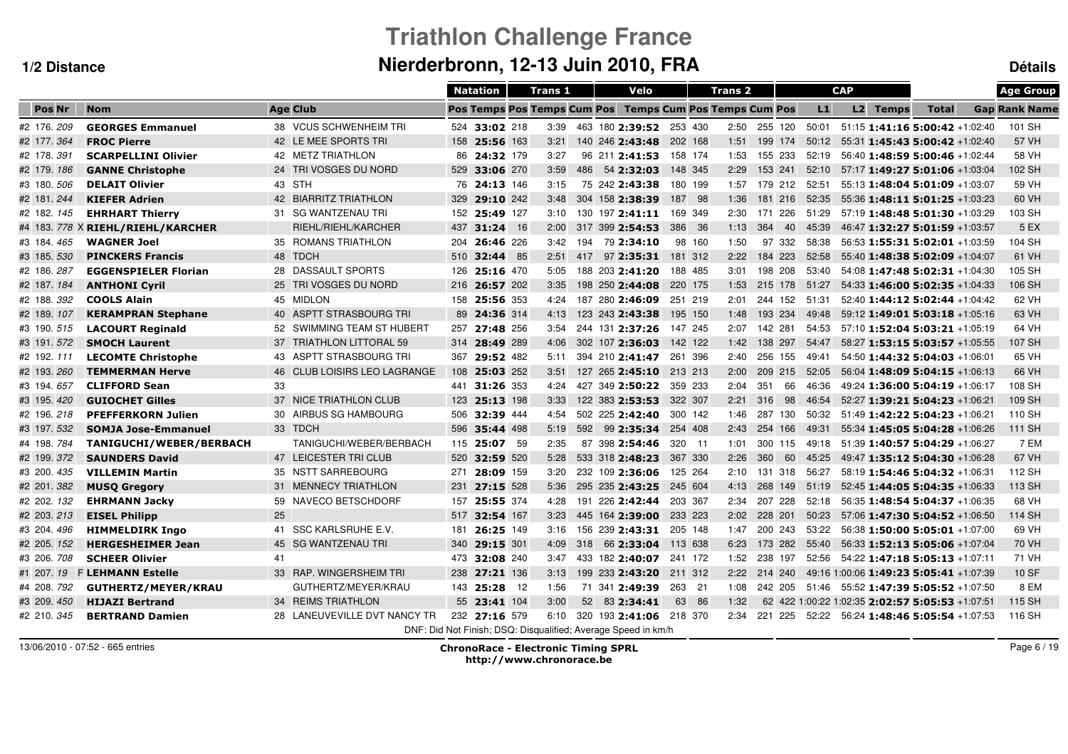# **Triathlon Challenge FranceNierderbronn, 12-13 Juin 2010, FRA Détails**

|               |                                   |                              |     | <b>Natation</b>                    | <b>Trans 1</b> |     | Velo                                                          |         | <b>Trans 2</b> |      |              |       | <b>CAP</b> |                 |                                                 | <b>Age Group</b>     |
|---------------|-----------------------------------|------------------------------|-----|------------------------------------|----------------|-----|---------------------------------------------------------------|---------|----------------|------|--------------|-------|------------|-----------------|-------------------------------------------------|----------------------|
| <b>Pos Nr</b> | <b>Nom</b>                        | <b>Age Club</b>              |     | <b>Pos Temps Pos Temps Cum Pos</b> |                |     | <b>Temps Cum Pos Temps Cum Pos</b>                            |         |                |      |              | L1    |            | <b>L2 Temps</b> | <b>Total</b>                                    | <b>Gap Rank Name</b> |
| #2 176, 209   | <b>GEORGES Emmanuel</b>           | 38 VCUS SCHWENHEIM TRI       |     | 524 33:02 218                      | 3:39           |     | 463 180 2:39:52 253 430                                       |         |                |      | 2:50 255 120 | 50:01 |            |                 | 51:15 1:41:16 5:00:42 +1:02:40                  | 101 SH               |
| #2 177.364    | <b>FROC Pierre</b>                | 42 LE MEE SPORTS TRI         |     | 158 25:56 163                      | 3:21           |     | 140 246 2:43:48                                               | 202 168 |                | 1:51 | 199 174      | 50:12 |            |                 | 55:31 1:45:43 5:00:42 +1:02:40                  | 57 VH                |
| #2 178 391    | <b>SCARPELLINI Olivier</b>        | 42 METZ TRIATHLON            |     | 86 24:32 179                       | 3:27           |     | 96 211 2:41:53                                                | 158 174 |                | 1:53 | 155 233      | 52:19 |            |                 | 56:40 1:48:59 5:00:46 +1:02:44                  | 58 VH                |
| #2 179. 186   | <b>GANNE Christophe</b>           | 24 TRI VOSGES DU NORD        |     | 529 33:06 270                      | 3:59           |     | 486 54 2:32:03                                                | 148 345 |                | 2:29 | 153 241      | 52:10 |            |                 | 57:17 1:49:27 5:01:06 +1:03:04                  | 102 SH               |
| #3 180. 506   | <b>DELAIT Olivier</b>             | 43 STH                       |     | 76 24:13 146                       | 3:15           |     | 75 242 2:43:38                                                | 180 199 |                | 1:57 | 179 212      | 52:51 |            |                 | 55:13 1:48:04 5:01:09 +1:03:07                  | 59 VH                |
| #2 181.244    | <b>KIEFER Adrien</b>              | 42 BIARRITZ TRIATHLON        |     | 329 29:10 242                      | 3:48           |     | 304 158 2:38:39                                               | 187 98  |                | 1:36 | 181 216      | 52:35 |            |                 | 55:36 1:48:11 5:01:25 +1:03:23                  | 60 VH                |
| #2 182. 145   | <b>EHRHART Thierry</b>            | 31 SG WANTZENAU TRI          |     | 152 25:49 127                      | 3:10           |     | 130 197 2:41:11 169 349                                       |         |                | 2:30 | 171 226      | 51:29 |            |                 | 57:19 1:48:48 5:01:30 +1:03:29                  | 103 SH               |
|               | #4 183. 778 X RIEHL/RIEHL/KARCHER | RIEHL/RIEHL/KARCHER          | 437 | 31:24 16                           | 2:00           |     | 317 399 2:54:53                                               | 386 36  |                | 1:13 | 364<br>40    | 45:39 |            |                 | 46:47 1:32:27 5:01:59 +1:03:57                  | 5 EX                 |
| #3 184.465    | <b>WAGNER Joel</b>                | 35 ROMANS TRIATHLON          | 204 | 26:46 226                          | 3:42           | 194 | 79 2:34:10                                                    | 98 160  |                | 1:50 | 97 332       | 58:38 |            |                 | 56:53 1:55:31 5:02:01 +1:03:59                  | 104 SH               |
| #3 185. 530   | <b>PINCKERS Francis</b>           | 48 TDCH                      | 510 | <b>32:44</b> 85                    | 2:51           | 417 | 97 2:35:31                                                    | 181 312 |                | 2:22 | 184 223      | 52:58 |            |                 | 55:40 1:48:38 5:02:09 +1:04:07                  | 61 VH                |
| #2 186.287    | <b>EGGENSPIELER Florian</b>       | 28 DASSAULT SPORTS           | 126 | 25:16 470                          | 5:05           |     | 188 203 2:41:20                                               | 188 485 |                | 3:01 | 198 208      | 53:40 |            |                 | 54:08 1:47:48 5:02:31 +1:04:30                  | 105 SH               |
| #2 187.184    | <b>ANTHONI Cyril</b>              | 25 TRI VOSGES DU NORD        |     | 216 26:57 202                      | 3:35           |     | 198 250 2:44:08                                               | 220 175 |                | 1:53 | 215 178      | 51:27 |            |                 | $54:33$ 1:46:00 5:02:35 +1:04:33                | 106 SH               |
| #2 188.392    | <b>COOLS Alain</b>                | 45 MIDLON                    |     | 158 25:56 353                      | 4:24           |     | 187 280 2:46:09                                               | 251 219 |                | 2:01 | 244 152      | 51:31 |            |                 | 52:40 1:44:12 5:02:44 +1:04:42                  | 62 VH                |
| #2 189. 107   | <b>KERAMPRAN Stephane</b>         | 40 ASPTT STRASBOURG TRI      |     | 89 24:36 314                       | 4:13           |     | 123 243 2:43:38                                               | 195 150 |                | 1:48 | 193 234      | 49:48 |            |                 | 59:12 1:49:01 5:03:18 +1:05:16                  | 63 VH                |
| #3 190.515    | <b>LACOURT Reginald</b>           | 52 SWIMMING TEAM ST HUBERT   |     | 257 27:48 256                      | 3:54           |     | 244 131 2:37:26                                               | 147 245 |                | 2:07 | 142 281      | 54:53 |            |                 | 57:10 1:52:04 5:03:21 +1:05:19                  | 64 VH                |
| #3 191.572    | <b>SMOCH Laurent</b>              | 37 TRIATHLON LITTORAL 59     |     | 314 28:49 289                      | 4:06           |     | 302 107 2:36:03                                               | 142 122 |                | 1:42 | 138 297      | 54:47 |            |                 | 58:27 1:53:15 5:03:57 +1:05:55                  | 107 SH               |
| #2 192. 111   | <b>LECOMTE Christophe</b>         | 43 ASPTT STRASBOURG TRI      |     | 367 29:52 482                      | 5:11           |     | 394 210 2:41:47 261 396                                       |         |                | 2:40 | 256 155      | 49:41 |            |                 | $54:50$ 1:44:32 5:04:03 +1:06:01                | 65 VH                |
| #2 193.260    | <b>TEMMERMAN Herve</b>            | 46 CLUB LOISIRS LEO LAGRANGE | 108 | 25:03 252                          | 3:51           |     | 127 265 2:45:10 213 213                                       |         |                | 2:00 | 209 215      | 52:05 |            |                 | $56:04$ 1:48:09 5:04:15 +1:06:13                | 66 VH                |
| #3 194.657    | <b>CLIFFORD Sean</b>              | 33                           |     | 441 31:26 353                      | 4:24           |     | 427 349 2:50:22 359 233                                       |         |                | 2:04 | 351<br>66    | 46:36 |            |                 | 49:24 1:36:00 5:04:19 +1:06:17                  | 108 SH               |
| #3 195.420    | <b>GUIOCHET Gilles</b>            | 37 NICE TRIATHLON CLUB       |     | 123 25:13 198                      | 3:33           |     | 122 383 2:53:53                                               | 322 307 |                | 2:21 | 316<br>98    | 46:54 |            |                 | 52:27 1:39:21 5:04:23 +1:06:21                  | 109 SH               |
| #2 196.218    | <b>PFEFFERKORN Julien</b>         | 30 AIRBUS SG HAMBOURG        |     | 506 32:39 444                      | 4:54           |     | 502 225 2:42:40                                               | 300 142 |                | 1:46 | 287 130      | 50:32 |            |                 | 51:49 1:42:22 5:04:23 +1:06:21                  | 110 SH               |
| #3 197.532    | <b>SOMJA Jose-Emmanuel</b>        | 33 TDCH                      | 596 | 35:44 498                          | 5:19           |     | 592 99 2:35:34                                                | 254 408 |                | 2:43 | 254 166      | 49:31 |            |                 | $55:34$ 1:45:05 5:04:28 +1:06:26                | 111 SH               |
| #4 198.784    | TANIGUCHI/WEBER/BERBACH           | TANIGUCHI/WEBER/BERBACH      |     | 115 25:07 59                       | 2:35           |     | 87 398 2:54:46                                                | 320 11  |                | 1:01 | 300 115      | 49:18 |            |                 | 51:39 1:40:57 5:04:29 +1:06:27                  | 7 EM                 |
| #2 199.372    | <b>SAUNDERS David</b>             | 47 LEICESTER TRI CLUB        | 520 | 32:59 520                          | 5:28           |     | 533 318 2:48:23                                               | 367 330 |                | 2:26 | 360<br>60    | 45:25 |            |                 | 49:47 1:35:12 5:04:30 +1:06:28                  | 67 VH                |
| #3 200.435    | <b>VILLEMIN Martin</b>            | 35 NSTT SARREBOURG           | 271 | 28:09 159                          | 3:20           |     | 232 109 2:36:06                                               | 125 264 |                | 2:10 | 131 318      | 56:27 |            |                 | 58:19 1:54:46 5:04:32 +1:06:31                  | 112 SH               |
| #2 201.382    | <b>MUSO Gregory</b>               | 31 MENNECY TRIATHLON         | 231 | 27:15 528                          | 5:36           |     | 295 235 2:43:25                                               | 245 604 |                | 4:13 | 268 149      | 51:19 |            |                 | 52:45 1:44:05 5:04:35 +1:06:33                  | 113 SH               |
| #2 202. 132   | <b>EHRMANN Jacky</b>              | 59 NAVECO BETSCHDORF         | 157 | 25:55 374                          | 4:28           |     | 191 226 2:42:44                                               | 203 367 |                | 2:34 | 207 228      | 52:18 |            |                 | 56:35 1:48:54 5:04:37 +1:06:35                  | 68 VH                |
| #2 203. 213   | <b>EISEL Philipp</b>              | 25                           | 517 | 32:54 167                          | 3:23           |     | 445 164 2:39:00                                               | 233 223 |                | 2:02 | 228 201      | 50:23 |            |                 | 57:06 1:47:30 5:04:52 +1:06:50                  | 114 SH               |
| #3 204.496    | <b>HIMMELDIRK Ingo</b>            | 41 SSC KARLSRUHE E.V.        | 181 | 26:25 149                          | 3:16           |     | 156 239 2:43:31                                               | 205 148 |                | 1:47 | 200 243      | 53:22 |            |                 | 56:38 1:50:00 5:05:01 +1:07:00                  | 69 VH                |
| #2 205. 152   | <b>HERGESHEIMER Jean</b>          | 45 SG WANTZENAU TRI          | 340 | 29:15 301                          | 4:09           |     | 318 66 2:33:04                                                | 113 638 |                | 6:23 | 173 282      | 55:40 |            |                 | 56:33 1:52:13 5:05:06 +1:07:04                  | 70 VH                |
| #3 206, 708   | <b>SCHEER Olivier</b>             | 41                           |     | 473 32:08 240                      | 3:47           |     | 433 182 2:40:07                                               | 241 172 |                | 1:52 | 238 197      | 52:56 |            |                 | 54:22 1:47:18 5:05:13 +1:07:11                  | 71 VH                |
| #1 207.19     | <b>F LEHMANN Estelle</b>          | 33 RAP. WINGERSHEIM TRI      |     | 238 27:21 136                      | 3:13           |     | 199 233 2:43:20                                               | 211 312 |                | 2:22 | 214 240      |       |            |                 | 49:16 1:00:06 1:49:23 5:05:41 +1:07:39          | <b>10 SF</b>         |
| #4 208.792    | GUTHERTZ/MEYER/KRAU               | GUTHERTZ/MEYER/KRAU          |     | 143 25:28 12                       | 1:56           |     | 71 341 2:49:39                                                | 263 21  |                | 1:08 | 242 205      |       |            |                 | $51:46$ $55:52$ <b>1:47:39 5:05:52</b> +1:07:50 | 8 EM                 |
| #3 209.450    | <b>HIJAZI Bertrand</b>            | 34 REIMS TRIATHLON           |     | 55 23:41 104                       | 3:00           |     | 52 83 2:34:41                                                 | 63 86   |                | 1:32 |              |       |            |                 | 62 422 1:00:22 1:02:35 2:02:57 5:05:53 +1:07:51 | 115 SH               |
| #2 210, 345   | <b>BERTRAND Damien</b>            | 28 LANEUVEVILLE DVT NANCY TR |     | 232 27:16 579                      | 6:10           |     | 320 193 2:41:06 218 370                                       |         |                | 2:34 | 221 225      |       |            |                 | 52:22   56:24   1:48:46   5:05:54   +1:07:53    | 116 SH               |
|               |                                   |                              |     |                                    |                |     | DNF: Did Not Finish; DSQ: Disqualified; Average Speed in km/h |         |                |      |              |       |            |                 |                                                 |                      |

13/06/2010 - 07:52 - 665 entries

 ChronoRace - Electronic Timing SPRL http://www.chronorace.be

Page 6 / 19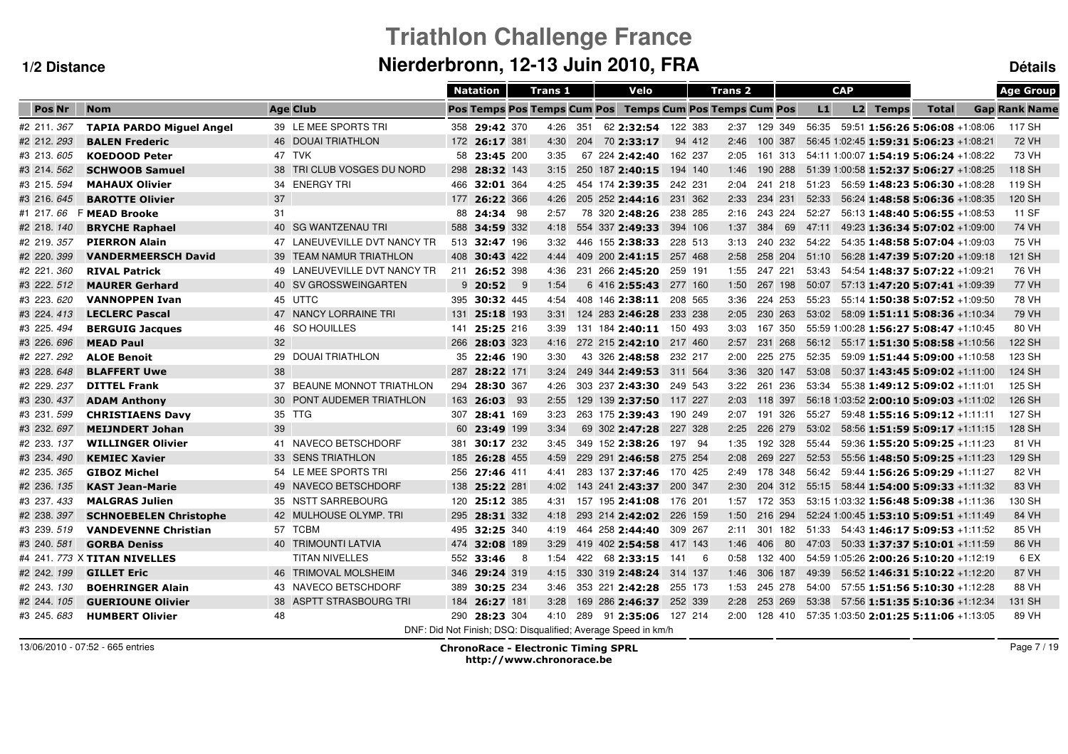# **Triathlon Challenge FranceNierderbronn, 12-13 Juin 2010, FRA Détails**

|             |                                 |                              | <b>Natation</b>                                               |           | <b>Trans 1</b> |     | Velo                    |         | Trans <sub>2</sub>                 |              |    |       | <b>CAP</b> |                 |                                          | <b>Age Group</b>     |
|-------------|---------------------------------|------------------------------|---------------------------------------------------------------|-----------|----------------|-----|-------------------------|---------|------------------------------------|--------------|----|-------|------------|-----------------|------------------------------------------|----------------------|
| Pos Nr      | <b>Nom</b>                      | <b>Age Club</b>              | <b>Pos Temps Pos Temps Cum Pos</b>                            |           |                |     |                         |         | <b>Temps Cum Pos Temps Cum Pos</b> |              |    | L1    |            | <b>L2 Temps</b> | <b>Total</b>                             | <b>Gap Rank Name</b> |
| #2 211 367  | <b>TAPIA PARDO Miguel Angel</b> | 39 LE MEE SPORTS TRI         | 358 29:42 370                                                 |           | 4:26           | 351 | 62 2:32:54 122 383      |         |                                    | 2:37 129 349 |    | 56:35 |            |                 | 59:51 1:56:26 5:06:08 +1:08:06           | 117 SH               |
| #2 212.293  | <b>BALEN Frederic</b>           | 46 DOUAI TRIATHLON           | 172 26:17 381                                                 |           | 4:30           |     | 204 70 2:33:17          | 94 412  | 2:46                               | 100 387      |    |       |            |                 | 56:45 1:02:45 1:59:31 5:06:23 +1:08:21   | <b>72 VH</b>         |
| #3 213.605  | <b>KOEDOOD Peter</b>            | 47 TVK                       | 58 23:45 200                                                  |           | 3:35           |     | 67 224 2:42:40          | 162 237 | 2:05                               | 161 313      |    |       |            |                 | 54:11 1:00:07 1:54:19 5:06:24 +1:08:22   | 73 VH                |
| #3 214.562  | <b>SCHWOOB Samuel</b>           | 38 TRI CLUB VOSGES DU NORD   | 298 28:32 143                                                 |           | 3:15           |     | 250 187 2:40:15         | 194 140 | 1:46                               | 190 288      |    |       |            |                 | 51:39 1:00:58 1:52:37 5:06:27 +1:08:25   | 118 SH               |
| #3 215, 594 | <b>MAHAUX Olivier</b>           | 34 ENERGY TRI                | 466 32:01 364                                                 |           | 4:25           |     | 454 174 2:39:35         | 242 231 | 2:04                               | 241 218      |    |       |            |                 | 51:23  56:59  1:48:23  5:06:30  +1:08:28 | 119 SH               |
| #3 216.645  | <b>BAROTTE Olivier</b>          | 37                           | 177 26:22 366                                                 |           | 4:26           |     | 205 252 2:44:16         | 231 362 | 2:33                               | 234 231      |    | 52:33 |            |                 | 56:24 1:48:58 5:06:36 +1:08:35           | 120 SH               |
| #1 217.66   | <b>F MEAD Brooke</b>            | 31                           | 88                                                            | 24:34 98  | 2:57           |     | 78 320 2:48:26          | 238 285 | 2:16                               | 243 224      |    | 52:27 |            |                 | 56:13 1:48:40 5:06:55 +1:08:53           | 11 SF                |
| #2 218.140  | <b>BRYCHE Raphael</b>           | 40 SG WANTZENAU TRI          | 588                                                           | 34:59 332 | 4:18           |     | 554 337 2:49:33         | 394 106 | 1:37                               | 384          | 69 | 47:11 |            |                 | 49:23 1:36:34 5:07:02 +1:09:00           | 74 VH                |
| #2 219, 357 | <b>PIERRON Alain</b>            | 47 LANEUVEVILLE DVT NANCY TR | 513 32:47 196                                                 |           | 3:32           |     | 446 155 2:38:33         | 228 513 | 3:13                               | 240 232      |    | 54:22 |            |                 | 54:35 1:48:58 5:07:04 +1:09:03           | 75 VH                |
| #2 220, 399 | <b>VANDERMEERSCH David</b>      | 39 TEAM NAMUR TRIATHLON      | 408                                                           | 30:43 422 | 4:44           |     | 409 200 2:41:15         | 257 468 | 2:58                               | 258 204      |    | 51:10 |            |                 | 56:28 1:47:39 5:07:20 +1:09:18           | 121 SH               |
| #2 221.360  | <b>RIVAL Patrick</b>            | 49 LANEUVEVILLE DVT NANCY TR | 211 26:52 398                                                 |           | 4:36           |     | 231 266 2:45:20         | 259 191 | 1:55                               | 247 221      |    | 53:43 |            |                 | 54:54 1:48:37 5:07:22 +1:09:21           | 76 VH                |
| #3 222. 512 | <b>MAURER Gerhard</b>           | 40 SV GROSSWEINGARTEN        | $9$ 20:52                                                     | - 9       | 1:54           |     | 6 416 2:55:43           | 277 160 | 1:50                               | 267 198      |    | 50:07 |            |                 | 57:13 1:47:20 5:07:41 +1:09:39           | <b>77 VH</b>         |
| #3 223.620  | <b>VANNOPPEN Ivan</b>           | 45 UTTC                      | 395 30:32 445                                                 |           | 4:54           |     | 408 146 2:38:11         | 208 565 | 3:36                               | 224 253      |    | 55:23 |            |                 | 55:14 1:50:38 5:07:52 +1:09:50           | 78 VH                |
| #3 224.413  | <b>LECLERC Pascal</b>           | 47 NANCY LORRAINE TRI        | 131 25:18 193                                                 |           | 3:31           |     | 124 283 2:46:28         | 233 238 | 2:05                               | 230 263      |    | 53:02 |            |                 | $58:09$ 1:51:11 5:08:36 +1:10:34         | 79 VH                |
| #3 225, 494 | <b>BERGUIG Jacques</b>          | 46 SO HOUILLES               | 141                                                           | 25:25 216 | 3:39           |     | 131 184 2:40:11 150 493 |         | 3:03                               | 167 350      |    |       |            |                 | 55:59 1:00:28 1:56:27 5:08:47 +1:10:45   | 80 VH                |
| #3 226.696  | <b>MEAD Paul</b>                | 32                           | 266 28:03 323                                                 |           | 4:16           |     | 272 215 2:42:10 217 460 |         | 2:57                               | 231 268      |    | 56:12 |            |                 | 55:17 1:51:30 5:08:58 +1:10:56           | 122 SH               |
| #2 227.292  | <b>ALOE Benoit</b>              | 29 DOUAI TRIATHLON           | 35 22:46 190                                                  |           | 3:30           |     | 43 326 2:48:58          | 232 217 | 2:00                               | 225 275      |    | 52:35 |            |                 | 59:09 1:51:44 5:09:00 +1:10:58           | 123 SH               |
| #3 228.648  | <b>BLAFFERT Uwe</b>             | 38                           | 287                                                           | 28:22 171 | 3:24           |     | 249 344 2:49:53         | 311 564 | 3:36                               | 320 147      |    | 53:08 |            |                 | 50:37 1:43:45 5:09:02 +1:11:00           | 124 SH               |
| #2 229.237  | <b>DITTEL Frank</b>             | 37 BEAUNE MONNOT TRIATHLON   | 294 28:30 367                                                 |           | 4:26           |     | 303 237 2:43:30 249 543 |         | 3:22                               | 261 236      |    | 53:34 |            |                 | 55:38 1:49:12 5:09:02 +1:11:01           | 125 SH               |
| #3 230.437  | <b>ADAM Anthony</b>             | 30 PONT AUDEMER TRIATHLON    | 163                                                           | 26:03 93  | 2:55           |     | 129 139 2:37:50 117 227 |         | 2:03                               | 118 397      |    |       |            |                 | 56:18 1:03:52 2:00:10 5:09:03 +1:11:02   | 126 SH               |
| #3 231 599  | <b>CHRISTIAENS Davy</b>         | 35 TTG                       | 307                                                           | 28:41 169 | 3:23           |     | 263 175 2:39:43         | 190 249 | 2:07                               | 191 326      |    | 55:27 |            |                 | 59:48 1:55:16 5:09:12 +1:11:11           | 127 SH               |
| #3 232.697  | <b>MEIJNDERT Johan</b>          | 39                           | 60                                                            | 23:49 199 | 3:34           |     | 69 302 2:47:28          | 227 328 | 2:25                               | 226 279      |    | 53:02 |            |                 | 58:56 1:51:59 5:09:17 +1:11:15           | 128 SH               |
| #2 233.137  | <b>WILLINGER Olivier</b>        | 41 NAVECO BETSCHDORF         | 381                                                           | 30:17 232 | 3:45           |     | 349 152 2:38:26         | 197 94  | 1:35                               | 192 328      |    | 55:44 |            |                 | 59:36 1:55:20 5:09:25 +1:11:23           | 81 VH                |
| #3 234.490  | <b>KEMIEC Xavier</b>            | 33 SENS TRIATHLON            | 185                                                           | 26:28 455 | 4:59           |     | 229 291 2:46:58         | 275 254 | 2:08                               | 269 227      |    | 52:53 |            |                 | 55:56 1:48:50 5:09:25 +1:11:23           | 129 SH               |
| #2 235, 365 | <b>GIBOZ Michel</b>             | 54 LE MEE SPORTS TRI         | 256                                                           | 27:46 411 | 4:41           |     | 283 137 2:37:46         | 170 425 | 2:49                               | 178 348      |    | 56:42 |            |                 | 59:44 1:56:26 5:09:29 +1:11:27           | 82 VH                |
| #2 236. 135 | <b>KAST Jean-Marie</b>          | 49 NAVECO BETSCHDORF         | 138                                                           | 25:22 281 | 4:02           |     | 143 241 2:43:37         | 200 347 | 2:30                               | 204 312      |    | 55:15 |            |                 | 58:44 1:54:00 5:09:33 +1:11:32           | 83 VH                |
| #3 237.433  | <b>MALGRAS Julien</b>           | 35 NSTT SARREBOURG           | 120                                                           | 25:12 385 | 4:31           |     | 157 195 2:41:08         | 176 201 | 1:57                               | 172 353      |    |       |            |                 | 53:15 1:03:32 1:56:48 5:09:38 +1:11:36   | 130 SH               |
| #2 238.397  | <b>SCHNOEBELEN Christophe</b>   | 42 MULHOUSE OLYMP. TRI       | 295                                                           | 28:31 332 | 4:18           |     | 293 214 2:42:02         | 226 159 | 1:50                               | 216 294      |    |       |            |                 | 52:24 1:00:45 1:53:10 5:09:51 +1:11:49   | 84 VH                |
| #3 239.519  | <b>VANDEVENNE Christian</b>     | 57 TCBM                      | 495                                                           | 32:25 340 | 4:19           |     | 464 258 2:44:40         | 309 267 | 2:11                               | 301 182      |    | 51:33 |            |                 | $54:43$ 1:46:17 5:09:53 +1:11:52         | 85 VH                |
| #3 240, 581 | <b>GORBA Deniss</b>             | <b>40 TRIMOUNTI LATVIA</b>   | 474                                                           | 32:08 189 | 3:29           |     | 419 402 2:54:58         | 417 143 | 1:46                               | 406          | 80 | 47:03 |            |                 | $50:33$ 1:37:37 5:10:01 +1:11:59         | 86 VH                |
|             | #4 241. 773 X TITAN NIVELLES    | <b>TITAN NIVELLES</b>        | 552 33:46                                                     | - 8       | 1:54           |     | 422 68 2:33:15          | 141     | 0:58<br>- 6                        | 132 400      |    |       |            |                 | 54:59 1:05:26 2:00:26 5:10:20 +1:12:19   | 6 EX                 |
| #2 242. 199 | <b>GILLET Eric</b>              | 46 TRIMOVAL MOLSHEIM         | 346 29:24 319                                                 |           | 4:15           |     | 330 319 2:48:24         | 314 137 | 1:46                               | 306 187      |    | 49:39 |            |                 | 56:52 1:46:31 5:10:22 +1:12:20           | 87 VH                |
| #2 243.130  | <b>BOEHRINGER Alain</b>         | 43 NAVECO BETSCHDORF         | 389                                                           | 30:25 234 | 3:46           |     | 353 221 2:42:28         | 255 173 |                                    | 1:53 245 278 |    | 54:00 |            |                 | 57:55 1:51:56 5:10:30 +1:12:28           | 88 VH                |
| #2 244. 105 | <b>GUERIOUNE Olivier</b>        | 38 ASPTT STRASBOURG TRI      | 184 26:27 181                                                 |           | 3:28           |     | 169 286 2:46:37 252 339 |         | 2:28                               | 253 269      |    | 53:38 |            |                 | 57:56 1:51:35 5:10:36 +1:12:34           | 131 SH               |
| #3 245 683  | <b>HUMBERT Olivier</b>          | 48                           | 290 28:23 304                                                 |           | 4:10           | 289 | 91 2:35:06 127 214      |         | 2:00                               | 128 410      |    |       |            |                 | 57:35 1:03:50 2:01:25 5:11:06 +1:13:05   | 89 VH                |
|             |                                 |                              | DNF: Did Not Finish: DSQ: Disqualified: Average Speed in km/h |           |                |     |                         |         |                                    |              |    |       |            |                 |                                          |                      |

13/06/2010 - 07:52 - 665 entries

 ChronoRace - Electronic Timing SPRL http://www.chronorace.be

Page 7 / 19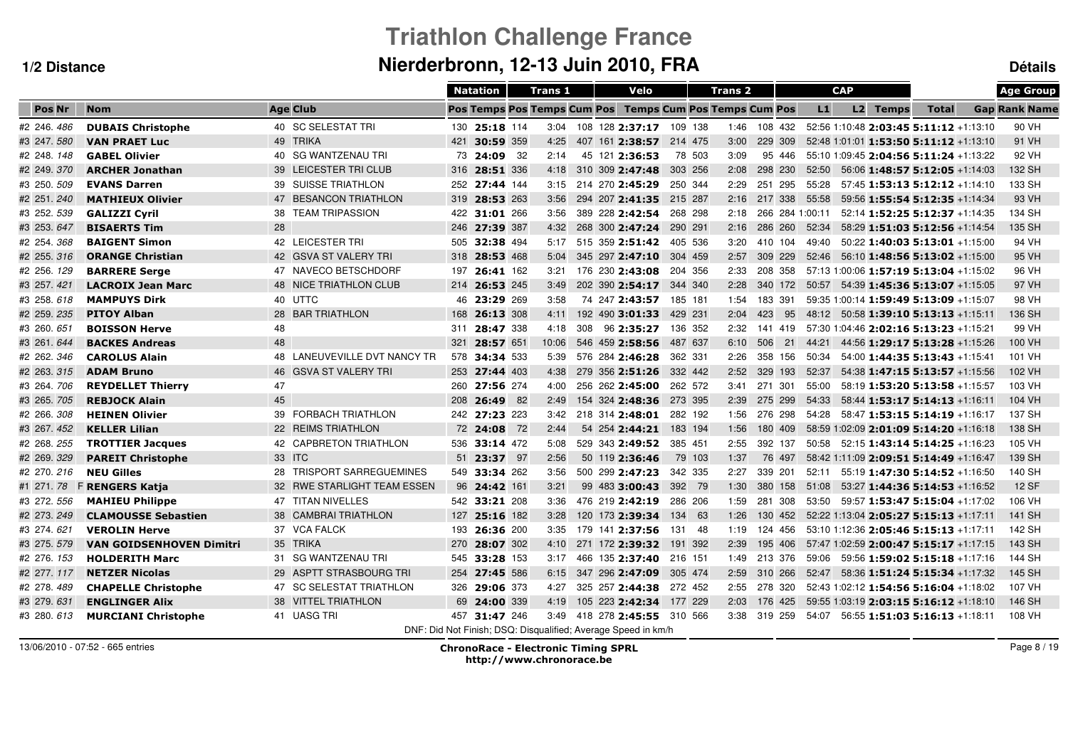# **Triathlon Challenge FranceNierderbronn, 12-13 Juin 2010, FRA Détails**

|               |                                 |                              |     | <b>Natation</b> | <b>Trans 1</b>                     |  | Velo                                                          |         |         | Trans <sub>2</sub> |         |        |                 | <b>CAP</b> |                                                 |              | <b>Age Group</b>     |
|---------------|---------------------------------|------------------------------|-----|-----------------|------------------------------------|--|---------------------------------------------------------------|---------|---------|--------------------|---------|--------|-----------------|------------|-------------------------------------------------|--------------|----------------------|
| <b>Pos Nr</b> | <b>Nom</b>                      | <b>Age Club</b>              |     |                 | <b>Pos Temps Pos Temps Cum Pos</b> |  | <b>Temps Cum Pos Temps Cum Pos</b>                            |         |         |                    |         |        | L1              |            | L2 Temps                                        | <b>Total</b> | <b>Gap Rank Name</b> |
| #2 246.486    | <b>DUBAIS Christophe</b>        | 40 SC SELESTAT TRI           |     | 130 25:18 114   |                                    |  | 3:04 108 128 2:37:17 109 138                                  |         |         | 1:46 108 432       |         |        |                 |            | 52:56 1:10:48 2:03:45 5:11:12 +1:13:10          |              | 90 VH                |
| #3 247.580    | <b>VAN PRAET Luc</b>            | 49 TRIKA                     |     | 421 30:59 359   | 4:25                               |  | 407 161 2:38:57 214 475                                       |         |         | 3:00               | 229 309 |        |                 |            | 52:48 1:01:01 1:53:50 5:11:12 +1:13:10          |              | 91 VH                |
| #2 248.148    | <b>GABEL Olivier</b>            | 40 SG WANTZENAU TRI          | 73  | 24:09 32        | 2:14                               |  | 45 121 2:36:53                                                |         | 78 503  | 3:09               |         | 95 446 |                 |            | 55:10 1:09:45 2:04:56 5:11:24 +1:13:22          |              | 92 VH                |
| #2 249.370    | <b>ARCHER Jonathan</b>          | 39 LEICESTER TRI CLUB        | 316 | 28:51 336       | 4:18                               |  | 310 309 2:47:48                                               | 303 256 |         | 2:08               | 298 230 |        | 52:50           |            | $56:06$ 1:48:57 5:12:05 +1:14:03                |              | 132 SH               |
| #3 250.509    | <b>EVANS Darren</b>             | 39 SUISSE TRIATHLON          | 252 | 27:44 144       | 3:15                               |  | 214 270 2:45:29                                               | 250 344 |         | 2:29               | 251 295 |        | 55:28           |            | $57:45$ 1:53:13 5:12:12 +1:14:10                |              | 133 SH               |
| #2 251.240    | <b>MATHIEUX Olivier</b>         | 47 BESANCON TRIATHLON        | 319 | 28:53 263       | 3:56                               |  | 294 207 2:41:35                                               | 215 287 |         | 2:16               | 217 338 |        | 55:58           |            | 59:56 1:55:54 5:12:35 +1:14:34                  |              | 93 VH                |
| #3 252.539    | <b>GALIZZI Cyril</b>            | 38 TEAM TRIPASSION           | 422 | 31:01 266       | 3:56                               |  | 389 228 2:42:54                                               |         | 268 298 | 2:18               |         |        | 266 284 1:00:11 |            | 52:14 1:52:25 5:12:37 +1:14:35                  |              | 134 SH               |
| #3 253.647    | <b>BISAERTS Tim</b>             | 28                           | 246 | 27:39 387       | 4:32                               |  | 268 300 2:47:24                                               | 290 291 |         | 2:16               | 286 260 |        | 52:34           |            | 58:29 1:51:03 5:12:56 +1:14:54                  |              | 135 SH               |
| #2 254.368    | <b>BAIGENT Simon</b>            | 42 LEICESTER TRI             | 505 | 32:38 494       | 5:17                               |  | 515 359 2:51:42                                               | 405 536 |         | 3:20               | 410 104 |        | 49:40           |            | $50:22$ 1:40:03 5:13:01 +1:15:00                |              | 94 VH                |
| #2 255.316    | <b>ORANGE Christian</b>         | 42 GSVA ST VALERY TRI        | 318 | 28:53 468       | 5:04                               |  | 345 297 2:47:10                                               | 304 459 |         | 2:57               | 309 229 |        | 52:46           |            | $56:10$ 1:48:56 5:13:02 +1:15:00                |              | 95 VH                |
| #2 256. 129   | <b>BARRERE Serge</b>            | 47 NAVECO BETSCHDORF         | 197 | 26:41 162       | 3:21                               |  | 176 230 2:43:08                                               |         | 204 356 | 2:33               | 208 358 |        |                 |            | 57:13 1:00:06 1:57:19 5:13:04 +1:15:02          |              | 96 VH                |
| #3 257.421    | <b>LACROIX Jean Marc</b>        | 48 NICE TRIATHLON CLUB       |     | 214 26:53 245   | 3:49                               |  | 202 390 2:54:17                                               | 344 340 |         | 2:28               | 340 172 |        |                 |            | $50:57$ $54:39$ <b>1:45:36 5:13:07</b> +1:15:05 |              | 97 VH                |
| #3 258.618    | <b>MAMPUYS Dirk</b>             | 40 UTTC                      |     | 46 23:29 269    | 3:58                               |  | 74 247 2:43:57                                                | 185 181 |         | 1:54               | 183 391 |        |                 |            | 59:35 1:00:14 1:59:49 5:13:09 +1:15:07          |              | 98 VH                |
| #2 259.235    | <b>PITOY Alban</b>              | 28 BAR TRIATHLON             |     | 168 26:13 308   | 4:11                               |  | 192 490 3:01:33                                               | 429 231 |         | 2:04               | 423     | 95     |                 |            | 48:12 50:58 1:39:10 5:13:13 +1:15:11            |              | 136 SH               |
| #3 260.651    | <b>BOISSON Herve</b>            | 48                           |     | 311 28:47 338   | 4:18                               |  | 308 96 2:35:27                                                | 136 352 |         | 2:32               | 141 419 |        |                 |            | 57:30 1:04:46 2:02:16 5:13:23 +1:15:21          |              | 99 VH                |
| #3 261, 644   | <b>BACKES Andreas</b>           | 48                           | 321 | 28:57 651       | 10:06                              |  | 546 459 2:58:56                                               | 487 637 |         | 6:10               | 506     | 21     | 44:21           |            | 44:56 1:29:17 5:13:28 +1:15:26                  |              | 100 VH               |
| #2 262, 346   | <b>CAROLUS Alain</b>            | 48 LANEUVEVILLE DVT NANCY TR |     | 578 34:34 533   | 5:39                               |  | 576 284 2:46:28                                               | 362 331 |         | 2:26               | 358 156 |        | 50:34           |            | 54:00 1:44:35 5:13:43 +1:15:41                  |              | 101 VH               |
| #2 263, 315   | <b>ADAM Bruno</b>               | 46 GSVA ST VALERY TRI        |     | 253 27:44 403   | 4:38                               |  | 279 356 2:51:26                                               | 332 442 |         | 2:52               | 329 193 |        | 52:37           |            | 54:38 1:47:15 5:13:57 +1:15:56                  |              | 102 VH               |
| #3 264.706    | <b>REYDELLET Thierry</b>        | 47                           |     | 260 27:56 274   | 4:00                               |  | 256 262 2:45:00                                               | 262 572 |         | 3:41 271 301       |         |        | 55:00           |            | 58:19 1:53:20 5:13:58 +1:15:57                  |              | 103 VH               |
| #3 265.705    | <b>REBJOCK Alain</b>            | 45                           | 208 | 26:49 82        | 2:49                               |  | 154 324 2:48:36 273 395                                       |         |         | 2:39               | 275 299 |        | 54:33           |            | 58:44 1:53:17 5:14:13 +1:16:11                  |              | 104 VH               |
| #2 266, 308   | <b>HEINEN Olivier</b>           | 39 FORBACH TRIATHLON         |     | 242 27:23 223   | 3:42                               |  | 218 314 2:48:01                                               |         | 282 192 | 1:56               | 276 298 |        |                 |            | 54:28  58:47  1:53:15  5:14:19  +1:16:17        |              | 137 SH               |
| #3 267.452    | <b>KELLER Lilian</b>            | 22 REIMS TRIATHLON           |     | 72 24:08 72     | 2:44                               |  | 54 254 2:44:21 183 194                                        |         |         | 1:56               | 180 409 |        |                 |            | 58:59 1:02:09 2:01:09 5:14:20 +1:16:18          |              | 138 SH               |
| #2 268.255    | <b>TROTTIER Jacques</b>         | 42 CAPBRETON TRIATHLON       | 536 | 33:14 472       | 5:08                               |  | 529 343 2:49:52                                               | 385 451 |         | 2:55               | 392 137 |        |                 |            | $50:58$ $52:15$ <b>1:43:14 5:14:25</b> +1:16:23 |              | 105 VH               |
| #2 269.329    | <b>PAREIT Christophe</b>        | 33 ITC                       | 51  | 23:37 97        | 2:56                               |  | 50 119 2:36:46                                                |         | 79 103  | 1:37               |         | 76 497 |                 |            | 58:42 1:11:09 2:09:51 5:14:49 +1:16:47          |              | 139 SH               |
| #2 270.216    | <b>NEU Gilles</b>               | 28 TRISPORT SARREGUEMINES    |     | 549 33:34 262   | 3:56                               |  | 500 299 2:47:23                                               |         | 342 335 | 2:27               | 339 201 |        | 52:11           |            | 55:19 1:47:30 5:14:52 +1:16:50                  |              | 140 SH               |
| #1 271.78     | <b>F RENGERS Katja</b>          | 32 RWE STARLIGHT TEAM ESSEN  | 96  | 24:42 161       | 3:21                               |  | 99 483 3:00:43                                                |         | 392 79  | 1:30               | 380 158 |        | 51:08           |            | 53:27 1:44:36 5:14:53 +1:16:52                  |              | <b>12 SF</b>         |
| #3 272.556    | <b>MAHIEU Philippe</b>          | 47 TITAN NIVELLES            |     | 542 33:21 208   | 3:36                               |  | 476 219 2:42:19                                               |         | 286 206 | 1:59               | 281 308 |        | 53:50           |            | 59:57 1:53:47 5:15:04 +1:17:02                  |              | 106 VH               |
| #2 273.249    | <b>CLAMOUSSE Sebastien</b>      | 38 CAMBRAI TRIATHLON         | 127 | 25:16 182       | 3:28                               |  | 120 173 2:39:34                                               | 134 63  |         | 1:26               | 130 452 |        |                 |            | 52:22 1:13:04 2:05:27 5:15:13 +1:17:11          |              | 141 SH               |
| #3 274, 621   | <b>VEROLIN Herve</b>            | 37 VCA FALCK                 | 193 | 26:36 200       | 3:35                               |  | 179 141 2:37:56                                               | 131     | - 48    | 1:19               | 124 456 |        |                 |            | 53:10 1:12:36 2:05:46 5:15:13 +1:17:11          |              | 142 SH               |
| #3 275.579    | <b>VAN GOIDSENHOVEN Dimitri</b> | 35 TRIKA                     | 270 | 28:07 302       | 4:10                               |  | 271 172 2:39:32                                               | 191 392 |         | 2:39               | 195 406 |        |                 |            | 57:47 1:02:59 2:00:47 5:15:17 +1:17:15          |              | 143 SH               |
| #2 276. 153   | <b>HOLDERITH Marc</b>           | 31 SG WANTZENAU TRI          |     | 545 33:28 153   | 3:17                               |  | 466 135 2:37:40                                               | 216 151 |         | 1:49               | 213 376 |        | 59:06           |            | 59:56 1:59:02 5:15:18 +1:17:16                  |              | 144 SH               |
| #2 277.117    | <b>NETZER Nicolas</b>           | 29 ASPTT STRASBOURG TRI      |     | 254 27:45 586   | 6:15                               |  | 347 296 2:47:09                                               | 305 474 |         | 2:59               | 310 266 |        | 52:47           |            | 58:36 1:51:24 5:15:34 +1:17:32                  |              | 145 SH               |
| #2 278.489    | <b>CHAPELLE Christophe</b>      | 47 SC SELESTAT TRIATHLON     | 326 | 29:06 373       | 4:27                               |  | 325 257 2:44:38                                               | 272 452 |         | 2:55 278 320       |         |        |                 |            | 52:43 1:02:12 1:54:56 5:16:04 +1:18:02          |              | 107 VH               |
| #3 279.631    | <b>ENGLINGER Alix</b>           | 38 VITTEL TRIATHLON          |     | 69 24:00 339    | 4:19                               |  | 105 223 2:42:34 177 229                                       |         |         | 2:03               | 176 425 |        |                 |            | 59:55 1:03:19 2:03:15 5:16:12 +1:18:10          |              | 146 SH               |
| #3 280, 613   | <b>MURCIANI Christophe</b>      | 41 UASG TRI                  |     | 457 31:47 246   |                                    |  | 3:49 418 278 2:45:55 310 566                                  |         |         | 3:38 319 259       |         |        | 54:07           |            | $56:55$ 1:51:03 5:16:13 +1:18:11                |              | 108 VH               |
|               |                                 |                              |     |                 |                                    |  | DNF: Did Not Finish: DSQ: Disqualified: Average Speed in km/h |         |         |                    |         |        |                 |            |                                                 |              |                      |

13/06/2010 - 07:52 - 665 entries

 ChronoRace - Electronic Timing SPRL http://www.chronorace.be

Page 8 / 19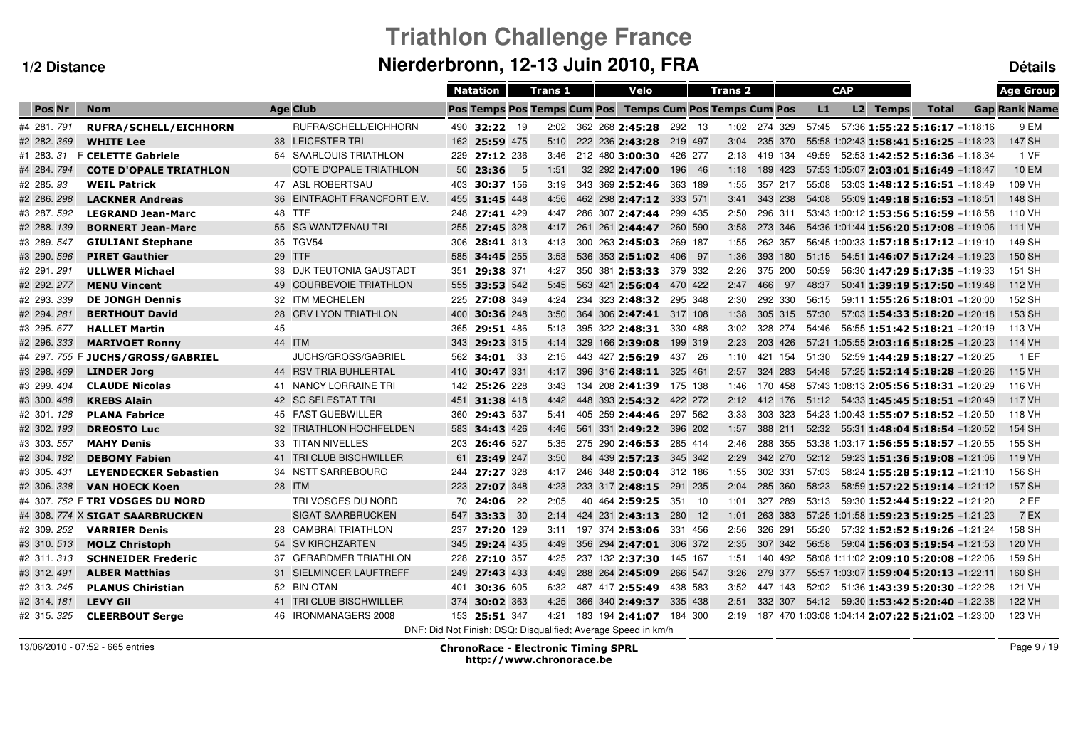# **Triathlon Challenge FranceNierderbronn, 12-13 Juin 2010, FRA Détails**

|               |                                  |    |                               |     | <b>Natation</b> |      | <b>Trans 1</b> |  | Velo                                                          |         |         | <b>Trans 2</b> |         |    |       | <b>CAP</b> |          |                                                  | <b>Age Group</b>     |
|---------------|----------------------------------|----|-------------------------------|-----|-----------------|------|----------------|--|---------------------------------------------------------------|---------|---------|----------------|---------|----|-------|------------|----------|--------------------------------------------------|----------------------|
| <b>Pos Nr</b> | <b>Nom</b>                       |    | <b>Age Club</b>               |     |                 |      |                |  | Pos Temps Pos Temps Cum Pos Temps Cum Pos Temps Cum Pos       |         |         |                |         |    | L1    |            | L2 Temps | <b>Total</b>                                     | <b>Gap Rank Name</b> |
| #4 281 791    | RUFRA/SCHELL/EICHHORN            |    | RUFRA/SCHELL/EICHHORN         |     | 490 32:22 19    |      |                |  | 2:02 362 268 2:45:28                                          |         | 292 13  | 1:02 274 329   |         |    |       |            |          | $57:45$ $57:36$ <b>1:55:22 5:16:17</b> +1:18:16  | 9 EM                 |
| #2 282.369    | <b>WHITE Lee</b>                 |    | 38 LEICESTER TRI              |     | 162 25:59 475   |      | 5:10           |  | 222 236 2:43:28                                               | 219 497 |         | 3:04           | 235 370 |    |       |            |          | 55:58 1:02:43 1:58:41 5:16:25 +1:18:23           | 147 SH               |
| #1 283.31     | <b>F CELETTE Gabriele</b>        |    | 54 SAARLOUIS TRIATHLON        |     | 229 27:12 236   |      | 3:46           |  | 212 480 3:00:30                                               | 426 277 |         | 2:13           | 419 134 |    | 49:59 |            |          | 52:53 1:42:52 5:16:36 +1:18:34                   | 1 VF                 |
| #4 284.794    | <b>COTE D'OPALE TRIATHLON</b>    |    | <b>COTE D'OPALE TRIATHLON</b> |     | 50 23:36        | $-5$ | 1:51           |  | 32 292 2:47:00                                                |         | 196 46  | 1:18           | 189 423 |    |       |            |          | 57:53 1:05:07 2:03:01 5:16:49 +1:18:47           | <b>10 EM</b>         |
| #2 285.93     | <b>WEIL Patrick</b>              |    | 47 ASL ROBERTSAU              |     | 403 30:37 156   |      | 3:19           |  | 343 369 2:52:46                                               |         | 363 189 | 1:55           | 357 217 |    | 55:08 |            |          | $53:03$ 1:48:12 5:16:51 +1:18:49                 | 109 VH               |
| #2 286.298    | <b>LACKNER Andreas</b>           |    | 36 EINTRACHT FRANCFORT E.V.   | 455 | 31:45 448       |      | 4:56           |  | 462 298 2:47:12                                               | 333 571 |         | 3:41           | 343 238 |    | 54:08 |            |          | 55:09 1:49:18 5:16:53 +1:18:51                   | 148 SH               |
| #3 287.592    | <b>LEGRAND Jean-Marc</b>         |    | 48 TTF                        | 248 | 27:41 429       |      | 4:47           |  | 286 307 2:47:44                                               |         | 299 435 | 2:50           | 296 311 |    |       |            |          | 53:43 1:00:12 1:53:56 5:16:59 +1:18:58           | 110 VH               |
| #2 288.139    | <b>BORNERT Jean-Marc</b>         |    | 55 SG WANTZENAU TRI           | 255 | 27:45 328       |      | 4:17           |  | 261 261 2:44:47                                               |         | 260 590 | 3:58           | 273 346 |    |       |            |          | 54:36 1:01:44 1:56:20 5:17:08 +1:19:06           | 111 VH               |
| #3 289.547    | <b>GIULIANI Stephane</b>         |    | 35 TGV54                      | 306 | 28:41 313       |      | 4:13           |  | 300 263 2:45:03                                               |         | 269 187 | 1:55           | 262 357 |    |       |            |          | 56:45 1:00:33 1:57:18 5:17:12 +1:19:10           | 149 SH               |
| #3 290. 596   | <b>PIRET Gauthier</b>            |    | 29 TTF                        | 585 | 34:45 255       |      | 3:53           |  | 536 353 2:51:02                                               | 406 97  |         | 1:36           | 393 180 |    | 51:15 |            |          | 54:51 1:46:07 5:17:24 +1:19:23                   | 150 SH               |
| #2 291.291    | <b>ULLWER Michael</b>            |    | 38 DJK TEUTONIA GAUSTADT      | 351 | 29:38 371       |      | 4:27           |  | 350 381 2:53:33                                               |         | 379 332 | 2:26           | 375 200 |    | 50:59 |            |          | 56:30 1:47:29 5:17:35 +1:19:33                   | 151 SH               |
| #2 292. 277   | <b>MENU Vincent</b>              |    | 49 COURBEVOIE TRIATHLON       |     | 555 33:53 542   |      | 5:45           |  | 563 421 2:56:04                                               |         | 470 422 | 2:47           | 466     | 97 | 48:37 |            |          | $50:41$ <b>1:39:19 5:17:50</b> +1:19:48          | 112 VH               |
| #2 293, 339   | <b>DE JONGH Dennis</b>           |    | 32 ITM MECHELEN               | 225 | 27:08 349       |      | 4:24           |  | 234 323 2:48:32                                               |         | 295 348 | 2:30           | 292 330 |    | 56:15 |            |          | 59:11 1:55:26 5:18:01 +1:20:00                   | 152 SH               |
| #2 294.281    | <b>BERTHOUT David</b>            |    | 28 CRV LYON TRIATHLON         | 400 | 30:36 248       |      | 3:50           |  | 364 306 2:47:41 317 108                                       |         |         | 1:38           | 305 315 |    | 57:30 |            |          | $57:03$ 1:54:33 5:18:20 +1:20:18                 | 153 SH               |
| #3 295.677    | <b>HALLET Martin</b>             | 45 |                               | 365 | 29:51 486       |      | 5:13           |  | 395 322 2:48:31                                               | 330 488 |         | 3:02           | 328 274 |    | 54:46 |            |          | 56:55 1:51:42 5:18:21 +1:20:19                   | 113 VH               |
| #2 296. 333   | <b>MARIVOET Ronny</b>            |    | 44 ITM                        | 343 | 29:23 315       |      | 4:14           |  | 329 166 2:39:08                                               |         | 199 319 | 2:23           | 203 426 |    |       |            |          | 57:21 1:05:55 2:03:16 5:18:25 +1:20:23           | 114 VH               |
| #4 297.755    | <b>F JUCHS/GROSS/GABRIEL</b>     |    | <b>JUCHS/GROSS/GABRIEL</b>    |     | 562 34:01 33    |      | 2:15           |  | 443 427 2:56:29                                               |         | 437 26  | 1:10           | 421 154 |    | 51:30 |            |          | 52:59 1:44:29 5:18:27 +1:20:25                   | 1EF                  |
| #3 298.469    | <b>LINDER Jorg</b>               |    | 44 RSV TRIA BUHLERTAL         |     | 410 30:47 331   |      | 4:17           |  | 396 316 2:48:11                                               | 325 461 |         | 2:57           | 324 283 |    | 54:48 |            |          | 57:25 1:52:14 5:18:28 +1:20:26                   | 115 VH               |
| #3 299.404    | <b>CLAUDE Nicolas</b>            |    | 41 NANCY LORRAINE TRI         |     | 142 25:26 228   |      | 3:43           |  | 134 208 2:41:39                                               |         | 175 138 | 1:46           | 170 458 |    |       |            |          | 57:43 1:08:13 2:05:56 5:18:31 +1:20:29           | 116 VH               |
| #3 300.488    | <b>KREBS Alain</b>               |    | 42 SC SELESTAT TRI            |     | 451 31:38 418   |      | 4:42           |  | 448 393 2:54:32                                               | 422 272 |         | 2:12           | 412 176 |    |       |            |          | $51:12$ $54:33$ <b>1:45:45 5:18:51</b> +1:20:49  | 117 VH               |
| #2 301.128    | <b>PLANA Fabrice</b>             |    | 45 FAST GUEBWILLER            | 360 | 29:43 537       |      | 5:41           |  | 405 259 2:44:46                                               |         | 297 562 | 3:33           | 303 323 |    |       |            |          | 54:23 1:00:43 1:55:07 5:18:52 +1:20:50           | 118 VH               |
| #2 302. 193   | <b>DREOSTO Luc</b>               |    | 32 TRIATHLON HOCHFELDEN       | 583 | 34:43 426       |      | 4:46           |  | 561 331 2:49:22                                               |         | 396 202 | 1:57           | 388 211 |    |       |            |          | 52:32  55:31  1:48:04  5:18:54   -1:20:52        | 154 SH               |
| #3 303.557    | <b>MAHY Denis</b>                |    | 33 TITAN NIVELLES             | 203 | 26:46 527       |      | 5:35           |  | 275 290 2:46:53                                               |         | 285 414 | 2:46           | 288 355 |    |       |            |          | 53:38 1:03:17 1:56:55 5:18:57 +1:20:55           | 155 SH               |
| #2 304. 182   | <b>DEBOMY Fabien</b>             |    | 41 TRI CLUB BISCHWILLER       | 61  | 23:49 247       |      | 3:50           |  | 84 439 2:57:23                                                |         | 345 342 | 2:29           | 342 270 |    | 52:12 |            |          | 59:23 1:51:36 5:19:08 +1:21:06                   | 119 VH               |
| #3 305.431    | <b>LEYENDECKER Sebastien</b>     |    | 34 NSTT SARREBOURG            | 244 | 27:27 328       |      | 4:17           |  | 246 348 2:50:04                                               |         | 312 186 | 1:55           | 302 331 |    | 57:03 |            |          | 58:24 1:55:28 5:19:12 +1:21:10                   | 156 SH               |
| #2 306.338    | <b>VAN HOECK Koen</b>            |    | 28 ITM                        | 223 | 27:07 348       |      | 4:23           |  | 233 317 2:48:15                                               |         | 291 235 | 2:04           | 285 360 |    | 58:23 |            |          | 58:59 1:57:22 5:19:14 +1:21:12                   | 157 SH               |
|               | #4 307, 752 F TRI VOSGES DU NORD |    | TRI VOSGES DU NORD            | 70  | <b>24:06</b> 22 |      | 2:05           |  | 40 464 2:59:25                                                | 351     | 10      | 1:01           | 327 289 |    | 53:13 |            |          | 59:30 1:52:44 5:19:22 +1:21:20                   | 2 EF                 |
|               | #4 308. 774 X SIGAT SAARBRUCKEN  |    | <b>SIGAT SAARBRUCKEN</b>      | 547 | 33:33 30        |      | 2:14           |  | 424 231 2:43:13                                               | 280     | 12      | 1:01           | 263 383 |    |       |            |          | 57:25 1:01:58 1:59:23 5:19:25 +1:21:23           | 7 EX                 |
| #2 309.252    | <b>VARRIER Denis</b>             |    | 28 CAMBRAI TRIATHLON          | 237 | 27:20 129       |      | 3:11           |  | 197 374 2:53:06                                               |         | 331 456 | 2:56           | 326 291 |    | 55:20 |            |          | 57:32 1:52:52 5:19:26 +1:21:24                   | 158 SH               |
| #3 310.513    | <b>MOLZ Christoph</b>            |    | 54 SV KIRCHZARTEN             | 345 | 29:24 435       |      | 4:49           |  | 356 294 2:47:01                                               |         | 306 372 | 2:35           | 307 342 |    | 56:58 |            |          | 59:04 1:56:03 5:19:54 +1:21:53                   | 120 VH               |
| #2 311, 313   | <b>SCHNEIDER Frederic</b>        |    | 37 GERARDMER TRIATHLON        |     | 228 27:10 357   |      | 4:25           |  | 237 132 2:37:30                                               | 145 167 |         | 1:51           | 140 492 |    |       |            |          | 58:08 1:11:02 2:09:10 5:20:08 +1:22:06           | 159 SH               |
| #3 312.491    | <b>ALBER Matthias</b>            |    | 31 SIELMINGER LAUFTREFF       |     | 249 27:43 433   |      | 4:49           |  | 288 264 2:45:09                                               | 266 547 |         | 3:26           | 279 377 |    |       |            |          | 55:57 1:03:07 1:59:04 5:20:13 +1:22:11           | 160 SH               |
| #2 313.245    | <b>PLANUS Chiristian</b>         |    | 52 BIN OTAN                   | 401 | 30:36 605       |      | 6:32           |  | 487 417 2:55:49                                               |         | 438 583 | 3:52           | 447 143 |    |       |            |          | 52:02 51:36 1:43:39 5:20:30 +1:22:28             | 121 VH               |
| #2 314.181    | <b>LEVY Gil</b>                  |    | 41 TRI CLUB BISCHWILLER       | 374 | 30:02 363       |      | 4:25           |  | 366 340 2:49:37 335 438                                       |         |         | 2:51           | 332 307 |    | 54:12 |            |          | 59:30 1:53:42 5:20:40 +1:22:38                   | 122 VH               |
| #2 315, 325   | <b>CLEERBOUT Serge</b>           |    | 46 IRONMANAGERS 2008          |     | 153 25:51 347   |      | 4:21           |  | 183 194 2:41:07 184 300                                       |         |         | 2:19           |         |    |       |            |          | 187 470 1:03:08 1:04:14 2:07:22 5:21:02 +1:23:00 | 123 VH               |
|               |                                  |    |                               |     |                 |      |                |  | DNF: Did Not Finish: DSQ: Disqualified: Average Speed in km/h |         |         |                |         |    |       |            |          |                                                  |                      |

13/06/2010 - 07:52 - 665 entries

 ChronoRace - Electronic Timing SPRL http://www.chronorace.be

Page 9 / 19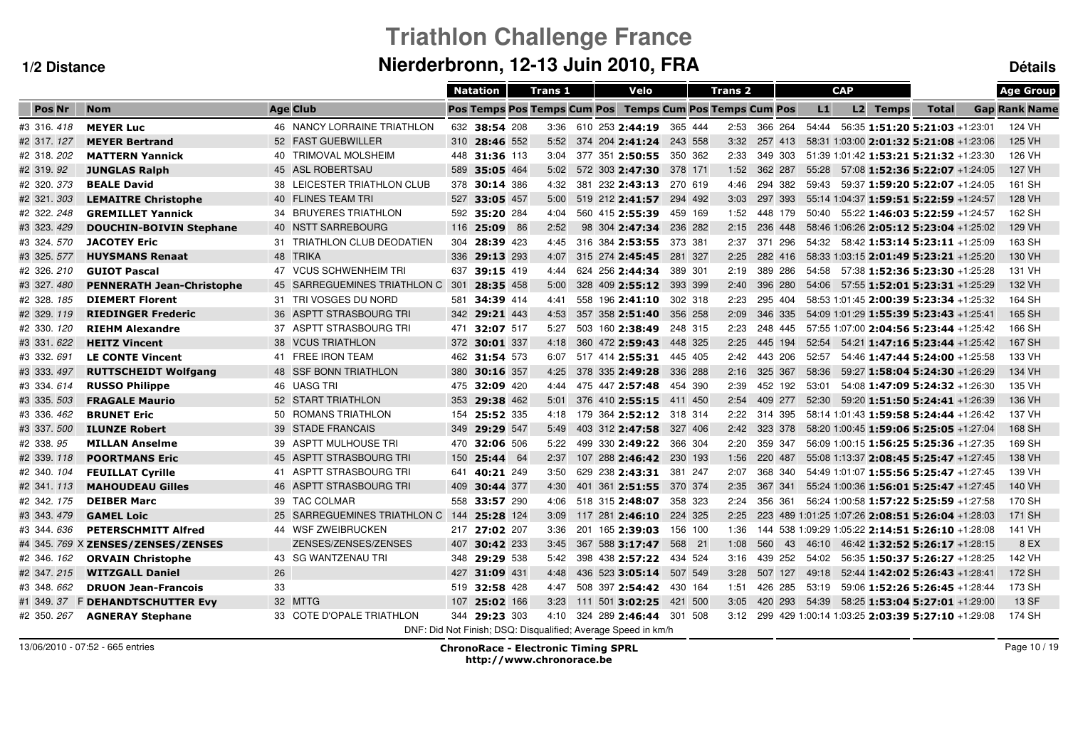# **Triathlon Challenge FranceNierderbronn, 12-13 Juin 2010, FRA Détails**

|               |                                    |    |                                  |     | <b>Natation</b> | <b>Trans 1</b>                     |  | Velo                                                          |         | Trans <sub>2</sub> |         |    |       | <b>CAP</b> |          |                                                       | <b>Age Group</b>     |
|---------------|------------------------------------|----|----------------------------------|-----|-----------------|------------------------------------|--|---------------------------------------------------------------|---------|--------------------|---------|----|-------|------------|----------|-------------------------------------------------------|----------------------|
| <b>Pos Nr</b> | <b>Nom</b>                         |    | <b>Age Club</b>                  |     |                 | <b>Pos Temps Pos Temps Cum Pos</b> |  | <b>Temps Cum Pos Temps Cum Pos</b>                            |         |                    |         |    | L1    |            | L2 Temps | <b>Total</b>                                          | <b>Gap Rank Name</b> |
| #3 316, 418   | <b>MEYER Luc</b>                   |    | 46 NANCY LORRAINE TRIATHLON      |     | 632 38:54 208   |                                    |  | 3:36 610 253 2:44:19                                          | 365 444 | 2:53               | 366 264 |    | 54:44 |            |          | 56:35 1:51:20 5:21:03 +1:23:01                        | 124 VH               |
| #2 317.127    | <b>MEYER Bertrand</b>              |    | 52 FAST GUEBWILLER               |     | 310 28:46 552   | 5:52                               |  | 374 204 2:41:24                                               | 243 558 | 3:32               | 257 413 |    |       |            |          | 58:31 1:03:00 2:01:32 5:21:08 +1:23:06                | 125 VH               |
| #2 318.202    | <b>MATTERN Yannick</b>             |    | 40 TRIMOVAL MOLSHEIM             |     | 448 31:36 113   | 3:04                               |  | 377 351 2:50:55                                               | 350 362 | 2:33               | 349 303 |    |       |            |          | 51:39 1:01:42 1:53:21 5:21:32 +1:23:30                | 126 VH               |
| #2 319.92     | <b>JUNGLAS Ralph</b>               |    | 45 ASL ROBERTSAU                 | 589 | 35:05 464       | 5:02                               |  | 572 303 2:47:30                                               | 378 171 | 1:52               | 362 287 |    | 55:28 |            |          | 57:08 1:52:36 5:22:07 +1:24:05                        | 127 VH               |
| #2 320.373    | <b>BEALE David</b>                 |    | 38 LEICESTER TRIATHLON CLUB      | 378 | 30:14 386       | 4:32                               |  | 381 232 2:43:13                                               | 270 619 | 4:46               | 294 382 |    | 59:43 |            |          | 59:37 1:59:20 5:22:07 +1:24:05                        | 161 SH               |
| #2 321.303    | <b>LEMAITRE Christophe</b>         |    | 40 FLINES TEAM TRI               | 527 | 33:05 457       | 5:00                               |  | 519 212 2:41:57                                               | 294 492 | 3:03               | 297 393 |    |       |            |          | 55:14 1:04:37 1:59:51 5:22:59 +1:24:57                | 128 VH               |
| #2 322.248    | <b>GREMILLET Yannick</b>           |    | 34 BRUYERES TRIATHLON            |     | 592 35:20 284   | 4:04                               |  | 560 415 2:55:39                                               | 459 169 | 1:52               | 448 179 |    | 50:40 |            |          | 55:22 1:46:03 5:22:59 +1:24:57                        | 162 SH               |
| #3 323.429    | <b>DOUCHIN-BOIVIN Stephane</b>     |    | 40 NSTT SARREBOURG               |     | 116 25:09 86    | 2:52                               |  | 98 304 2:47:34                                                | 236 282 | 2:15               | 236 448 |    |       |            |          | 58:46 1:06:26 2:05:12 5:23:04 +1:25:02                | 129 VH               |
| #3 324.570    | <b>JACOTEY Eric</b>                |    | 31 TRIATHLON CLUB DEODATIEN      | 304 | 28:39 423       | 4:45                               |  | 316 384 2:53:55                                               | 373 381 | 2:37               | 371 296 |    | 54:32 |            |          | 58:42 1:53:14 5:23:11 +1:25:09                        | 163 SH               |
| #3 325.577    | <b>HUYSMANS Renaat</b>             |    | 48 TRIKA                         |     | 336 29:13 293   | 4:07                               |  | 315 274 2:45:45                                               | 281 327 | 2:25               | 282 416 |    |       |            |          | 58:33 1:03:15 2:01:49 5:23:21 +1:25:20                | 130 VH               |
| #2 326, 210   | <b>GUIOT Pascal</b>                |    | 47 VCUS SCHWENHEIM TRI           |     | 637 39:15 419   | 4:44                               |  | 624 256 2:44:34                                               | 389 301 | 2:19               | 389 286 |    | 54:58 |            |          | 57:38 1:52:36 5:23:30 +1:25:28                        | 131 VH               |
| #3 327.480    | <b>PENNERATH Jean-Christophe</b>   |    | 45 SARREGUEMINES TRIATHLON C 301 |     | 28:35 458       | 5:00                               |  | 328 409 2:55:12 393 399                                       |         | 2:40               | 396 280 |    | 54:06 |            |          | $57:55$ 1:52:01 5:23:31 +1:25:29                      | 132 VH               |
| #2 328.185    | <b>DIEMERT Florent</b>             |    | 31 TRI VOSGES DU NORD            |     | 581 34:39 414   | 4:41                               |  | 558 196 2:41:10                                               | 302 318 | 2:23               | 295 404 |    |       |            |          | 58:53 1:01:45 2:00:39 5:23:34 +1:25:32                | 164 SH               |
| #2 329.119    | <b>RIEDINGER Frederic</b>          |    | 36 ASPTT STRASBOURG TRI          |     | 342 29:21 443   | 4:53                               |  | 357 358 2:51:40                                               | 356 258 | 2:09               | 346 335 |    |       |            |          | 54:09 1:01:29 1:55:39 5:23:43 +1:25:41                | 165 SH               |
| #2 330.120    | <b>RIEHM Alexandre</b>             |    | 37 ASPTT STRASBOURG TRI          |     | 471 32:07 517   | 5:27                               |  | 503 160 2:38:49                                               | 248 315 | 2:23               | 248 445 |    |       |            |          | 57:55 1:07:00 2:04:56 5:23:44 +1:25:42                | 166 SH               |
| #3 331.622    | <b>HEITZ Vincent</b>               |    | 38 VCUS TRIATHLON                |     | 372 30:01 337   | 4:18                               |  | 360 472 2:59:43                                               | 448 325 | 2:25               | 445 194 |    | 52:54 |            |          | 54:21 1:47:16 5:23:44 +1:25:42                        | 167 SH               |
| #3 332.691    | <b>LE CONTE Vincent</b>            |    | 41 FREE IRON TEAM                |     | 462 31:54 573   | 6:07                               |  | 517 414 2:55:31 445 405                                       |         | 2:42               | 443 206 |    | 52:57 |            |          | 54:46 1:47:44 5:24:00 +1:25:58                        | 133 VH               |
| #3 333.497    | <b>RUTTSCHEIDT Wolfgang</b>        |    | 48 SSF BONN TRIATHLON            | 380 | 30:16 357       | 4:25                               |  | 378 335 2:49:28                                               | 336 288 | 2:16               | 325 367 |    | 58:36 |            |          | 59:27 1:58:04 5:24:30 +1:26:29                        | 134 VH               |
| #3 334.614    | <b>RUSSO Philippe</b>              |    | 46 UASG TRI                      |     | 475 32:09 420   | 4:44                               |  | 475 447 2:57:48                                               | 454 390 | 2:39               | 452 192 |    | 53:01 |            |          | 54:08 1:47:09 5:24:32 +1:26:30                        | 135 VH               |
| #3 335. 503   | <b>FRAGALE Maurio</b>              |    | 52 START TRIATHLON               | 353 | 29:38 462       | 5:01                               |  | 376 410 2:55:15 411 450                                       |         | 2:54               | 409 277 |    | 52:30 |            |          | 59:20 1:51:50 5:24:41 +1:26:39                        | 136 VH               |
| #3 336, 462   | <b>BRUNET Eric</b>                 |    | 50 ROMANS TRIATHLON              |     | 154 25:52 335   | 4:18                               |  | 179 364 2:52:12 318 314                                       |         | 2:22               | 314 395 |    |       |            |          | 58:14 1:01:43 1:59:58 5:24:44 +1:26:42                | 137 VH               |
| #3 337.500    | <b>ILUNZE Robert</b>               |    | 39 STADE FRANCAIS                | 349 | 29:29 547       | 5:49                               |  | 403 312 2:47:58                                               | 327 406 | 2:42               | 323 378 |    |       |            |          | 58:20 1:00:45 1:59:06 5:25:05 +1:27:04                | 168 SH               |
| #2 338.95     | <b>MILLAN Anselme</b>              |    | 39 ASPTT MULHOUSE TRI            | 470 | 32:06 506       | 5:22                               |  | 499 330 2:49:22                                               | 366 304 | 2:20               | 359 347 |    |       |            |          | 56:09 1:00:15 1:56:25 5:25:36 +1:27:35                | 169 SH               |
| #2 339.118    | <b>POORTMANS Eric</b>              |    | 45 ASPTT STRASBOURG TRI          | 150 | 25:44 64        | 2:37                               |  | 107 288 2:46:42                                               | 230 193 | 1:56               | 220 487 |    |       |            |          | 55:08 1:13:37 2:08:45 5:25:47 +1:27:45                | 138 VH               |
| #2 340.104    | <b>FEUILLAT Cyrille</b>            |    | 41 ASPTT STRASBOURG TRI          | 641 | 40:21 249       | 3:50                               |  | 629 238 2:43:31                                               | 381 247 | 2:07               | 368 340 |    |       |            |          | 54:49 1:01:07 1:55:56 5:25:47 +1:27:45                | 139 VH               |
| #2 341.113    | <b>MAHOUDEAU Gilles</b>            |    | 46 ASPTT STRASBOURG TRI          | 409 | 30:44 377       | 4:30                               |  | 401 361 2:51:55                                               | 370 374 | 2:35               | 367 341 |    |       |            |          | 55:24 1:00:36 1:56:01 5:25:47 +1:27:45                | 140 VH               |
| #2 342.175    | <b>DEIBER Marc</b>                 |    | 39 TAC COLMAR                    | 558 | 33:57 290       | 4:06                               |  | 518 315 2:48:07                                               | 358 323 | 2:24               | 356 361 |    |       |            |          | 56:24 1:00:58 1:57:22 5:25:59 +1:27:58                | 170 SH               |
| #3 343.479    | <b>GAMEL Loic</b>                  |    | 25 SARREGUEMINES TRIATHLON C 144 |     | 25:28 124       | 3:09                               |  | 117 281 2:46:10                                               | 224 325 | 2:25               |         |    |       |            |          | 223 489 1:01:25 1:07:26 2:08:51 5:26:04 +1:28:03      | 171 SH               |
| #3 344.636    | <b>PETERSCHMITT Alfred</b>         |    | 44 WSF ZWEIBRUCKEN               |     | 217 27:02 207   | 3:36                               |  | 201 165 2:39:03                                               | 156 100 | 1:36               |         |    |       |            |          | 144 538 1:09:29 1:05:22 2:14:51 5:26:10 +1:28:08      | 141 VH               |
|               | #4 345. 769 X ZENSES/ZENSES/ZENSES |    | ZENSES/ZENSES/ZENSES             |     | 407 30:42 233   | 3:45                               |  | 367 588 3:17:47                                               | 568 21  | 1:08               | 560     | 43 | 46:10 |            |          | 46:42 1:32:52 5:26:17 +1:28:15                        | 8 EX                 |
| #2 346. 162   | <b>ORVAIN Christophe</b>           |    | 43 SG WANTZENAU TRI              | 348 | 29:29 538       | 5:42                               |  | 398 438 2:57:22                                               | 434 524 | 3:16               | 439 252 |    | 54:02 |            |          | 56:35 1:50:37 5:26:27 +1:28:25                        | 142 VH               |
| #2 347.215    | <b>WITZGALL Daniel</b>             | 26 |                                  | 427 | 31:09 431       | 4:48                               |  | 436 523 3:05:14 507 549                                       |         | 3:28               | 507 127 |    | 49:18 |            |          | 52:44 1:42:02 5:26:43 +1:28:41                        | 172 SH               |
| #3 348, 662   | <b>DRUON Jean-Francois</b>         | 33 |                                  |     | 519 32:58 428   | 4:47                               |  | 508 397 2:54:42 430 164                                       |         | 1:51               | 426 285 |    | 53:19 |            |          | 59:06 1:52:26 5:26:45 +1:28:44                        | 173 SH               |
| #1 349.37     | F DEHANDTSCHUTTER Evy              |    | 32 MTTG                          |     | 107 25:02 166   | 3:23                               |  | 111 501 3:02:25 421 500                                       |         | 3:05               | 420 293 |    | 54:39 |            |          | 58:25 1:53:04 5:27:01 +1:29:00                        | 13 SF                |
| #2 350, 267   | <b>AGNERAY Stephane</b>            |    | 33 COTE D'OPALE TRIATHLON        |     | 344 29:23 303   | 4:10                               |  | 324 289 2:46:44 301 508                                       |         |                    |         |    |       |            |          | 3:12 299 429 1:00:14 1:03:25 2:03:39 5:27:10 +1:29:08 | 174 SH               |
|               |                                    |    |                                  |     |                 |                                    |  | DNF: Did Not Finish; DSQ: Disqualified; Average Speed in km/h |         |                    |         |    |       |            |          |                                                       |                      |

13/06/2010 - 07:52 - 665 entries

 ChronoRace - Electronic Timing SPRL http://www.chronorace.be

Page 10 / 19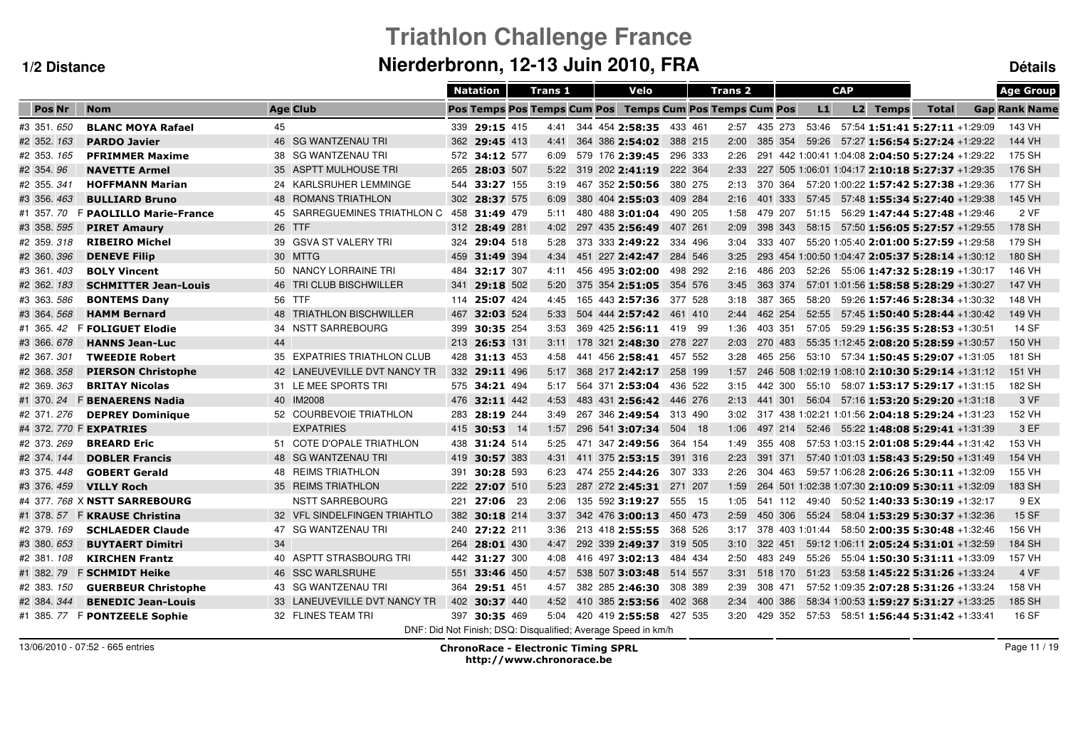# **Triathlon Challenge FranceNierderbronn, 12-13 Juin 2010, FRA Détails**

|               |                              |                              |     | <b>Natation</b> | <b>Trans 1</b> |  | Velo                                                          |         |         | <b>Trans 2</b> |         |                 | <b>CAP</b> |          |                                                   | <b>Age Group</b>     |
|---------------|------------------------------|------------------------------|-----|-----------------|----------------|--|---------------------------------------------------------------|---------|---------|----------------|---------|-----------------|------------|----------|---------------------------------------------------|----------------------|
| Pos Nr        | <b>Nom</b>                   | <b>Age Club</b>              |     |                 |                |  | Pos Temps Pos Temps Cum Pos Temps Cum Pos Temps Cum Pos       |         |         |                |         | L1              |            | L2 Temps | <b>Total</b>                                      | <b>Gap Rank Name</b> |
| #3 351 650    | <b>BLANC MOYA Rafael</b>     | 45                           |     | 339 29:15 415   | 4:41           |  | 344 454 2:58:35                                               | 433 461 |         | 2:57 435 273   |         |                 |            |          | 53:46  57:54 <b>1:51:41  5:27:11</b> +1:29:09     | 143 VH               |
| #2 352. 163   | <b>PARDO Javier</b>          | 46 SG WANTZENAU TRI          |     | 362 29:45 413   | 4:41           |  | 364 386 2:54:02                                               |         | 388 215 | 2:00           |         |                 |            |          | 385 354 59:26 57:27 1:56:54 5:27:24 +1:29:22      | 144 VH               |
| #2 353. 165   | <b>PFRIMMER Maxime</b>       | 38 SG WANTZENAU TRI          |     | 572 34:12 577   | 6:09           |  | 579 176 2:39:45                                               |         | 296 333 | 2:26           |         |                 |            |          | 291 442 1:00:41 1:04:08 2:04:50 5:27:24 +1:29:22  | 175 SH               |
| #2 354.96     | <b>NAVETTE Armel</b>         | 35 ASPTT MULHOUSE TRI        | 265 | 28:03 507       | 5:22           |  | 319 202 2:41:19                                               |         | 222 364 | 2:33           |         |                 |            |          | 227 505 1:06:01 1:04:17 2:10:18 5:27:37 +1:29:35  | 176 SH               |
| #2 355 341    | <b>HOFFMANN Marian</b>       | 24 KARLSRUHER LEMMINGE       | 544 | 33:27 155       | 3:19           |  | 467 352 2:50:56                                               |         | 380 275 | 2:13           |         |                 |            |          | 370 364 57:20 1:00:22 1:57:42 5:27:38 +1:29:36    | 177 SH               |
| #3 356.463    | <b>BULLIARD Bruno</b>        | 48 ROMANS TRIATHLON          | 302 | 28:37 575       | 6:09           |  | 380 404 2:55:03                                               |         | 409 284 | 2:16           | 401 333 | 57:45           |            |          | 57:48 1:55:34 5:27:40 +1:29:38                    | 145 VH               |
| #1 357, 70    | F PAOLILLO Marie-France      | 45 SARREGUEMINES TRIATHLON C | 458 | 31:49 479       | 5:11           |  | 480 488 3:01:04                                               |         | 490 205 | 1:58           | 479 207 | 51:15           |            |          | 56:29 1:47:44 5:27:48 +1:29:46                    | 2 VF                 |
| #3 358.595    | <b>PIRET Amaury</b>          | 26 TTF                       | 312 | 28:49 281       | 4:02           |  | 297 435 2:56:49                                               |         | 407 261 | 2:09           | 398 343 | 58:15           |            |          | 57:50 1:56:05 5:27:57 +1:29:55                    | 178 SH               |
| #2 359.318    | <b>RIBEIRO Michel</b>        | 39 GSVA ST VALERY TRI        | 324 | 29:04 518       | 5:28           |  | 373 333 2:49:22                                               |         | 334 496 | 3:04           | 333 407 |                 |            |          | 55:20 1:05:40 2:01:00 5:27:59 +1:29:58            | 179 SH               |
| #2 360.396    | <b>DENEVE Filip</b>          | 30 MTTG                      | 459 | 31:49 394       | 4:34           |  | 451 227 2:42:47                                               |         | 284 546 | 3:25           |         |                 |            |          | 293 454 1:00:50 1:04:47 2:05:37 5:28:14 +1:30:12  | 180 SH               |
| #3 361.403    | <b>BOLY Vincent</b>          | 50 NANCY LORRAINE TRI        | 484 | 32:17 307       | 4:11           |  | 456 495 3:02:00                                               |         | 498 292 | 2:16           | 486 203 | 52:26           |            |          | 55:06 1:47:32 5:28:19 +1:30:17                    | 146 VH               |
| #2 362. 183   | <b>SCHMITTER Jean-Louis</b>  | 46 TRI CLUB BISCHWILLER      | 341 | 29:18 502       | 5:20           |  | 375 354 2:51:05                                               | 354 576 |         | 3:45           | 363 374 |                 |            |          | 57:01 1:01:56 1:58:58 5:28:29 +1:30:27            | 147 VH               |
| #3 363, 586   | <b>BONTEMS Dany</b>          | 56 TTF                       |     | 114 25:07 424   | 4:45           |  | 165 443 2:57:36                                               | 377 528 |         | 3:18           | 387 365 | 58:20           |            |          | 59:26 1:57:46 5:28:34 +1:30:32                    | 148 VH               |
| #3 364.568    | <b>HAMM Bernard</b>          | 48 TRIATHLON BISCHWILLER     | 467 | 32:03 524       | 5:33           |  | 504 444 2:57:42 461 410                                       |         |         | 2:44           | 462 254 | 52:55           |            |          | 57:45 1:50:40 5:28:44 +1:30:42                    | 149 VH               |
| #1 365.42     | <b>F FOLIGUET Elodie</b>     | 34 NSTT SARREBOURG           | 399 | 30:35 254       | 3:53           |  | 369 425 2:56:11 419 99                                        |         |         | 1:36           | 403 351 |                 |            |          | 57:05 59:29 1:56:35 5:28:53 +1:30:51              | 14 SF                |
| #3 366.678    | <b>HANNS Jean-Luc</b>        | 44                           |     | 213 26:53 131   | 3:11           |  | 178 321 2:48:30                                               | 278 227 |         | 2:03           | 270 483 |                 |            |          | 55:35 1:12:45 2:08:20 5:28:59 +1:30:57            | 150 VH               |
| #2 367, 301   | <b>TWEEDIE Robert</b>        | 35 EXPATRIES TRIATHLON CLUB  |     | 428 31:13 453   | 4:58           |  | 441 456 2:58:41 457 552                                       |         |         | 3:28           | 465 256 |                 |            |          | 53:10 57:34 1:50:45 5:29:07 +1:31:05              | 181 SH               |
| #2 368.358    | <b>PIERSON Christophe</b>    | 42 LANEUVEVILLE DVT NANCY TR |     | 332 29:11 496   | 5:17           |  | 368 217 2:42:17                                               |         | 258 199 | 1:57           |         |                 |            |          | 246 508 1:02:19 1:08:10 2:10:30 5:29:14 +1:31:12  | 151 VH               |
| #2 369.363    | <b>BRITAY Nicolas</b>        | 31 LE MEE SPORTS TRI         |     | 575 34:21 494   | 5:17           |  | 564 371 2:53:04                                               |         | 436 522 | 3:15           | 442 300 |                 |            |          | $55:10$ $58:07$ <b>1:53:17 5:29:17</b> +1:31:15   | 182 SH               |
| #1 370.24     | <b>F BENAERENS Nadia</b>     | 40 IM2008                    |     | 476 32:11 442   | 4:53           |  | 483 431 2:56:42                                               | 446 276 |         | 2:13           | 441 301 |                 |            |          | 56:04 57:16 1:53:20 5:29:20 +1:31:18              | 3 VF                 |
| #2 371.276    | <b>DEPREY Dominique</b>      | 52 COURBEVOIE TRIATHLON      | 283 | 28:19 244       | 3:49           |  | 267 346 2:49:54                                               |         | 313 490 | 3:02           |         |                 |            |          | 317 438 1:02:21 1:01:56 2:04:18 5:29:24 +1:31:23  | 152 VH               |
|               | #4 372. 770 F EXPATRIES      | <b>EXPATRIES</b>             | 415 | 30:53 14        | 1:57           |  | 296 541 3:07:34                                               |         | 504 18  | 1:06           |         |                 |            |          | 497 214 52:46 55:22 1:48:08 5:29:41 +1:31:39      | 3 EF                 |
| #2 373.269    | <b>BREARD Eric</b>           | 51 COTE D'OPALE TRIATHLON    | 438 | 31:24 514       | 5:25           |  | 471 347 2:49:56                                               |         | 364 154 | 1:49           | 355 408 |                 |            |          | 57:53 1:03:15 2:01:08 5:29:44 +1:31:42            | 153 VH               |
| #2 374.144    | <b>DOBLER Francis</b>        | 48 SG WANTZENAU TRI          | 419 | 30:57 383       | 4:31           |  | 411 375 2:53:15                                               |         | 391 316 | 2:23           | 391 371 |                 |            |          | 57:40 1:01:03 1:58:43 5:29:50 +1:31:49            | 154 VH               |
| #3 375, 448   | <b>GOBERT Gerald</b>         | 48 REIMS TRIATHLON           | 391 | 30:28 593       | 6:23           |  | 474 255 2:44:26                                               |         | 307 333 | 2:26           | 304 463 |                 |            |          | 59:57 1:06:28 2:06:26 5:30:11 +1:32:09            | 155 VH               |
| #3 376, 459   | <b>VILLY Roch</b>            | 35 REIMS TRIATHLON           | 222 | 27:07 510       | 5:23           |  | 287 272 2:45:31                                               | 271 207 |         | 1:59           |         |                 |            |          | 264 501 1:02:38 1:07:30 2:10:09 5:30:11 +1:32:09  | 183 SH               |
|               | #4 377.768 X NSTT SARREBOURG | <b>NSTT SARREBOURG</b>       | 221 | 27:06 23        | 2:06           |  | 135 592 3:19:27                                               |         | 555 15  | 1:05           | 541 112 | 49:40           |            |          | 50:52 1:40:33 5:30:19 +1:32:17                    | 9 EX                 |
| #1 378.<br>57 | <b>F KRAUSE Christina</b>    | 32 VFL SINDELFINGEN TRIAHTLO | 382 | 30:18 214       | 3:37           |  | 342 476 3:00:13                                               |         | 450 473 | 2:59           | 450 306 | 55:24           |            |          | 58:04 1:53:29 5:30:37 +1:32:36                    | <b>15 SF</b>         |
| #2 379.169    | <b>SCHLAEDER Claude</b>      | 47 SG WANTZENAU TRI          |     | 240 27:22 211   | 3:36           |  | 213 418 2:55:55                                               |         | 368 526 | 3:17           |         | 378 403 1:01:44 |            |          | 58:50 2:00:35 5:30:48 +1:32:46                    | 156 VH               |
| #3 380.653    | <b>BUYTAERT Dimitri</b>      | 34                           | 264 | 28:01 430       | 4:47           |  | 292 339 2:49:37                                               |         | 319 505 | 3:10           | 322 451 |                 |            |          | 59:12 1:06:11 2:05:24 5:31:01 +1:32:59            | 184 SH               |
| #2 381, 108   | <b>KIRCHEN Frantz</b>        | 40 ASPTT STRASBOURG TRI      |     | 442 31:27 300   | 4:08           |  | 416 497 3:02:13                                               |         | 484 434 | 2:50           | 483 249 | 55:26           |            |          | 55:04 1:50:30 5:31:11 +1:33:09                    | 157 VH               |
| #1 382.79     | <b>F SCHMIDT Heike</b>       | 46 SSC WARLSRUHE             | 551 | 33:46 450       | 4:57           |  | 538 507 3:03:48                                               | 514 557 |         | 3:31           | 518 170 |                 |            |          | 51:23    53:58 <b>1:45:22    5:31:26</b> +1:33:24 | 4 VF                 |
| #2 383. 150   | <b>GUERBEUR Christophe</b>   | 43 SG WANTZENAU TRI          | 364 | 29:51 451       | 4:57           |  | 382 285 2:46:30                                               |         | 308 389 | 2:39           | 308 471 |                 |            |          | 57:52 1:09:35 2:07:28 5:31:26 +1:33:24            | 158 VH               |
| #2 384, 344   | <b>BENEDIC Jean-Louis</b>    | 33 LANEUVEVILLE DVT NANCY TR |     | 402 30:37 440   | 4:52           |  | 410 385 2:53:56                                               | 402 368 |         | 2:34           | 400 386 |                 |            |          | 58:34 1:00:53 1:59:27 5:31:27 +1:33:25            | 185 SH               |
|               | #1 385.77 F PONTZEELE Sophie | 32 FLINES TEAM TRI           |     | 397 30:35 469   | 5:04           |  | 420 419 2:55:58 427 535                                       |         |         | $3:20$ 429 352 |         |                 |            |          | 57:53    58:51 <b>1:56:44    5:31:42</b> +1:33:41 | 16 SF                |
|               |                              |                              |     |                 |                |  | DNF: Did Not Finish; DSQ: Disqualified; Average Speed in km/h |         |         |                |         |                 |            |          |                                                   |                      |

13/06/2010 - 07:52 - 665 entries

 ChronoRace - Electronic Timing SPRL http://www.chronorace.be

Page 11 / 19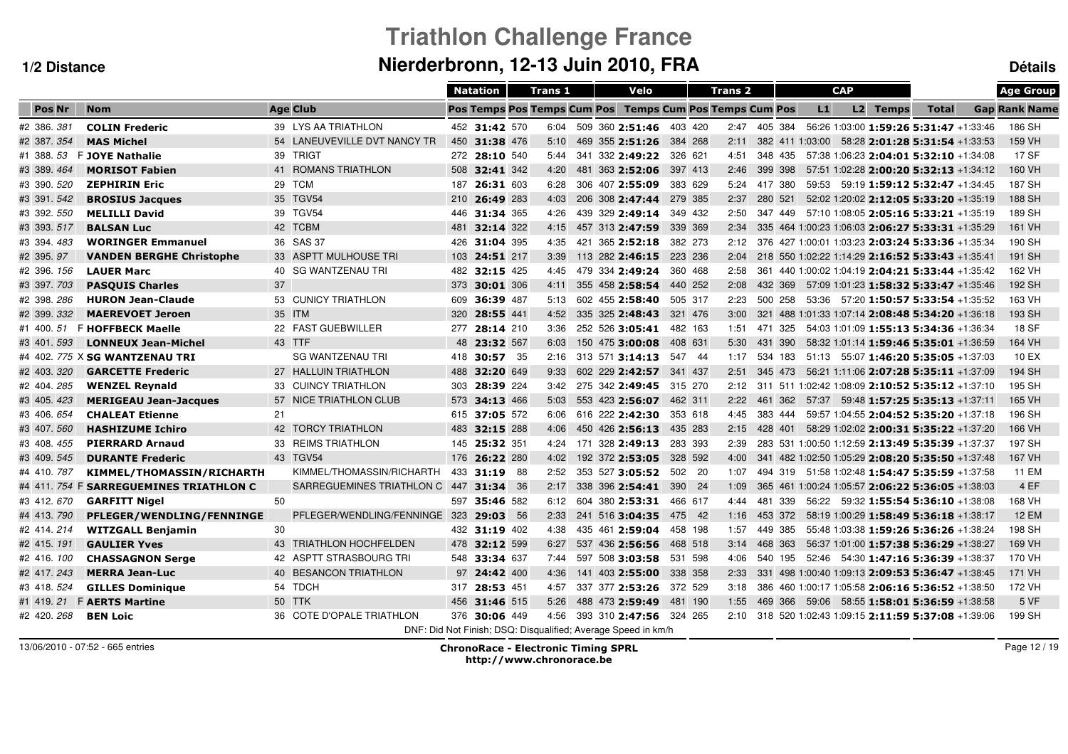# **Triathlon Challenge FranceNierderbronn, 12-13 Juin 2010, FRA Détails**

| <b>Nom</b><br><b>Age Club</b><br><b>Pos Temps Pos Temps Cum Pos</b><br><b>Temps Cum Pos Temps Cum Pos</b><br>L1<br>L2 Temps<br><b>Gap Rank Name</b><br><b>Pos Nr</b><br><b>Total</b><br>#2 386.381<br>39 LYS AA TRIATHLON<br>509 360 2:51:46 403 420<br>186 SH<br><b>COLIN Frederic</b><br>452 31:42 570<br>6:04<br>2:47 405 384<br>56:26 1:03:00 1:59:26 5:31:47 +1:33:46<br>#2 387.354<br>54 LANEUVEVILLE DVT NANCY TR<br>159 VH<br><b>MAS Michel</b><br>450 31:38 476<br>469 355 2:51:26<br>384 268<br>2:11<br>382 411 1:03:00<br>58:28 2:01:28 5:31:54 +1:33:53<br>5:10<br>17 SF<br>#1 388.53<br>F JOYE Nathalie<br>39 TRIGT<br>272 28:10 540<br>341 332 2:49:22<br>326 621<br>4:51<br>348 435<br>57:38 1:06:23 2:04:01 5:32:10 +1:34:08<br>5:44<br>41 ROMANS TRIATHLON<br>508 32:41 342<br>481 363 2:52:06<br>397 413<br>2:46<br>399 398<br>57:51 1:02:28 2:00:20 5:32:13 +1:34:12<br>160 VH<br><b>MORISOT Fabien</b><br>4:20<br>187 SH<br>#3 390. 520<br><b>ZEPHIRIN Eric</b><br>29 TCM<br>306 407 2:55:09<br>383 629<br>5:24<br>417 380<br>59:53 59:19 1:59:12 5:32:47 +1:34:45<br>187<br>26:31 603<br>6:28<br>35 TGV54<br>#3 391.542<br><b>BROSIUS Jacques</b><br>26:49 283<br>4:03<br>206 308 2:47:44<br>279 385<br>2:37<br>280 521<br>52:02 1:20:02 2:12:05 5:33:20 +1:35:19<br>188 SH<br>210<br>39 TGV54<br>189 SH<br>#3 392. 550<br><b>MELILLI David</b><br>31:34 365<br>439 329 2:49:14<br>349 432<br>2:50<br>347 449<br>57:10 1:08:05 2:05:16 5:33:21 +1:35:19<br>446<br>4:26<br>42 TCBM<br>#3 393.517<br><b>BALSAN Luc</b><br>32:14 322<br>457 313 2:47:59<br>161 VH<br>481<br>4:15<br>339 369<br>2:34<br>335 464 1:00:23 1:06:03 2:06:27 5:33:31 +1:35:29<br>36 SAS 37<br>190 SH<br>421 365 2:52:18<br>382 273<br>376 427 1:00:01 1:03:23 2:03:24 5:33:36 +1:35:34<br>#3 394.483<br><b>WORINGER Emmanuel</b><br>426<br>31:04 395<br>4:35<br>2:12<br>33 ASPTT MULHOUSE TRI<br>#2 395.97<br>103<br>113 282 2:46:15<br>223 236<br>2:04<br>218 550 1:02:22 1:14:29 2:16:52 5:33:43 +1:35:41<br>191 SH<br><b>VANDEN BERGHE Christophe</b><br>24:51 217<br>3:39<br>40 SG WANTZENAU TRI<br>#2 396, 156<br>479 334 2:49:24<br>361 440 1:00:02 1:04:19 2:04:21 5:33:44 +1:35:42<br>162 VH<br><b>LAUER Marc</b><br>482<br>32:15 425<br>4:45<br>360 468<br>2:58<br>37<br>192 SH<br>#3 397.703<br>373<br>355 458 2:58:54<br>440 252<br>2:08<br>432 369<br>57:09 1:01:23 1:58:32 5:33:47 +1:35:46<br><b>PASQUIS Charles</b><br>30:01 306<br>4:11<br>53 CUNICY TRIATHLON<br>163 VH<br>#2 398.286<br><b>HURON Jean-Claude</b><br>36:39 487<br>602 455 2:58:40<br>505 317<br>500 258<br>53:36 57:20 1:50:57 5:33:54 +1:35:52<br>609<br>5:13<br>2:23<br>35 ITM<br>#2 399.332<br>320<br>4:52<br>335 325 2:48:43<br>321 476<br>3:00<br>321 488 1:01:33 1:07:14 2:08:48 5:34:20 +1:36:18<br>193 SH<br><b>MAEREVOET Jeroen</b><br>28:55 441<br>F HOFFBECK Maelle<br>22 FAST GUEBWILLER<br>54:03 1:01:09 1:55:13 5:34:36 +1:36:34<br>18 SF<br>#1 400.51<br>277 28:14 210<br>3:36<br>252 526 3:05:41<br>482 163<br>1:51<br>471 325<br>43 TTF<br>164 VH<br>#3 401.593<br>48 23:32 567<br>150 475 3:00:08<br>408 631<br>5:30<br>431 390<br>58:32 1:01:14 1:59:46 5:35:01 +1:36:59<br><b>LONNEUX Jean-Michel</b><br>6:03<br><b>SG WANTZENAU TRI</b><br>10 EX<br>#4 402. 775 X SG WANTZENAU TRI<br>418 30:57 35<br>313 571 3:14:13 547 44<br>51:13  55:07  1:46:20  5:35:05  +1:37:03<br>2:16<br>1:17<br>534 183<br>27 HALLUIN TRIATHLON<br>194 SH<br>#2 403.320<br><b>GARCETTE Frederic</b><br>488 32:20 649<br>9:33<br>602 229 2:42:57 341 437<br>2:51<br>345 473<br>56:21 1:11:06 2:07:28 5:35:11 +1:37:09<br>33 CUINCY TRIATHLON<br>195 SH<br>#2 404.285<br><b>WENZEL Reynald</b><br>303 28:39 224<br>275 342 2:49:45 315 270<br>311 511 1:02:42 1:08:09 2:10:52 5:35:12 +1:37:10<br>3:42<br>2:12<br>57 NICE TRIATHLON CLUB<br>165 VH<br>#3 405.423<br><b>MERIGEAU Jean-Jacques</b><br>573 34:13 466<br>5:03<br>553 423 2:56:07<br>462 311<br>2:22<br>461 362<br>57:37 59:48 1:57:25 5:35:13 +1:37:11<br><b>CHALEAT Etienne</b><br>21<br>615 37:05 572<br>616 222 2:42:30<br>196 SH<br>#3 406.654<br>353 618<br>4:45<br>383 444<br>59:57 1:04:55 2:04:52 5:35:20 +1:37:18<br>6:06<br>42 TORCY TRIATHLON<br>166 VH<br>#3 407.560<br>483 32:15 288<br>450 426 2:56:13<br>2:15<br>428 401<br>58:29 1:02:02 2:00:31 5:35:22 +1:37:20<br><b>HASHIZUME Ichiro</b><br>4:06<br>435 283<br>33 REIMS TRIATHLON<br>197 SH<br>#3 408.455<br><b>PIERRARD Arnaud</b><br>145 25:32 351<br>171 328 2:49:13<br>283 393<br>2:39<br>283 531 1:00:50 1:12:59 2:13:49 5:35:39 +1:37:37<br>4:24<br>43 TGV54<br>167 VH<br>#3 409.545<br><b>DURANTE Frederic</b><br>176 26:22 280<br>4:02<br>192 372 2:53:05<br>328 592<br>4:00<br>341 482 1:02:50 1:05:29 2:08:20 5:35:50 +1:37:48<br>KIMMEL/THOMASSIN/RICHARTH<br>11 EM<br>#4 410.787<br>KIMMEL/THOMASSIN/RICHARTH<br>433 31:19 88<br>353 527 3:05:52<br>502 20<br>1:07<br>494 319 51:58 1:02:48 1:54:47 5:35:59 +1:37:58<br>2:52<br>4 EF<br>#4 411. 754 F SARREGUEMINES TRIATHLON C<br>SARREGUEMINES TRIATHLON C 447 31:34 36<br>338 396 2:54:41<br>390 24<br>2:17<br>1:09<br>365 461 1:00:24 1:05:57 2:06:22 5:36:05 +1:38:03<br>50<br>168 VH<br>604 380 2:53:31 466 617<br>56:22  59:32  1:55:54  5:36:10  +1:38:08<br>#3 412.670<br><b>GARFITT Nigel</b><br>597 35:46 582<br>6:12<br>4:44<br>481 339<br>PFLEGER/WENDLING/FENNINGE 323<br>#4 413.790<br>29:03 56<br>2:33<br>241 516 3:04:35<br>475 42<br>453 372<br>58:19 1:00:29 1:58:49 5:36:18 +1:38:17<br><b>12 EM</b><br>PFLEGER/WENDLING/FENNINGE<br>1:16<br>30<br>198 SH<br>#2 414, 214<br>432 31:19 402<br>458 198<br>1:57<br>55:48 1:03:38 1:59:26 5:36:26 +1:38:24<br><b>WITZGALL Benjamin</b><br>4:38<br>435 461 2:59:04<br>449 385<br>43 TRIATHLON HOCHFELDEN<br>#2 415.191<br><b>GAULIER Yves</b><br>478<br>32:12 599<br>6:27<br>537 436 2:56:56<br>468 518<br>3:14<br>468 363<br>56:37 1:01:00 1:57:38 5:36:29 +1:38:27<br>169 VH<br>42 ASPTT STRASBOURG TRI<br>597 508 3:03:58<br>170 VH<br>#2 416. 100<br><b>CHASSAGNON Serge</b><br>33:34 637<br>531 598<br>4:06<br>540 195<br>52:46 54:30 1:47:16 5:36:39 +1:38:37<br>548<br>7:44<br>#2 417.243<br>40 BESANCON TRIATHLON<br>97 24:42 400<br>4:36<br>141 403 2:55:00<br>338 358<br>2:33<br>331 498 1:00:40 1:09:13 2:09:53 5:36:47 +1:38:45<br>171 VH<br><b>MERRA Jean-Luc</b><br>#3 418.524<br>54 TDCH<br>372 529<br>172 VH<br><b>GILLES Dominique</b><br>317 28:53 451<br>4:57<br>337 377 2:53:26<br>3:18<br>386 460 1:00:17 1:05:58 2:06:16 5:36:52 +1:38:50<br>50 TTK<br>5 VF<br>#1 419.21<br><b>F AERTS Martine</b><br>456 31:46 515<br>488 473 2:59:49<br>469 366 59:06 58:55 1:58:01 5:36:59 +1:38:58<br>5:26<br>481 190<br>1:55<br>36 COTE D'OPALE TRIATHLON<br>376 30:06 449<br>393 310 2:47:56 324 265<br>199 SH<br>#2 420.268<br><b>BEN Loic</b><br>4:56<br>2:10 318 520 1:02:43 1:09:15 2:11:59 5:37:08 +1:39:06<br>DNF: Did Not Finish: DSQ: Disqualified: Average Speed in km/h |            |  | <b>Natation</b> | <b>Trans 1</b> |  | Velo | <b>Trans 2</b> |  | <b>CAP</b> |  | <b>Age Group</b> |
|--------------------------------------------------------------------------------------------------------------------------------------------------------------------------------------------------------------------------------------------------------------------------------------------------------------------------------------------------------------------------------------------------------------------------------------------------------------------------------------------------------------------------------------------------------------------------------------------------------------------------------------------------------------------------------------------------------------------------------------------------------------------------------------------------------------------------------------------------------------------------------------------------------------------------------------------------------------------------------------------------------------------------------------------------------------------------------------------------------------------------------------------------------------------------------------------------------------------------------------------------------------------------------------------------------------------------------------------------------------------------------------------------------------------------------------------------------------------------------------------------------------------------------------------------------------------------------------------------------------------------------------------------------------------------------------------------------------------------------------------------------------------------------------------------------------------------------------------------------------------------------------------------------------------------------------------------------------------------------------------------------------------------------------------------------------------------------------------------------------------------------------------------------------------------------------------------------------------------------------------------------------------------------------------------------------------------------------------------------------------------------------------------------------------------------------------------------------------------------------------------------------------------------------------------------------------------------------------------------------------------------------------------------------------------------------------------------------------------------------------------------------------------------------------------------------------------------------------------------------------------------------------------------------------------------------------------------------------------------------------------------------------------------------------------------------------------------------------------------------------------------------------------------------------------------------------------------------------------------------------------------------------------------------------------------------------------------------------------------------------------------------------------------------------------------------------------------------------------------------------------------------------------------------------------------------------------------------------------------------------------------------------------------------------------------------------------------------------------------------------------------------------------------------------------------------------------------------------------------------------------------------------------------------------------------------------------------------------------------------------------------------------------------------------------------------------------------------------------------------------------------------------------------------------------------------------------------------------------------------------------------------------------------------------------------------------------------------------------------------------------------------------------------------------------------------------------------------------------------------------------------------------------------------------------------------------------------------------------------------------------------------------------------------------------------------------------------------------------------------------------------------------------------------------------------------------------------------------------------------------------------------------------------------------------------------------------------------------------------------------------------------------------------------------------------------------------------------------------------------------------------------------------------------------------------------------------------------------------------------------------------------------------------------------------------------------------------------------------------------------------------------------------------------------------------------------------------------------------------------------------------------------------------------------------------------------------------------------------------------------------------------------------------------------------------------------------------------------------------------------------------------------------------------------------------------------------------------------------------------------------------------------------------------------------------------------------------------------------------------------------------------------------------------------------------------------------------------------------------------------------------------------------------------------------------------------------------------------------------------------------------------------------------------------------------------------------------------------------------------------------------------------------------------------------------------------------------------------------------------------------------------------------------------------------------------------------------------------------------------------------------------------------------------------------------------------------------------------------------------------------------------------------------------------------------------------------------------------------------------------------------------------------------------------------------------|------------|--|-----------------|----------------|--|------|----------------|--|------------|--|------------------|
|                                                                                                                                                                                                                                                                                                                                                                                                                                                                                                                                                                                                                                                                                                                                                                                                                                                                                                                                                                                                                                                                                                                                                                                                                                                                                                                                                                                                                                                                                                                                                                                                                                                                                                                                                                                                                                                                                                                                                                                                                                                                                                                                                                                                                                                                                                                                                                                                                                                                                                                                                                                                                                                                                                                                                                                                                                                                                                                                                                                                                                                                                                                                                                                                                                                                                                                                                                                                                                                                                                                                                                                                                                                                                                                                                                                                                                                                                                                                                                                                                                                                                                                                                                                                                                                                                                                                                                                                                                                                                                                                                                                                                                                                                                                                                                                                                                                                                                                                                                                                                                                                                                                                                                                                                                                                                                                                                                                                                                                                                                                                                                                                                                                                                                                                                                                                                                                                                                                                                                                                                                                                                                                                                                                                                                                                                                                                                                                                                                                                                                                                                                                                                                                                                                                                                                                                                                                                                                                                      |            |  |                 |                |  |      |                |  |            |  |                  |
|                                                                                                                                                                                                                                                                                                                                                                                                                                                                                                                                                                                                                                                                                                                                                                                                                                                                                                                                                                                                                                                                                                                                                                                                                                                                                                                                                                                                                                                                                                                                                                                                                                                                                                                                                                                                                                                                                                                                                                                                                                                                                                                                                                                                                                                                                                                                                                                                                                                                                                                                                                                                                                                                                                                                                                                                                                                                                                                                                                                                                                                                                                                                                                                                                                                                                                                                                                                                                                                                                                                                                                                                                                                                                                                                                                                                                                                                                                                                                                                                                                                                                                                                                                                                                                                                                                                                                                                                                                                                                                                                                                                                                                                                                                                                                                                                                                                                                                                                                                                                                                                                                                                                                                                                                                                                                                                                                                                                                                                                                                                                                                                                                                                                                                                                                                                                                                                                                                                                                                                                                                                                                                                                                                                                                                                                                                                                                                                                                                                                                                                                                                                                                                                                                                                                                                                                                                                                                                                                      |            |  |                 |                |  |      |                |  |            |  |                  |
|                                                                                                                                                                                                                                                                                                                                                                                                                                                                                                                                                                                                                                                                                                                                                                                                                                                                                                                                                                                                                                                                                                                                                                                                                                                                                                                                                                                                                                                                                                                                                                                                                                                                                                                                                                                                                                                                                                                                                                                                                                                                                                                                                                                                                                                                                                                                                                                                                                                                                                                                                                                                                                                                                                                                                                                                                                                                                                                                                                                                                                                                                                                                                                                                                                                                                                                                                                                                                                                                                                                                                                                                                                                                                                                                                                                                                                                                                                                                                                                                                                                                                                                                                                                                                                                                                                                                                                                                                                                                                                                                                                                                                                                                                                                                                                                                                                                                                                                                                                                                                                                                                                                                                                                                                                                                                                                                                                                                                                                                                                                                                                                                                                                                                                                                                                                                                                                                                                                                                                                                                                                                                                                                                                                                                                                                                                                                                                                                                                                                                                                                                                                                                                                                                                                                                                                                                                                                                                                                      |            |  |                 |                |  |      |                |  |            |  |                  |
|                                                                                                                                                                                                                                                                                                                                                                                                                                                                                                                                                                                                                                                                                                                                                                                                                                                                                                                                                                                                                                                                                                                                                                                                                                                                                                                                                                                                                                                                                                                                                                                                                                                                                                                                                                                                                                                                                                                                                                                                                                                                                                                                                                                                                                                                                                                                                                                                                                                                                                                                                                                                                                                                                                                                                                                                                                                                                                                                                                                                                                                                                                                                                                                                                                                                                                                                                                                                                                                                                                                                                                                                                                                                                                                                                                                                                                                                                                                                                                                                                                                                                                                                                                                                                                                                                                                                                                                                                                                                                                                                                                                                                                                                                                                                                                                                                                                                                                                                                                                                                                                                                                                                                                                                                                                                                                                                                                                                                                                                                                                                                                                                                                                                                                                                                                                                                                                                                                                                                                                                                                                                                                                                                                                                                                                                                                                                                                                                                                                                                                                                                                                                                                                                                                                                                                                                                                                                                                                                      |            |  |                 |                |  |      |                |  |            |  |                  |
|                                                                                                                                                                                                                                                                                                                                                                                                                                                                                                                                                                                                                                                                                                                                                                                                                                                                                                                                                                                                                                                                                                                                                                                                                                                                                                                                                                                                                                                                                                                                                                                                                                                                                                                                                                                                                                                                                                                                                                                                                                                                                                                                                                                                                                                                                                                                                                                                                                                                                                                                                                                                                                                                                                                                                                                                                                                                                                                                                                                                                                                                                                                                                                                                                                                                                                                                                                                                                                                                                                                                                                                                                                                                                                                                                                                                                                                                                                                                                                                                                                                                                                                                                                                                                                                                                                                                                                                                                                                                                                                                                                                                                                                                                                                                                                                                                                                                                                                                                                                                                                                                                                                                                                                                                                                                                                                                                                                                                                                                                                                                                                                                                                                                                                                                                                                                                                                                                                                                                                                                                                                                                                                                                                                                                                                                                                                                                                                                                                                                                                                                                                                                                                                                                                                                                                                                                                                                                                                                      | #3 389.464 |  |                 |                |  |      |                |  |            |  |                  |
|                                                                                                                                                                                                                                                                                                                                                                                                                                                                                                                                                                                                                                                                                                                                                                                                                                                                                                                                                                                                                                                                                                                                                                                                                                                                                                                                                                                                                                                                                                                                                                                                                                                                                                                                                                                                                                                                                                                                                                                                                                                                                                                                                                                                                                                                                                                                                                                                                                                                                                                                                                                                                                                                                                                                                                                                                                                                                                                                                                                                                                                                                                                                                                                                                                                                                                                                                                                                                                                                                                                                                                                                                                                                                                                                                                                                                                                                                                                                                                                                                                                                                                                                                                                                                                                                                                                                                                                                                                                                                                                                                                                                                                                                                                                                                                                                                                                                                                                                                                                                                                                                                                                                                                                                                                                                                                                                                                                                                                                                                                                                                                                                                                                                                                                                                                                                                                                                                                                                                                                                                                                                                                                                                                                                                                                                                                                                                                                                                                                                                                                                                                                                                                                                                                                                                                                                                                                                                                                                      |            |  |                 |                |  |      |                |  |            |  |                  |
|                                                                                                                                                                                                                                                                                                                                                                                                                                                                                                                                                                                                                                                                                                                                                                                                                                                                                                                                                                                                                                                                                                                                                                                                                                                                                                                                                                                                                                                                                                                                                                                                                                                                                                                                                                                                                                                                                                                                                                                                                                                                                                                                                                                                                                                                                                                                                                                                                                                                                                                                                                                                                                                                                                                                                                                                                                                                                                                                                                                                                                                                                                                                                                                                                                                                                                                                                                                                                                                                                                                                                                                                                                                                                                                                                                                                                                                                                                                                                                                                                                                                                                                                                                                                                                                                                                                                                                                                                                                                                                                                                                                                                                                                                                                                                                                                                                                                                                                                                                                                                                                                                                                                                                                                                                                                                                                                                                                                                                                                                                                                                                                                                                                                                                                                                                                                                                                                                                                                                                                                                                                                                                                                                                                                                                                                                                                                                                                                                                                                                                                                                                                                                                                                                                                                                                                                                                                                                                                                      |            |  |                 |                |  |      |                |  |            |  |                  |
|                                                                                                                                                                                                                                                                                                                                                                                                                                                                                                                                                                                                                                                                                                                                                                                                                                                                                                                                                                                                                                                                                                                                                                                                                                                                                                                                                                                                                                                                                                                                                                                                                                                                                                                                                                                                                                                                                                                                                                                                                                                                                                                                                                                                                                                                                                                                                                                                                                                                                                                                                                                                                                                                                                                                                                                                                                                                                                                                                                                                                                                                                                                                                                                                                                                                                                                                                                                                                                                                                                                                                                                                                                                                                                                                                                                                                                                                                                                                                                                                                                                                                                                                                                                                                                                                                                                                                                                                                                                                                                                                                                                                                                                                                                                                                                                                                                                                                                                                                                                                                                                                                                                                                                                                                                                                                                                                                                                                                                                                                                                                                                                                                                                                                                                                                                                                                                                                                                                                                                                                                                                                                                                                                                                                                                                                                                                                                                                                                                                                                                                                                                                                                                                                                                                                                                                                                                                                                                                                      |            |  |                 |                |  |      |                |  |            |  |                  |
|                                                                                                                                                                                                                                                                                                                                                                                                                                                                                                                                                                                                                                                                                                                                                                                                                                                                                                                                                                                                                                                                                                                                                                                                                                                                                                                                                                                                                                                                                                                                                                                                                                                                                                                                                                                                                                                                                                                                                                                                                                                                                                                                                                                                                                                                                                                                                                                                                                                                                                                                                                                                                                                                                                                                                                                                                                                                                                                                                                                                                                                                                                                                                                                                                                                                                                                                                                                                                                                                                                                                                                                                                                                                                                                                                                                                                                                                                                                                                                                                                                                                                                                                                                                                                                                                                                                                                                                                                                                                                                                                                                                                                                                                                                                                                                                                                                                                                                                                                                                                                                                                                                                                                                                                                                                                                                                                                                                                                                                                                                                                                                                                                                                                                                                                                                                                                                                                                                                                                                                                                                                                                                                                                                                                                                                                                                                                                                                                                                                                                                                                                                                                                                                                                                                                                                                                                                                                                                                                      |            |  |                 |                |  |      |                |  |            |  |                  |
|                                                                                                                                                                                                                                                                                                                                                                                                                                                                                                                                                                                                                                                                                                                                                                                                                                                                                                                                                                                                                                                                                                                                                                                                                                                                                                                                                                                                                                                                                                                                                                                                                                                                                                                                                                                                                                                                                                                                                                                                                                                                                                                                                                                                                                                                                                                                                                                                                                                                                                                                                                                                                                                                                                                                                                                                                                                                                                                                                                                                                                                                                                                                                                                                                                                                                                                                                                                                                                                                                                                                                                                                                                                                                                                                                                                                                                                                                                                                                                                                                                                                                                                                                                                                                                                                                                                                                                                                                                                                                                                                                                                                                                                                                                                                                                                                                                                                                                                                                                                                                                                                                                                                                                                                                                                                                                                                                                                                                                                                                                                                                                                                                                                                                                                                                                                                                                                                                                                                                                                                                                                                                                                                                                                                                                                                                                                                                                                                                                                                                                                                                                                                                                                                                                                                                                                                                                                                                                                                      |            |  |                 |                |  |      |                |  |            |  |                  |
|                                                                                                                                                                                                                                                                                                                                                                                                                                                                                                                                                                                                                                                                                                                                                                                                                                                                                                                                                                                                                                                                                                                                                                                                                                                                                                                                                                                                                                                                                                                                                                                                                                                                                                                                                                                                                                                                                                                                                                                                                                                                                                                                                                                                                                                                                                                                                                                                                                                                                                                                                                                                                                                                                                                                                                                                                                                                                                                                                                                                                                                                                                                                                                                                                                                                                                                                                                                                                                                                                                                                                                                                                                                                                                                                                                                                                                                                                                                                                                                                                                                                                                                                                                                                                                                                                                                                                                                                                                                                                                                                                                                                                                                                                                                                                                                                                                                                                                                                                                                                                                                                                                                                                                                                                                                                                                                                                                                                                                                                                                                                                                                                                                                                                                                                                                                                                                                                                                                                                                                                                                                                                                                                                                                                                                                                                                                                                                                                                                                                                                                                                                                                                                                                                                                                                                                                                                                                                                                                      |            |  |                 |                |  |      |                |  |            |  |                  |
|                                                                                                                                                                                                                                                                                                                                                                                                                                                                                                                                                                                                                                                                                                                                                                                                                                                                                                                                                                                                                                                                                                                                                                                                                                                                                                                                                                                                                                                                                                                                                                                                                                                                                                                                                                                                                                                                                                                                                                                                                                                                                                                                                                                                                                                                                                                                                                                                                                                                                                                                                                                                                                                                                                                                                                                                                                                                                                                                                                                                                                                                                                                                                                                                                                                                                                                                                                                                                                                                                                                                                                                                                                                                                                                                                                                                                                                                                                                                                                                                                                                                                                                                                                                                                                                                                                                                                                                                                                                                                                                                                                                                                                                                                                                                                                                                                                                                                                                                                                                                                                                                                                                                                                                                                                                                                                                                                                                                                                                                                                                                                                                                                                                                                                                                                                                                                                                                                                                                                                                                                                                                                                                                                                                                                                                                                                                                                                                                                                                                                                                                                                                                                                                                                                                                                                                                                                                                                                                                      |            |  |                 |                |  |      |                |  |            |  |                  |
|                                                                                                                                                                                                                                                                                                                                                                                                                                                                                                                                                                                                                                                                                                                                                                                                                                                                                                                                                                                                                                                                                                                                                                                                                                                                                                                                                                                                                                                                                                                                                                                                                                                                                                                                                                                                                                                                                                                                                                                                                                                                                                                                                                                                                                                                                                                                                                                                                                                                                                                                                                                                                                                                                                                                                                                                                                                                                                                                                                                                                                                                                                                                                                                                                                                                                                                                                                                                                                                                                                                                                                                                                                                                                                                                                                                                                                                                                                                                                                                                                                                                                                                                                                                                                                                                                                                                                                                                                                                                                                                                                                                                                                                                                                                                                                                                                                                                                                                                                                                                                                                                                                                                                                                                                                                                                                                                                                                                                                                                                                                                                                                                                                                                                                                                                                                                                                                                                                                                                                                                                                                                                                                                                                                                                                                                                                                                                                                                                                                                                                                                                                                                                                                                                                                                                                                                                                                                                                                                      |            |  |                 |                |  |      |                |  |            |  |                  |
|                                                                                                                                                                                                                                                                                                                                                                                                                                                                                                                                                                                                                                                                                                                                                                                                                                                                                                                                                                                                                                                                                                                                                                                                                                                                                                                                                                                                                                                                                                                                                                                                                                                                                                                                                                                                                                                                                                                                                                                                                                                                                                                                                                                                                                                                                                                                                                                                                                                                                                                                                                                                                                                                                                                                                                                                                                                                                                                                                                                                                                                                                                                                                                                                                                                                                                                                                                                                                                                                                                                                                                                                                                                                                                                                                                                                                                                                                                                                                                                                                                                                                                                                                                                                                                                                                                                                                                                                                                                                                                                                                                                                                                                                                                                                                                                                                                                                                                                                                                                                                                                                                                                                                                                                                                                                                                                                                                                                                                                                                                                                                                                                                                                                                                                                                                                                                                                                                                                                                                                                                                                                                                                                                                                                                                                                                                                                                                                                                                                                                                                                                                                                                                                                                                                                                                                                                                                                                                                                      |            |  |                 |                |  |      |                |  |            |  |                  |
|                                                                                                                                                                                                                                                                                                                                                                                                                                                                                                                                                                                                                                                                                                                                                                                                                                                                                                                                                                                                                                                                                                                                                                                                                                                                                                                                                                                                                                                                                                                                                                                                                                                                                                                                                                                                                                                                                                                                                                                                                                                                                                                                                                                                                                                                                                                                                                                                                                                                                                                                                                                                                                                                                                                                                                                                                                                                                                                                                                                                                                                                                                                                                                                                                                                                                                                                                                                                                                                                                                                                                                                                                                                                                                                                                                                                                                                                                                                                                                                                                                                                                                                                                                                                                                                                                                                                                                                                                                                                                                                                                                                                                                                                                                                                                                                                                                                                                                                                                                                                                                                                                                                                                                                                                                                                                                                                                                                                                                                                                                                                                                                                                                                                                                                                                                                                                                                                                                                                                                                                                                                                                                                                                                                                                                                                                                                                                                                                                                                                                                                                                                                                                                                                                                                                                                                                                                                                                                                                      |            |  |                 |                |  |      |                |  |            |  |                  |
|                                                                                                                                                                                                                                                                                                                                                                                                                                                                                                                                                                                                                                                                                                                                                                                                                                                                                                                                                                                                                                                                                                                                                                                                                                                                                                                                                                                                                                                                                                                                                                                                                                                                                                                                                                                                                                                                                                                                                                                                                                                                                                                                                                                                                                                                                                                                                                                                                                                                                                                                                                                                                                                                                                                                                                                                                                                                                                                                                                                                                                                                                                                                                                                                                                                                                                                                                                                                                                                                                                                                                                                                                                                                                                                                                                                                                                                                                                                                                                                                                                                                                                                                                                                                                                                                                                                                                                                                                                                                                                                                                                                                                                                                                                                                                                                                                                                                                                                                                                                                                                                                                                                                                                                                                                                                                                                                                                                                                                                                                                                                                                                                                                                                                                                                                                                                                                                                                                                                                                                                                                                                                                                                                                                                                                                                                                                                                                                                                                                                                                                                                                                                                                                                                                                                                                                                                                                                                                                                      |            |  |                 |                |  |      |                |  |            |  |                  |
|                                                                                                                                                                                                                                                                                                                                                                                                                                                                                                                                                                                                                                                                                                                                                                                                                                                                                                                                                                                                                                                                                                                                                                                                                                                                                                                                                                                                                                                                                                                                                                                                                                                                                                                                                                                                                                                                                                                                                                                                                                                                                                                                                                                                                                                                                                                                                                                                                                                                                                                                                                                                                                                                                                                                                                                                                                                                                                                                                                                                                                                                                                                                                                                                                                                                                                                                                                                                                                                                                                                                                                                                                                                                                                                                                                                                                                                                                                                                                                                                                                                                                                                                                                                                                                                                                                                                                                                                                                                                                                                                                                                                                                                                                                                                                                                                                                                                                                                                                                                                                                                                                                                                                                                                                                                                                                                                                                                                                                                                                                                                                                                                                                                                                                                                                                                                                                                                                                                                                                                                                                                                                                                                                                                                                                                                                                                                                                                                                                                                                                                                                                                                                                                                                                                                                                                                                                                                                                                                      |            |  |                 |                |  |      |                |  |            |  |                  |
|                                                                                                                                                                                                                                                                                                                                                                                                                                                                                                                                                                                                                                                                                                                                                                                                                                                                                                                                                                                                                                                                                                                                                                                                                                                                                                                                                                                                                                                                                                                                                                                                                                                                                                                                                                                                                                                                                                                                                                                                                                                                                                                                                                                                                                                                                                                                                                                                                                                                                                                                                                                                                                                                                                                                                                                                                                                                                                                                                                                                                                                                                                                                                                                                                                                                                                                                                                                                                                                                                                                                                                                                                                                                                                                                                                                                                                                                                                                                                                                                                                                                                                                                                                                                                                                                                                                                                                                                                                                                                                                                                                                                                                                                                                                                                                                                                                                                                                                                                                                                                                                                                                                                                                                                                                                                                                                                                                                                                                                                                                                                                                                                                                                                                                                                                                                                                                                                                                                                                                                                                                                                                                                                                                                                                                                                                                                                                                                                                                                                                                                                                                                                                                                                                                                                                                                                                                                                                                                                      |            |  |                 |                |  |      |                |  |            |  |                  |
|                                                                                                                                                                                                                                                                                                                                                                                                                                                                                                                                                                                                                                                                                                                                                                                                                                                                                                                                                                                                                                                                                                                                                                                                                                                                                                                                                                                                                                                                                                                                                                                                                                                                                                                                                                                                                                                                                                                                                                                                                                                                                                                                                                                                                                                                                                                                                                                                                                                                                                                                                                                                                                                                                                                                                                                                                                                                                                                                                                                                                                                                                                                                                                                                                                                                                                                                                                                                                                                                                                                                                                                                                                                                                                                                                                                                                                                                                                                                                                                                                                                                                                                                                                                                                                                                                                                                                                                                                                                                                                                                                                                                                                                                                                                                                                                                                                                                                                                                                                                                                                                                                                                                                                                                                                                                                                                                                                                                                                                                                                                                                                                                                                                                                                                                                                                                                                                                                                                                                                                                                                                                                                                                                                                                                                                                                                                                                                                                                                                                                                                                                                                                                                                                                                                                                                                                                                                                                                                                      |            |  |                 |                |  |      |                |  |            |  |                  |
|                                                                                                                                                                                                                                                                                                                                                                                                                                                                                                                                                                                                                                                                                                                                                                                                                                                                                                                                                                                                                                                                                                                                                                                                                                                                                                                                                                                                                                                                                                                                                                                                                                                                                                                                                                                                                                                                                                                                                                                                                                                                                                                                                                                                                                                                                                                                                                                                                                                                                                                                                                                                                                                                                                                                                                                                                                                                                                                                                                                                                                                                                                                                                                                                                                                                                                                                                                                                                                                                                                                                                                                                                                                                                                                                                                                                                                                                                                                                                                                                                                                                                                                                                                                                                                                                                                                                                                                                                                                                                                                                                                                                                                                                                                                                                                                                                                                                                                                                                                                                                                                                                                                                                                                                                                                                                                                                                                                                                                                                                                                                                                                                                                                                                                                                                                                                                                                                                                                                                                                                                                                                                                                                                                                                                                                                                                                                                                                                                                                                                                                                                                                                                                                                                                                                                                                                                                                                                                                                      |            |  |                 |                |  |      |                |  |            |  |                  |
|                                                                                                                                                                                                                                                                                                                                                                                                                                                                                                                                                                                                                                                                                                                                                                                                                                                                                                                                                                                                                                                                                                                                                                                                                                                                                                                                                                                                                                                                                                                                                                                                                                                                                                                                                                                                                                                                                                                                                                                                                                                                                                                                                                                                                                                                                                                                                                                                                                                                                                                                                                                                                                                                                                                                                                                                                                                                                                                                                                                                                                                                                                                                                                                                                                                                                                                                                                                                                                                                                                                                                                                                                                                                                                                                                                                                                                                                                                                                                                                                                                                                                                                                                                                                                                                                                                                                                                                                                                                                                                                                                                                                                                                                                                                                                                                                                                                                                                                                                                                                                                                                                                                                                                                                                                                                                                                                                                                                                                                                                                                                                                                                                                                                                                                                                                                                                                                                                                                                                                                                                                                                                                                                                                                                                                                                                                                                                                                                                                                                                                                                                                                                                                                                                                                                                                                                                                                                                                                                      |            |  |                 |                |  |      |                |  |            |  |                  |
|                                                                                                                                                                                                                                                                                                                                                                                                                                                                                                                                                                                                                                                                                                                                                                                                                                                                                                                                                                                                                                                                                                                                                                                                                                                                                                                                                                                                                                                                                                                                                                                                                                                                                                                                                                                                                                                                                                                                                                                                                                                                                                                                                                                                                                                                                                                                                                                                                                                                                                                                                                                                                                                                                                                                                                                                                                                                                                                                                                                                                                                                                                                                                                                                                                                                                                                                                                                                                                                                                                                                                                                                                                                                                                                                                                                                                                                                                                                                                                                                                                                                                                                                                                                                                                                                                                                                                                                                                                                                                                                                                                                                                                                                                                                                                                                                                                                                                                                                                                                                                                                                                                                                                                                                                                                                                                                                                                                                                                                                                                                                                                                                                                                                                                                                                                                                                                                                                                                                                                                                                                                                                                                                                                                                                                                                                                                                                                                                                                                                                                                                                                                                                                                                                                                                                                                                                                                                                                                                      |            |  |                 |                |  |      |                |  |            |  |                  |
|                                                                                                                                                                                                                                                                                                                                                                                                                                                                                                                                                                                                                                                                                                                                                                                                                                                                                                                                                                                                                                                                                                                                                                                                                                                                                                                                                                                                                                                                                                                                                                                                                                                                                                                                                                                                                                                                                                                                                                                                                                                                                                                                                                                                                                                                                                                                                                                                                                                                                                                                                                                                                                                                                                                                                                                                                                                                                                                                                                                                                                                                                                                                                                                                                                                                                                                                                                                                                                                                                                                                                                                                                                                                                                                                                                                                                                                                                                                                                                                                                                                                                                                                                                                                                                                                                                                                                                                                                                                                                                                                                                                                                                                                                                                                                                                                                                                                                                                                                                                                                                                                                                                                                                                                                                                                                                                                                                                                                                                                                                                                                                                                                                                                                                                                                                                                                                                                                                                                                                                                                                                                                                                                                                                                                                                                                                                                                                                                                                                                                                                                                                                                                                                                                                                                                                                                                                                                                                                                      |            |  |                 |                |  |      |                |  |            |  |                  |
|                                                                                                                                                                                                                                                                                                                                                                                                                                                                                                                                                                                                                                                                                                                                                                                                                                                                                                                                                                                                                                                                                                                                                                                                                                                                                                                                                                                                                                                                                                                                                                                                                                                                                                                                                                                                                                                                                                                                                                                                                                                                                                                                                                                                                                                                                                                                                                                                                                                                                                                                                                                                                                                                                                                                                                                                                                                                                                                                                                                                                                                                                                                                                                                                                                                                                                                                                                                                                                                                                                                                                                                                                                                                                                                                                                                                                                                                                                                                                                                                                                                                                                                                                                                                                                                                                                                                                                                                                                                                                                                                                                                                                                                                                                                                                                                                                                                                                                                                                                                                                                                                                                                                                                                                                                                                                                                                                                                                                                                                                                                                                                                                                                                                                                                                                                                                                                                                                                                                                                                                                                                                                                                                                                                                                                                                                                                                                                                                                                                                                                                                                                                                                                                                                                                                                                                                                                                                                                                                      |            |  |                 |                |  |      |                |  |            |  |                  |
|                                                                                                                                                                                                                                                                                                                                                                                                                                                                                                                                                                                                                                                                                                                                                                                                                                                                                                                                                                                                                                                                                                                                                                                                                                                                                                                                                                                                                                                                                                                                                                                                                                                                                                                                                                                                                                                                                                                                                                                                                                                                                                                                                                                                                                                                                                                                                                                                                                                                                                                                                                                                                                                                                                                                                                                                                                                                                                                                                                                                                                                                                                                                                                                                                                                                                                                                                                                                                                                                                                                                                                                                                                                                                                                                                                                                                                                                                                                                                                                                                                                                                                                                                                                                                                                                                                                                                                                                                                                                                                                                                                                                                                                                                                                                                                                                                                                                                                                                                                                                                                                                                                                                                                                                                                                                                                                                                                                                                                                                                                                                                                                                                                                                                                                                                                                                                                                                                                                                                                                                                                                                                                                                                                                                                                                                                                                                                                                                                                                                                                                                                                                                                                                                                                                                                                                                                                                                                                                                      |            |  |                 |                |  |      |                |  |            |  |                  |
|                                                                                                                                                                                                                                                                                                                                                                                                                                                                                                                                                                                                                                                                                                                                                                                                                                                                                                                                                                                                                                                                                                                                                                                                                                                                                                                                                                                                                                                                                                                                                                                                                                                                                                                                                                                                                                                                                                                                                                                                                                                                                                                                                                                                                                                                                                                                                                                                                                                                                                                                                                                                                                                                                                                                                                                                                                                                                                                                                                                                                                                                                                                                                                                                                                                                                                                                                                                                                                                                                                                                                                                                                                                                                                                                                                                                                                                                                                                                                                                                                                                                                                                                                                                                                                                                                                                                                                                                                                                                                                                                                                                                                                                                                                                                                                                                                                                                                                                                                                                                                                                                                                                                                                                                                                                                                                                                                                                                                                                                                                                                                                                                                                                                                                                                                                                                                                                                                                                                                                                                                                                                                                                                                                                                                                                                                                                                                                                                                                                                                                                                                                                                                                                                                                                                                                                                                                                                                                                                      |            |  |                 |                |  |      |                |  |            |  |                  |
|                                                                                                                                                                                                                                                                                                                                                                                                                                                                                                                                                                                                                                                                                                                                                                                                                                                                                                                                                                                                                                                                                                                                                                                                                                                                                                                                                                                                                                                                                                                                                                                                                                                                                                                                                                                                                                                                                                                                                                                                                                                                                                                                                                                                                                                                                                                                                                                                                                                                                                                                                                                                                                                                                                                                                                                                                                                                                                                                                                                                                                                                                                                                                                                                                                                                                                                                                                                                                                                                                                                                                                                                                                                                                                                                                                                                                                                                                                                                                                                                                                                                                                                                                                                                                                                                                                                                                                                                                                                                                                                                                                                                                                                                                                                                                                                                                                                                                                                                                                                                                                                                                                                                                                                                                                                                                                                                                                                                                                                                                                                                                                                                                                                                                                                                                                                                                                                                                                                                                                                                                                                                                                                                                                                                                                                                                                                                                                                                                                                                                                                                                                                                                                                                                                                                                                                                                                                                                                                                      |            |  |                 |                |  |      |                |  |            |  |                  |
|                                                                                                                                                                                                                                                                                                                                                                                                                                                                                                                                                                                                                                                                                                                                                                                                                                                                                                                                                                                                                                                                                                                                                                                                                                                                                                                                                                                                                                                                                                                                                                                                                                                                                                                                                                                                                                                                                                                                                                                                                                                                                                                                                                                                                                                                                                                                                                                                                                                                                                                                                                                                                                                                                                                                                                                                                                                                                                                                                                                                                                                                                                                                                                                                                                                                                                                                                                                                                                                                                                                                                                                                                                                                                                                                                                                                                                                                                                                                                                                                                                                                                                                                                                                                                                                                                                                                                                                                                                                                                                                                                                                                                                                                                                                                                                                                                                                                                                                                                                                                                                                                                                                                                                                                                                                                                                                                                                                                                                                                                                                                                                                                                                                                                                                                                                                                                                                                                                                                                                                                                                                                                                                                                                                                                                                                                                                                                                                                                                                                                                                                                                                                                                                                                                                                                                                                                                                                                                                                      |            |  |                 |                |  |      |                |  |            |  |                  |
|                                                                                                                                                                                                                                                                                                                                                                                                                                                                                                                                                                                                                                                                                                                                                                                                                                                                                                                                                                                                                                                                                                                                                                                                                                                                                                                                                                                                                                                                                                                                                                                                                                                                                                                                                                                                                                                                                                                                                                                                                                                                                                                                                                                                                                                                                                                                                                                                                                                                                                                                                                                                                                                                                                                                                                                                                                                                                                                                                                                                                                                                                                                                                                                                                                                                                                                                                                                                                                                                                                                                                                                                                                                                                                                                                                                                                                                                                                                                                                                                                                                                                                                                                                                                                                                                                                                                                                                                                                                                                                                                                                                                                                                                                                                                                                                                                                                                                                                                                                                                                                                                                                                                                                                                                                                                                                                                                                                                                                                                                                                                                                                                                                                                                                                                                                                                                                                                                                                                                                                                                                                                                                                                                                                                                                                                                                                                                                                                                                                                                                                                                                                                                                                                                                                                                                                                                                                                                                                                      |            |  |                 |                |  |      |                |  |            |  |                  |
|                                                                                                                                                                                                                                                                                                                                                                                                                                                                                                                                                                                                                                                                                                                                                                                                                                                                                                                                                                                                                                                                                                                                                                                                                                                                                                                                                                                                                                                                                                                                                                                                                                                                                                                                                                                                                                                                                                                                                                                                                                                                                                                                                                                                                                                                                                                                                                                                                                                                                                                                                                                                                                                                                                                                                                                                                                                                                                                                                                                                                                                                                                                                                                                                                                                                                                                                                                                                                                                                                                                                                                                                                                                                                                                                                                                                                                                                                                                                                                                                                                                                                                                                                                                                                                                                                                                                                                                                                                                                                                                                                                                                                                                                                                                                                                                                                                                                                                                                                                                                                                                                                                                                                                                                                                                                                                                                                                                                                                                                                                                                                                                                                                                                                                                                                                                                                                                                                                                                                                                                                                                                                                                                                                                                                                                                                                                                                                                                                                                                                                                                                                                                                                                                                                                                                                                                                                                                                                                                      |            |  |                 |                |  |      |                |  |            |  |                  |
|                                                                                                                                                                                                                                                                                                                                                                                                                                                                                                                                                                                                                                                                                                                                                                                                                                                                                                                                                                                                                                                                                                                                                                                                                                                                                                                                                                                                                                                                                                                                                                                                                                                                                                                                                                                                                                                                                                                                                                                                                                                                                                                                                                                                                                                                                                                                                                                                                                                                                                                                                                                                                                                                                                                                                                                                                                                                                                                                                                                                                                                                                                                                                                                                                                                                                                                                                                                                                                                                                                                                                                                                                                                                                                                                                                                                                                                                                                                                                                                                                                                                                                                                                                                                                                                                                                                                                                                                                                                                                                                                                                                                                                                                                                                                                                                                                                                                                                                                                                                                                                                                                                                                                                                                                                                                                                                                                                                                                                                                                                                                                                                                                                                                                                                                                                                                                                                                                                                                                                                                                                                                                                                                                                                                                                                                                                                                                                                                                                                                                                                                                                                                                                                                                                                                                                                                                                                                                                                                      |            |  |                 |                |  |      |                |  |            |  |                  |
|                                                                                                                                                                                                                                                                                                                                                                                                                                                                                                                                                                                                                                                                                                                                                                                                                                                                                                                                                                                                                                                                                                                                                                                                                                                                                                                                                                                                                                                                                                                                                                                                                                                                                                                                                                                                                                                                                                                                                                                                                                                                                                                                                                                                                                                                                                                                                                                                                                                                                                                                                                                                                                                                                                                                                                                                                                                                                                                                                                                                                                                                                                                                                                                                                                                                                                                                                                                                                                                                                                                                                                                                                                                                                                                                                                                                                                                                                                                                                                                                                                                                                                                                                                                                                                                                                                                                                                                                                                                                                                                                                                                                                                                                                                                                                                                                                                                                                                                                                                                                                                                                                                                                                                                                                                                                                                                                                                                                                                                                                                                                                                                                                                                                                                                                                                                                                                                                                                                                                                                                                                                                                                                                                                                                                                                                                                                                                                                                                                                                                                                                                                                                                                                                                                                                                                                                                                                                                                                                      |            |  |                 |                |  |      |                |  |            |  |                  |
|                                                                                                                                                                                                                                                                                                                                                                                                                                                                                                                                                                                                                                                                                                                                                                                                                                                                                                                                                                                                                                                                                                                                                                                                                                                                                                                                                                                                                                                                                                                                                                                                                                                                                                                                                                                                                                                                                                                                                                                                                                                                                                                                                                                                                                                                                                                                                                                                                                                                                                                                                                                                                                                                                                                                                                                                                                                                                                                                                                                                                                                                                                                                                                                                                                                                                                                                                                                                                                                                                                                                                                                                                                                                                                                                                                                                                                                                                                                                                                                                                                                                                                                                                                                                                                                                                                                                                                                                                                                                                                                                                                                                                                                                                                                                                                                                                                                                                                                                                                                                                                                                                                                                                                                                                                                                                                                                                                                                                                                                                                                                                                                                                                                                                                                                                                                                                                                                                                                                                                                                                                                                                                                                                                                                                                                                                                                                                                                                                                                                                                                                                                                                                                                                                                                                                                                                                                                                                                                                      |            |  |                 |                |  |      |                |  |            |  |                  |
|                                                                                                                                                                                                                                                                                                                                                                                                                                                                                                                                                                                                                                                                                                                                                                                                                                                                                                                                                                                                                                                                                                                                                                                                                                                                                                                                                                                                                                                                                                                                                                                                                                                                                                                                                                                                                                                                                                                                                                                                                                                                                                                                                                                                                                                                                                                                                                                                                                                                                                                                                                                                                                                                                                                                                                                                                                                                                                                                                                                                                                                                                                                                                                                                                                                                                                                                                                                                                                                                                                                                                                                                                                                                                                                                                                                                                                                                                                                                                                                                                                                                                                                                                                                                                                                                                                                                                                                                                                                                                                                                                                                                                                                                                                                                                                                                                                                                                                                                                                                                                                                                                                                                                                                                                                                                                                                                                                                                                                                                                                                                                                                                                                                                                                                                                                                                                                                                                                                                                                                                                                                                                                                                                                                                                                                                                                                                                                                                                                                                                                                                                                                                                                                                                                                                                                                                                                                                                                                                      |            |  |                 |                |  |      |                |  |            |  |                  |
|                                                                                                                                                                                                                                                                                                                                                                                                                                                                                                                                                                                                                                                                                                                                                                                                                                                                                                                                                                                                                                                                                                                                                                                                                                                                                                                                                                                                                                                                                                                                                                                                                                                                                                                                                                                                                                                                                                                                                                                                                                                                                                                                                                                                                                                                                                                                                                                                                                                                                                                                                                                                                                                                                                                                                                                                                                                                                                                                                                                                                                                                                                                                                                                                                                                                                                                                                                                                                                                                                                                                                                                                                                                                                                                                                                                                                                                                                                                                                                                                                                                                                                                                                                                                                                                                                                                                                                                                                                                                                                                                                                                                                                                                                                                                                                                                                                                                                                                                                                                                                                                                                                                                                                                                                                                                                                                                                                                                                                                                                                                                                                                                                                                                                                                                                                                                                                                                                                                                                                                                                                                                                                                                                                                                                                                                                                                                                                                                                                                                                                                                                                                                                                                                                                                                                                                                                                                                                                                                      |            |  |                 |                |  |      |                |  |            |  |                  |
|                                                                                                                                                                                                                                                                                                                                                                                                                                                                                                                                                                                                                                                                                                                                                                                                                                                                                                                                                                                                                                                                                                                                                                                                                                                                                                                                                                                                                                                                                                                                                                                                                                                                                                                                                                                                                                                                                                                                                                                                                                                                                                                                                                                                                                                                                                                                                                                                                                                                                                                                                                                                                                                                                                                                                                                                                                                                                                                                                                                                                                                                                                                                                                                                                                                                                                                                                                                                                                                                                                                                                                                                                                                                                                                                                                                                                                                                                                                                                                                                                                                                                                                                                                                                                                                                                                                                                                                                                                                                                                                                                                                                                                                                                                                                                                                                                                                                                                                                                                                                                                                                                                                                                                                                                                                                                                                                                                                                                                                                                                                                                                                                                                                                                                                                                                                                                                                                                                                                                                                                                                                                                                                                                                                                                                                                                                                                                                                                                                                                                                                                                                                                                                                                                                                                                                                                                                                                                                                                      |            |  |                 |                |  |      |                |  |            |  |                  |

13/06/2010 - 07:52 - 665 entries

 ChronoRace - Electronic Timing SPRL http://www.chronorace.be

Page 12 / 19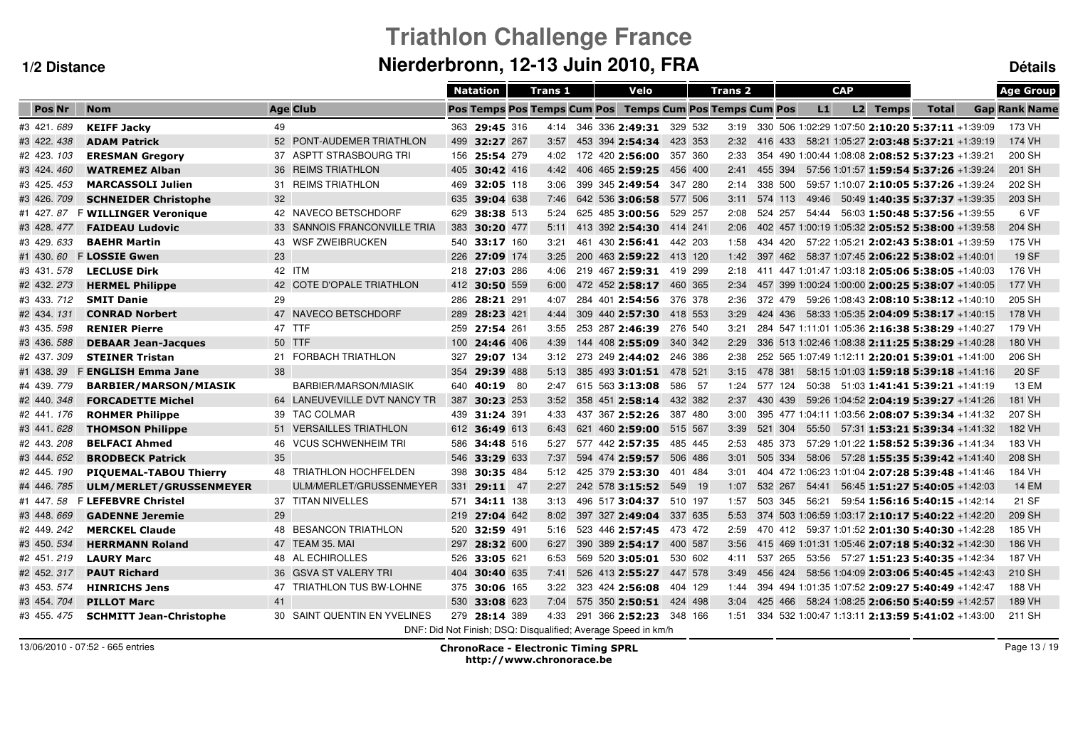# **Triathlon Challenge FranceNierderbronn, 12-13 Juin 2010, FRA Détails**

|             |                                |                              | <b>Natation</b> |               | Trans 1 |  | Velo                                                          |         | <b>Trans 2</b> |         |       | <b>CAP</b> |          |                                                       | <b>Age Group</b>     |
|-------------|--------------------------------|------------------------------|-----------------|---------------|---------|--|---------------------------------------------------------------|---------|----------------|---------|-------|------------|----------|-------------------------------------------------------|----------------------|
| Pos Nr      | <b>Nom</b>                     | <b>Age Club</b>              |                 |               |         |  | Pos Temps Pos Temps Cum Pos Temps Cum Pos Temps Cum Pos       |         |                |         | L1    |            | L2 Temps | <b>Total</b>                                          | <b>Gap Rank Name</b> |
| #3 421.689  | <b>KEIFF Jacky</b>             | 49                           |                 | 363 29:45 316 |         |  | 4:14 346 336 2:49:31 329 532                                  |         |                |         |       |            |          | 3:19 330 506 1:02:29 1:07:50 2:10:20 5:37:11 +1:39:09 | 173 VH               |
| #3 422.438  | <b>ADAM Patrick</b>            | 52 PONT-AUDEMER TRIATHLON    |                 | 499 32:27 267 | 3:57    |  | 453 394 2:54:34                                               | 423 353 | 2:32           |         |       |            |          | 416 433 58:21 1:05:27 2:03:48 5:37:21 +1:39:19        | 174 VH               |
| #2 423. 103 | <b>ERESMAN Gregory</b>         | 37 ASPTT STRASBOURG TRI      |                 | 156 25:54 279 | 4:02    |  | 172 420 2:56:00                                               | 357 360 | 2:33           |         |       |            |          | 354 490 1:00:44 1:08:08 2:08:52 5:37:23 +1:39:21      | 200 SH               |
| #3 424.460  | <b>WATREMEZ Alban</b>          | 36 REIMS TRIATHLON           |                 | 405 30:42 416 | 4:42    |  | 406 465 2:59:25                                               | 456 400 | 2:41           | 455 394 |       |            |          | 57:56 1:01:57 1:59:54 5:37:26 +1:39:24                | 201 SH               |
| #3 425.453  | <b>MARCASSOLI Julien</b>       | 31 REIMS TRIATHLON           | 469             | 32:05 118     | 3:06    |  | 399 345 2:49:54                                               | 347 280 | 2:14           | 338 500 |       |            |          | 59:57 1:10:07 2:10:05 5:37:26 +1:39:24                | 202 SH               |
| #3 426.709  | <b>SCHNEIDER Christophe</b>    | 32                           | 635             | 39:04 638     | 7:46    |  | 642 536 3:06:58                                               | 577 506 | 3:11           | 574 113 | 49:46 |            |          | 50:49 1:40:35 5:37:37 +1:39:35                        | 203 SH               |
| #1 427.87   | <b>F WILLINGER Veronique</b>   | 42 NAVECO BETSCHDORF         | 629             | 38:38 513     | 5:24    |  | 625 485 3:00:56                                               | 529 257 | 2:08           | 524 257 | 54:44 |            |          | 56:03 1:50:48 5:37:56 +1:39:55                        | 6 VF                 |
| #3 428.477  | <b>FAIDEAU Ludovic</b>         | 33 SANNOIS FRANCONVILLE TRIA | 383             | 30:20 477     | 5:11    |  | 413 392 2:54:30                                               | 414 241 | 2:06           |         |       |            |          | 402 457 1:00:19 1:05:32 2:05:52 5:38:00 +1:39:58      | 204 SH               |
| #3 429.633  | <b>BAEHR Martin</b>            | 43 WSF ZWEIBRUCKEN           | 540             | 33:17 160     | 3:21    |  | 461 430 2:56:41                                               | 442 203 | 1:58           | 434 420 |       |            |          | 57:22 1:05:21 2:02:43 5:38:01 +1:39:59                | 175 VH               |
| #1 430.60   | <b>FLOSSIE Gwen</b>            | 23                           |                 | 226 27:09 174 | 3:25    |  | 200 463 2:59:22                                               | 413 120 | 1:42           | 397 462 |       |            |          | 58:37 1:07:45 2:06:22 5:38:02 +1:40:01                | <b>19 SF</b>         |
| #3 431.578  | <b>LECLUSE Dirk</b>            | 42 ITM                       |                 | 218 27:03 286 | 4:06    |  | 219 467 2:59:31                                               | 419 299 | 2:18           |         |       |            |          | 411 447 1:01:47 1:03:18 2:05:06 5:38:05 +1:40:03      | 176 VH               |
| #2 432.273  | <b>HERMEL Philippe</b>         | 42 COTE D'OPALE TRIATHLON    |                 | 412 30:50 559 | 6:00    |  | 472 452 2:58:17                                               | 460 365 | 2:34           |         |       |            |          | 457 399 1:00:24 1:00:00 2:00:25 5:38:07 +1:40:05      | 177 VH               |
| #3 433, 712 | <b>SMIT Danie</b>              | 29                           | 286             | 28:21 291     | 4:07    |  | 284 401 2:54:56                                               | 376 378 | 2:36           | 372 479 |       |            |          | 59:26 1:08:43 2:08:10 5:38:12 +1:40:10                | 205 SH               |
| #2 434.131  | <b>CONRAD Norbert</b>          | 47 NAVECO BETSCHDORF         |                 | 289 28:23 421 | 4:44    |  | 309 440 2:57:30                                               | 418 553 | 3:29           | 424 436 |       |            |          | 58:33 1:05:35 2:04:09 5:38:17 +1:40:15                | 178 VH               |
| #3 435. 598 | <b>RENIER Pierre</b>           | 47 TTF                       |                 | 259 27:54 261 | 3:55    |  | 253 287 2:46:39                                               | 276 540 | 3:21           |         |       |            |          | 284 547 1:11:01 1:05:36 2:16:38 5:38:29 +1:40:27      | 179 VH               |
| #3 436. 588 | <b>DEBAAR Jean-Jacques</b>     | 50 TTF                       |                 | 100 24:46 406 | 4:39    |  | 144 408 2:55:09                                               | 340 342 | 2:29           |         |       |            |          | 336 513 1:02:46 1:08:38 2:11:25 5:38:29 +1:40:28      | 180 VH               |
| #2 437.309  | <b>STEINER Tristan</b>         | 21 FORBACH TRIATHLON         | 327             | 29:07 134     | 3:12    |  | 273 249 2:44:02 246 386                                       |         | 2:38           |         |       |            |          | 252 565 1:07:49 1:12:11 2:20:01 5:39:01 +1:41:00      | 206 SH               |
| #1 438.39   | <b>F ENGLISH Emma Jane</b>     | 38                           | 354             | 29:39 488     | 5:13    |  | 385 493 3:01:51 478 521                                       |         | 3:15           | 478 381 |       |            |          | 58:15 1:01:03 1:59:18 5:39:18 +1:41:16                | 20 SF                |
| #4 439.779  | <b>BARBIER/MARSON/MIASIK</b>   | BARBIER/MARSON/MIASIK        |                 | 640 40:19 80  | 2:47    |  | 615 563 3:13:08                                               | 586 57  | 1:24           | 577 124 |       |            |          | $50:38$ $51:03$ <b>1:41:41 5:39:21</b> +1:41:19       | 13 EM                |
| #2 440.348  | <b>FORCADETTE Michel</b>       | 64 LANEUVEVILLE DVT NANCY TR | 387             | 30:23 253     | 3:52    |  | 358 451 2:58:14                                               | 432 382 | 2:37           | 430 439 |       |            |          | 59:26 1:04:52 2:04:19 5:39:27 +1:41:26                | 181 VH               |
| #2 441.176  | <b>ROHMER Philippe</b>         | 39 TAC COLMAR                |                 | 439 31:24 391 | 4:33    |  | 437 367 2:52:26                                               | 387 480 | 3:00           |         |       |            |          | 395 477 1:04:11 1:03:56 2:08:07 5:39:34 +1:41:32      | 207 SH               |
| #3 441.628  | <b>THOMSON Philippe</b>        | 51 VERSAILLES TRIATHLON      |                 | 612 36:49 613 | 6:43    |  | 621 460 2:59:00                                               | 515 567 | 3:39           | 521 304 |       |            |          | 55:50 57:31 1:53:21 5:39:34 +1:41:32                  | 182 VH               |
| #2 443.208  | <b>BELFACI Ahmed</b>           | 46 VCUS SCHWENHEIM TRI       | 586             | 34:48 516     | 5:27    |  | 577 442 2:57:35                                               | 485 445 | 2:53           | 485 373 |       |            |          | 57:29 1:01:22 1:58:52 5:39:36 +1:41:34                | 183 VH               |
| #3 444.652  | <b>BRODBECK Patrick</b>        | 35                           | 546             | 33:29 633     | 7:37    |  | 594 474 2:59:57                                               | 506 486 | 3:01           | 505 334 |       |            |          | 58:06 57:28 1:55:35 5:39:42 +1:41:40                  | 208 SH               |
| #2 445. 190 | <b>PIQUEMAL-TABOU Thierry</b>  | 48 TRIATHLON HOCHFELDEN      | 398             | 30:35 484     | 5:12    |  | 425 379 2:53:30                                               | 401 484 | 3:01           |         |       |            |          | 404 472 1:06:23 1:01:04 2:07:28 5:39:48 +1:41:46      | 184 VH               |
| #4 446.785  | ULM/MERLET/GRUSSENMEYER        | ULM/MERLET/GRUSSENMEYER      | 331             | $29:11$ 47    | 2:27    |  | 242 578 3:15:52                                               | 549 19  | 1:07           | 532 267 | 54:41 |            |          | $56.45$ 1:51:27 5:40:05 +1:42:03                      | <b>14 EM</b>         |
| #1 447.58   | <b>F LEFEBVRE Christel</b>     | 37 TITAN NIVELLES            | 571             | 34:11 138     | 3:13    |  | 496 517 3:04:37                                               | 510 197 | 1:57           | 503 345 | 56:21 |            |          | 59:54 1:56:16 5:40:15 +1:42:14                        | 21 SF                |
| #3 448.669  | <b>GADENNE Jeremie</b>         | 29                           |                 | 219 27:04 642 | 8:02    |  | 397 327 2:49:04                                               | 337 635 | 5:53           |         |       |            |          | 374 503 1:06:59 1:03:17 2:10:17 5:40:22 +1:42:20      | 209 SH               |
| #2 449.242  | <b>MERCKEL Claude</b>          | 48 BESANCON TRIATHLON        | 520             | 32:59 491     | 5:16    |  | 523 446 2:57:45                                               | 473 472 | 2:59           | 470 412 |       |            |          | 59:37 1:01:52 2:01:30 5:40:30 +1:42:28                | 185 VH               |
| #3 450.534  | <b>HERRMANN Roland</b>         | 47 TEAM 35. MAI              | 297             | 28:32 600     | 6:27    |  | 390 389 2:54:17                                               | 400 587 | 3:56           |         |       |            |          | 415 469 1:01:31 1:05:46 2:07:18 5:40:32 +1:42:30      | 186 VH               |
| #2 451.219  | <b>LAURY Marc</b>              | 48 AL ECHIROLLES             |                 | 526 33:05 621 | 6:53    |  | 569 520 3:05:01                                               | 530 602 | 4:11           | 537 265 |       |            |          | 53:56    57:27    1:51:23    5:40:35    +1:42:34      | 187 VH               |
| #2 452.317  | <b>PAUT Richard</b>            | 36 GSVA ST VALERY TRI        | 404             | 30:40 635     | 7:41    |  | 526 413 2:55:27                                               | 447 578 | 3:49           | 456 424 |       |            |          | 58:56 1:04:09 2:03:06 5:40:45 +1:42:43                | 210 SH               |
| #3 453.574  | <b>HINRICHS Jens</b>           | 47 TRIATHLON TUS BW-LOHNE    | 375             | 30:06 165     | 3:22    |  | 323 424 2:56:08                                               | 404 129 | 1:44           |         |       |            |          | 394 494 1:01:35 1:07:52 2:09:27 5:40:49 +1:42:47      | 188 VH               |
| #3 454.704  | <b>PILLOT Marc</b>             | 41                           | 530             | 33:08 623     | 7:04    |  | 575 350 2:50:51 424 498                                       |         | 3:04           | 425 466 |       |            |          | 58:24 1:08:25 2:06:50 5:40:59 +1:42:57                | 189 VH               |
| #3 455, 475 | <b>SCHMITT Jean-Christophe</b> | 30 SAINT QUENTIN EN YVELINES |                 | 279 28:14 389 | 4:33    |  | 291 366 2:52:23                                               | 348 166 | 1:51           |         |       |            |          | 334 532 1:00:47 1:13:11 2:13:59 5:41:02 +1:43:00      | 211 SH               |
|             |                                |                              |                 |               |         |  | DNF: Did Not Finish; DSQ: Disqualified; Average Speed in km/h |         |                |         |       |            |          |                                                       |                      |

13/06/2010 - 07:52 - 665 entries

Page 13 / 19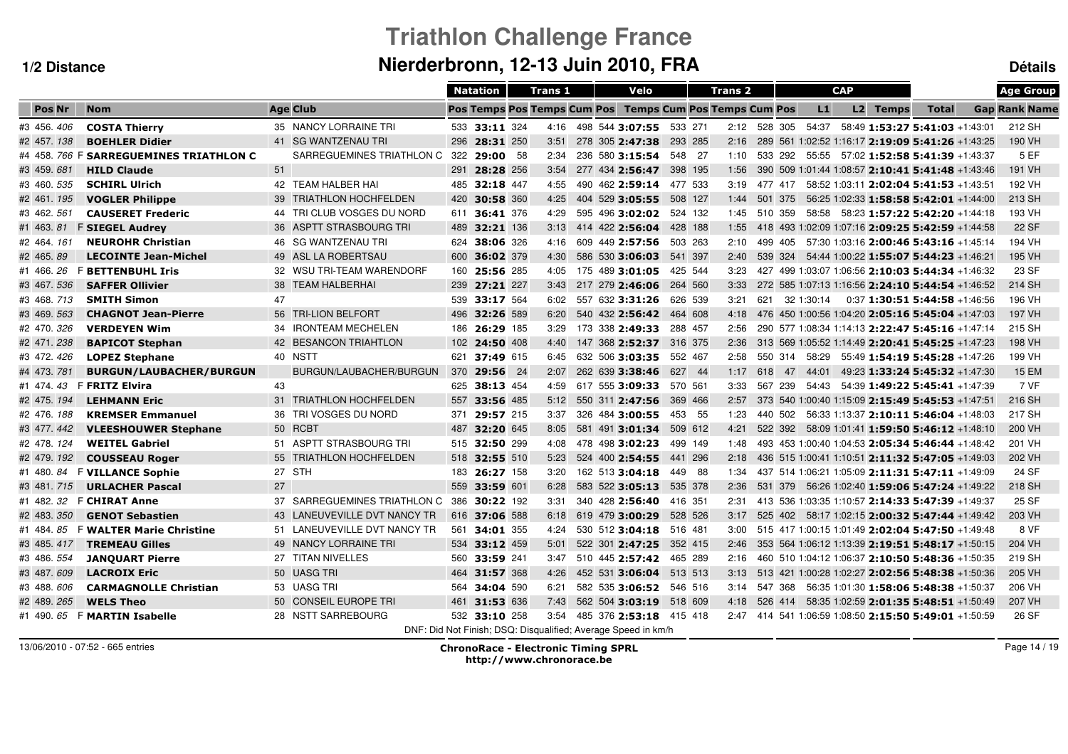# **Triathlon Challenge FranceNierderbronn, 12-13 Juin 2010, FRA Détails**

|                |                                    |        |                               | <b>Natation</b> |                      | <b>Trans 1</b>                     |  | Velo                                                          |         |         | <b>Trans 2</b> |         |    |            | <b>CAP</b> |          |                                                       | <b>Age Group</b>     |
|----------------|------------------------------------|--------|-------------------------------|-----------------|----------------------|------------------------------------|--|---------------------------------------------------------------|---------|---------|----------------|---------|----|------------|------------|----------|-------------------------------------------------------|----------------------|
| <b>Pos Nr</b>  | <b>Nom</b>                         |        | <b>Age Club</b>               |                 |                      | <b>Pos Temps Pos Temps Cum Pos</b> |  | <b>Temps Cum Pos Temps Cum Pos</b>                            |         |         |                |         |    | L1         |            | L2 Temps | <b>Total</b>                                          | <b>Gap Rank Name</b> |
| #3 456.406     | <b>COSTA Thierry</b>               |        | 35 NANCY LORRAINE TRI         |                 | 533 33:11 324        |                                    |  | 4:16 498 544 3:07:55 533 271                                  |         |         | 2:12 528 305   |         |    | 54:37      |            |          | 58:49 1:53:27 5:41:03 +1:43:01                        | 212 SH               |
| #2 457.138     | <b>BOEHLER Didier</b>              |        | 41 SG WANTZENAU TRI           | 296             | 28:31 250            | 3:51                               |  | 278 305 2:47:38                                               | 293 285 |         | 2:16           |         |    |            |            |          | 289 561 1:02:52 1:16:17 2:19:09 5:41:26 +1:43:25      | 190 VH               |
| #4 458, 766    | <b>F SARREGUEMINES TRIATHLON C</b> |        | SARREGUEMINES TRIATHLON C 322 |                 | 29:00 58             | 2:34                               |  | 236 580 3:15:54                                               | 548 27  |         | 1:10           |         |    |            |            |          | 533 292 55:55 57:02 1:52:58 5:41:39 +1:43:37          | 5 EF                 |
| #3 459 681     | <b>HILD Claude</b>                 | 51     |                               | 291             | 28:28 256            | 3:54                               |  | 277 434 2:56:47                                               |         | 398 195 | 1:56           |         |    |            |            |          | 390 509 1:01:44 1:08:57 2:10:41 5:41:48 +1:43:46      | 191 VH               |
| #3 460.535     | <b>SCHIRL Ulrich</b>               |        | 42 TEAM HALBER HAI            | 485             | 32:18 447            | 4:55                               |  | 490 462 2:59:14                                               | 477 533 |         | 3:19           | 477 417 |    |            |            |          | 58:52 1:03:11 2:02:04 5:41:53 +1:43:51                | 192 VH               |
| #2 461.195     | <b>VOGLER Philippe</b>             |        | 39 TRIATHLON HOCHFELDEN       | 420             | 30:58 360            | 4:25                               |  | 404 529 3:05:55                                               | 508 127 |         | 1:44           | 501 375 |    |            |            |          | 56:25 1:02:33 1:58:58 5:42:01 +1:44:00                | 213 SH               |
| #3 462. 561    | <b>CAUSERET Frederic</b>           |        | 44 TRI CLUB VOSGES DU NORD    | 611             | 36:41 376            | 4:29                               |  | 595 496 3:02:02                                               |         | 524 132 | 1:45           | 510 359 |    |            |            |          | 58:58    58:23    1:57:22    5:42:20    +1:44:18      | 193 VH               |
| #1 463.81      | <b>F SIEGEL Audrey</b>             |        | 36 ASPTT STRASBOURG TRI       | 489             | 32:21 136            | 3:13                               |  | 414 422 2:56:04                                               |         | 428 188 | 1:55           |         |    |            |            |          | 418 493 1:02:09 1:07:16 2:09:25 5:42:59 +1:44:58      | 22 SF                |
| #2 464.161     | <b>NEUROHR Christian</b>           |        | 46 SG WANTZENAU TRI           | 624             | 38:06 326            | 4:16                               |  | 609 449 2:57:56                                               |         | 503 263 | 2:10           | 499 405 |    |            |            |          | 57:30 1:03:16 2:00:46 5:43:16 +1:45:14                | 194 VH               |
| #2 465.89      | <b>LECOINTE Jean-Michel</b>        |        | 49 ASL LA ROBERTSAU           | 600             | 36:02 379            | 4:30                               |  | 586 530 3:06:03                                               | 541 397 |         | 2:40           | 539 324 |    |            |            |          | 54:44 1:00:22 1:55:07 5:44:23 +1:46:21                | 195 VH               |
| #1 466, 26     | <b>F BETTENBUHL Iris</b>           |        | 32 WSU TRI-TEAM WARENDORF     | 160             | 25:56 285            | 4:05                               |  | 175 489 3:01:05                                               |         | 425 544 | 3:23           |         |    |            |            |          | 427 499 1:03:07 1:06:56 2:10:03 5:44:34 +1:46:32      | 23 SF                |
| #3 467.536     | <b>SAFFER Ollivier</b>             |        | 38 TEAM HALBERHAI             |                 | 239 27:21 227        | 3:43                               |  | 217 279 2:46:06                                               | 264 560 |         | 3:33           |         |    |            |            |          | 272 585 1:07:13 1:16:56 2:24:10 5:44:54 +1:46:52      | 214 SH               |
| #3 468.713     | <b>SMITH Simon</b>                 | 47     |                               |                 | 539 33:17 564        | 6:02                               |  | 557 632 3:31:26                                               | 626 539 |         | 3:21           | 621     |    | 32 1:30:14 |            |          | $0:37$ 1:30:51 5:44:58 +1:46:56                       | 196 VH               |
| #3 469. 563    | <b>CHAGNOT Jean-Pierre</b>         |        | 56 TRI-LION BELFORT           | 496             | 32:26 589            | 6:20                               |  | 540 432 2:56:42                                               | 464 608 |         | 4:18           |         |    |            |            |          | 476 450 1:00:56 1:04:20 2:05:16 5:45:04 +1:47:03      | 197 VH               |
| #2 470.326     | <b>VERDEYEN Wim</b>                |        | 34 IRONTEAM MECHELEN          | 186             | 26:29 185            | 3:29                               |  | 173 338 2:49:33                                               | 288 457 |         | 2:56           |         |    |            |            |          | 290 577 1:08:34 1:14:13 2:22:47 5:45:16 +1:47:14      | 215 SH               |
| #2 471.238     | <b>BAPICOT Stephan</b>             |        | 42 BESANCON TRIAHTLON         |                 | 102 <b>24:50</b> 408 | 4:40                               |  | 147 368 2:52:37 316 375                                       |         |         | 2:36           |         |    |            |            |          | 313 569 1:05:52 1:14:49 2:20:41 5:45:25 +1:47:23      | 198 VH               |
| #3 472.426     | <b>LOPEZ Stephane</b>              |        | 40 NSTT                       |                 | 621 37:49 615        | 6:45                               |  | 632 506 3:03:35                                               | 552 467 |         | 2:58           |         |    |            |            |          | 550 314 58:29 55:49 1:54:19 5:45:28 +1:47:26          | 199 VH               |
| #4 473, 781    | <b>BURGUN/LAUBACHER/BURGUN</b>     |        | BURGUN/LAUBACHER/BURGUN       | 370             | 29:56 24             | 2:07                               |  | 262 639 3:38:46                                               |         | 627 44  | 1:17           | 618     | 47 | 44:01      |            |          | 49:23 1:33:24 5:45:32 +1:47:30                        | <b>15 EM</b>         |
| #1 474 43      | <b>F FRITZ Elvira</b>              | 43     |                               |                 | 625 38:13 454        | 4:59                               |  | 617 555 3:09:33                                               | 570 561 |         | 3:33           | 567 239 |    |            |            |          | 54:43  54:39  1:49:22  5:45:41  +1:47:39              | 7 VF                 |
| #2 475.194     | <b>LEHMANN Eric</b>                |        | 31 TRIATHLON HOCHFELDEN       |                 | 557 33:56 485        | 5:12                               |  | 550 311 2:47:56                                               | 369 466 |         | 2:57           |         |    |            |            |          | 373 540 1:00:40 1:15:09 2:15:49 5:45:53 +1:47:51      | 216 SH               |
| #2 476.188     | <b>KREMSER Emmanuel</b>            |        | 36 TRI VOSGES DU NORD         | 371             | 29:57 215            | 3:37                               |  | 326 484 3:00:55                                               |         | 453 55  | 1:23           |         |    |            |            |          | 440 502 56:33 1:13:37 2:10:11 5:46:04 +1:48:03        | 217 SH               |
| #3 477.442     | <b>VLEESHOUWER Stephane</b>        |        | 50 RCBT                       | 487             | 32:20 645            | 8:05                               |  | 581 491 3:01:34                                               |         | 509 612 | 4:21           |         |    |            |            |          | 522 392 58:09 1:01:41 1:59:50 5:46:12 +1:48:10        | 200 VH               |
| #2 478.124     | <b>WEITEL Gabriel</b>              |        | 51 ASPTT STRASBOURG TRI       |                 | 515 32:50 299        | 4:08                               |  | 478 498 3:02:23                                               |         | 499 149 | 1:48           |         |    |            |            |          | 493 453 1:00:40 1:04:53 2:05:34 5:46:44 +1:48:42      | 201 VH               |
| #2 479.192     | <b>COUSSEAU Roger</b>              |        | 55 TRIATHLON HOCHFELDEN       | 518             | 32:55 510            | 5:23                               |  | 524 400 2:54:55                                               |         | 441 296 | 2:18           |         |    |            |            |          | 436 515 1:00:41 1:10:51 2:11:32 5:47:05 +1:49:03      | 202 VH               |
| #1 480.<br>84  | <b>F VILLANCE Sophie</b>           | 27 STH |                               | 183             | 26:27 158            | 3:20                               |  | 162 513 3:04:18                                               |         | 449 88  | 1:34           |         |    |            |            |          | 437 514 1:06:21 1:05:09 2:11:31 5:47:11 +1:49:09      | 24 SF                |
| #3 481.715     | <b>URLACHER Pascal</b>             | 27     |                               | 559             | 33:59 601            | 6:28                               |  | 583 522 3:05:13                                               |         | 535 378 | 2:36           | 531 379 |    |            |            |          | 56:26 1:02:40 1:59:06 5:47:24 +1:49:22                | 218 SH               |
| #1 482.<br>32  | <b>F CHIRAT Anne</b>               |        | 37 SARREGUEMINES TRIATHLON C  | 386             | 30:22 192            | 3:31                               |  | 340 428 2:56:40                                               | 416 351 |         | 2:31           |         |    |            |            |          | 413 536 1:03:35 1:10:57 2:14:33 5:47:39 +1:49:37      | 25 SF                |
| #2 483.<br>350 | <b>GENOT Sebastien</b>             |        | 43 LANEUVEVILLE DVT NANCY TR  |                 | 616 37:06 588        | 6:18                               |  | 619 479 3:00:29                                               |         | 528 526 | 3:17           | 525 402 |    |            |            |          | 58:17 1:02:15 2:00:32 5:47:44 +1:49:42                | 203 VH               |
| #1 484, 85     | <b>F WALTER Marie Christine</b>    |        | 51 LANEUVEVILLE DVT NANCY TR  | 561             | 34:01 355            | 4:24                               |  | 530 512 3:04:18                                               | 516 481 |         | 3:00           |         |    |            |            |          | 515 417 1:00:15 1:01:49 2:02:04 5:47:50 +1:49:48      | 8 VF                 |
| #3 485.417     | <b>TREMEAU Gilles</b>              |        | 49 NANCY LORRAINE TRI         |                 | 534 33:12 459        | 5:01                               |  | 522 301 2:47:25                                               | 352 415 |         | 2:46           |         |    |            |            |          | 353 564 1:06:12 1:13:39 2:19:51 5:48:17 +1:50:15      | 204 VH               |
| #3 486. 554    | <b>JANQUART Pierre</b>             |        | 27 TITAN NIVELLES             | 560             | 33:59 241            | 3:47                               |  | 510 445 2:57:42                                               | 465 289 |         | 2:16           |         |    |            |            |          | 460 510 1:04:12 1:06:37 2:10:50 5:48:36 +1:50:35      | 219 SH               |
| #3 487.609     | <b>LACROIX Eric</b>                |        | 50 UASG TRI                   |                 | 464 31:57 368        | 4:26                               |  | 452 531 3:06:04 513 513                                       |         |         | 3:13           |         |    |            |            |          | 513 421 1:00:28 1:02:27 2:02:56 5:48:38 +1:50:36      | 205 VH               |
| #3 488.606     | <b>CARMAGNOLLE Christian</b>       |        | 53 UASG TRI                   | 564             | 34:04 590            | 6:21                               |  | 582 535 3:06:52 546 516                                       |         |         | 3:14           | 547 368 |    |            |            |          | 56:35 1:01:30 1:58:06 5:48:38 +1:50:37                | 206 VH               |
| #2 489.265     | <b>WELS Theo</b>                   |        | 50 CONSEIL EUROPE TRI         | 461             | 31:53 636            | 7:43                               |  | 562 504 3:03:19 518 609                                       |         |         | 4:18           | 526 414 |    |            |            |          | 58:35 1:02:59 2:01:35 5:48:51 +1:50:49                | 207 VH               |
| #1 490.65      | <b>F MARTIN Isabelle</b>           |        | 28 NSTT SARREBOURG            |                 | 532 33:10 258        | 3:54                               |  | 485 376 2:53:18 415 418                                       |         |         |                |         |    |            |            |          | 2:47 414 541 1:06:59 1:08:50 2:15:50 5:49:01 +1:50:59 | 26 SF                |
|                |                                    |        |                               |                 |                      |                                    |  | DNF: Did Not Finish: DSQ: Disqualified: Average Speed in km/h |         |         |                |         |    |            |            |          |                                                       |                      |

13/06/2010 - 07:52 - 665 entries

 ChronoRace - Electronic Timing SPRL http://www.chronorace.be

Page 14 / 19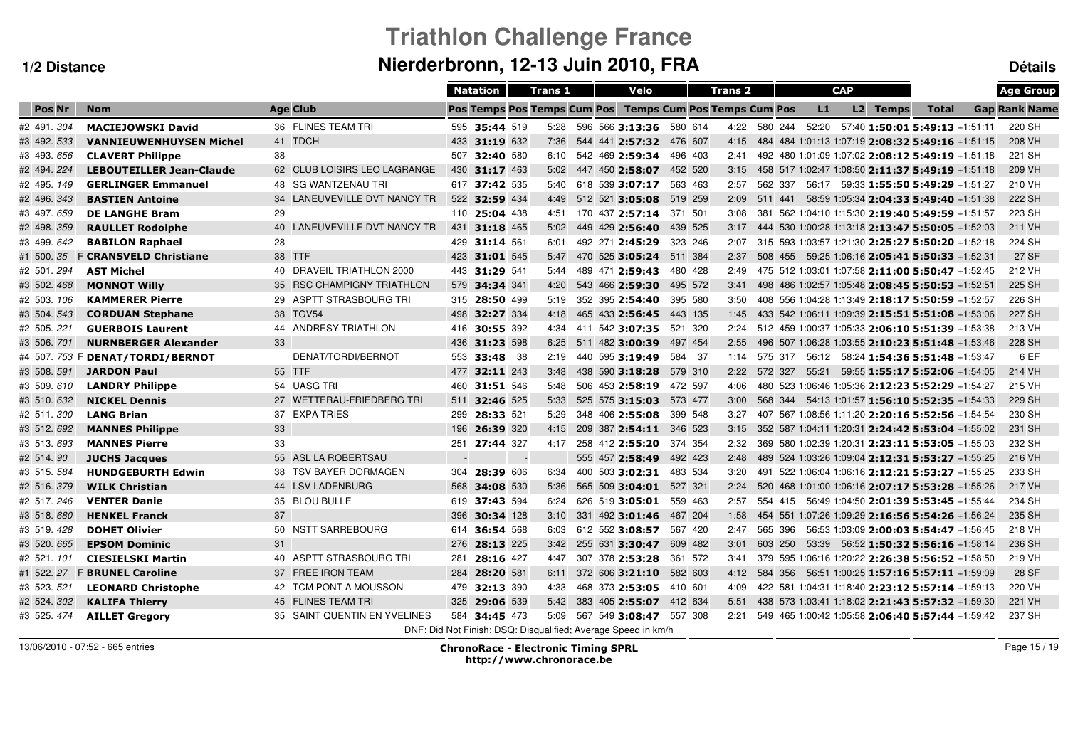# **Triathlon Challenge FranceNierderbronn, 12-13 Juin 2010, FRA Détails**

|               |                                 |                              |                          | <b>Natation</b> |        | <b>Trans 1</b>                     |  | Velo                                                          |         | <b>Trans 2</b> |         |         |       | <b>CAP</b> |          |                                                  | <b>Age Group</b>     |
|---------------|---------------------------------|------------------------------|--------------------------|-----------------|--------|------------------------------------|--|---------------------------------------------------------------|---------|----------------|---------|---------|-------|------------|----------|--------------------------------------------------|----------------------|
| <b>Pos Nr</b> | <b>Nom</b>                      | <b>Age Club</b>              |                          |                 |        | <b>Pos Temps Pos Temps Cum Pos</b> |  | <b>Temps Cum Pos Temps Cum Pos</b>                            |         |                |         |         | L1    |            | L2 Temps | <b>Total</b>                                     | <b>Gap Rank Name</b> |
| #2 491.304    | <b>MACIEJOWSKI David</b>        | 36 FLINES TEAM TRI           |                          | 595 35:44 519   |        | 5:28                               |  | 596 566 3:13:36 580 614                                       |         | 4:22           |         | 580 244 | 52:20 |            |          | 57:40 1:50:01 5:49:13 +1:51:11                   | 220 SH               |
| #3 492. 533   | <b>VANNIEUWENHUYSEN Michel</b>  | 41 TDCH                      |                          | 433 31:19 632   |        | 7:36                               |  | 544 441 2:57:32                                               | 476 607 | 4:15           |         |         |       |            |          | 484 484 1:01:13 1:07:19 2:08:32 5:49:16 +1:51:15 | 208 VH               |
| #3 493.656    | <b>CLAVERT Philippe</b>         | 38                           |                          | 507 32:40 580   |        | 6:10                               |  | 542 469 2:59:34                                               | 496 403 | 2:41           |         |         |       |            |          | 492 480 1:01:09 1:07:02 2:08:12 5:49:19 +1:51:18 | 221 SH               |
| #2 494.224    | <b>LEBOUTEILLER Jean-Claude</b> | 62 CLUB LOISIRS LEO LAGRANGE | 430                      | 31:17 463       |        | 5:02                               |  | 447 450 2:58:07                                               | 452 520 | 3:15           |         |         |       |            |          | 458 517 1:02:47 1:08:50 2:11:37 5:49:19 +1:51:18 | 209 VH               |
| #2 495 149    | <b>GERLINGER Emmanuel</b>       | 48 SG WANTZENAU TRI          |                          | 617 37:42 535   |        | 5:40                               |  | 618 539 3:07:17                                               | 563 463 | 2:57           | 562 337 |         |       |            |          | 56:17 59:33 1:55:50 5:49:29 +1:51:27             | 210 VH               |
| #2 496.343    | <b>BASTIEN Antoine</b>          | 34 LANEUVEVILLE DVT NANCY TR | 522                      | 32:59 434       |        | 4:49                               |  | 512 521 3:05:08                                               | 519 259 | 2:09           | 511 441 |         |       |            |          | 58:59 1:05:34 2:04:33 5:49:40 +1:51:38           | 222 SH               |
| #3 497.659    | <b>DE LANGHE Bram</b>           | 29                           |                          | 110 25:04 438   |        | 4:51                               |  | 170 437 2:57:14                                               | 371 501 | 3:08           |         |         |       |            |          | 381 562 1:04:10 1:15:30 2:19:40 5:49:59 +1:51:57 | 223 SH               |
| #2 498.359    | <b>RAULLET Rodolphe</b>         | 40 LANEUVEVILLE DVT NANCY TR | 431                      | 31:18 465       |        | 5:02                               |  | 449 429 2:56:40                                               | 439 525 | 3:17           |         |         |       |            |          | 444 530 1:00:28 1:13:18 2:13:47 5:50:05 +1:52:03 | 211 VH               |
| #3 499.642    | <b>BABILON Raphael</b>          | 28                           | 429                      | 31:14 561       |        | 6:01                               |  | 492 271 2:45:29                                               | 323 246 | 2:07           |         |         |       |            |          | 315 593 1:03:57 1:21:30 2:25:27 5:50:20 +1:52:18 | 224 SH               |
| #1 500.35     | <b>F CRANSVELD Christiane</b>   | 38 TTF                       | 423                      | 31:01 545       |        | 5:47                               |  | 470 525 3:05:24                                               | 511 384 | 2:37           |         |         |       |            |          | 508 455 59:25 1:06:16 2:05:41 5:50:33 +1:52:31   | 27 SF                |
| #2 501.294    | <b>AST Michel</b>               | 40 DRAVEIL TRIATHLON 2000    |                          | 443 31:29 541   |        | 5:44                               |  | 489 471 2:59:43                                               | 480 428 | 2:49           |         |         |       |            |          | 475 512 1:03:01 1:07:58 2:11:00 5:50:47 +1:52:45 | 212 VH               |
| #3 502.468    | <b>MONNOT Willy</b>             | 35 RSC CHAMPIGNY TRIATHLON   |                          | 579 34:34 341   |        | 4:20                               |  | 543 466 2:59:30                                               | 495 572 | 3:41           |         |         |       |            |          | 498 486 1:02:57 1:05:48 2:08:45 5:50:53 +1:52:51 | 225 SH               |
| #2 503.106    | <b>KAMMERER Pierre</b>          | 29 ASPTT STRASBOURG TRI      |                          | 315 28:50 499   |        | 5:19                               |  | 352 395 2:54:40                                               | 395 580 | 3:50           |         |         |       |            |          | 408 556 1:04:28 1:13:49 2:18:17 5:50:59 +1:52:57 | 226 SH               |
| #3 504. 543   | <b>CORDUAN Stephane</b>         | 38 TGV54                     |                          | 498 32:27 334   |        | 4:18                               |  | 465 433 2:56:45                                               | 443 135 | 1:45           |         |         |       |            |          | 433 542 1:06:11 1:09:39 2:15:51 5:51:08 +1:53:06 | 227 SH               |
| #2 505.221    | <b>GUERBOIS Laurent</b>         | 44 ANDRESY TRIATHLON         |                          | 416 30:55 392   |        | 4:34                               |  | 411 542 3:07:35                                               | 521 320 | 2:24           |         |         |       |            |          | 512 459 1:00:37 1:05:33 2:06:10 5:51:39 +1:53:38 | 213 VH               |
| #3 506.701    | <b>NURNBERGER Alexander</b>     | 33                           |                          | 436 31:23 598   |        | 6:25                               |  | 511 482 3:00:39                                               | 497 454 | 2:55           |         |         |       |            |          | 496 507 1:06:28 1:03:55 2:10:23 5:51:48 +1:53:46 | 228 SH               |
| #4 507, 753   | F DENAT/TORDI/BERNOT            | DENAT/TORDI/BERNOT           |                          | 553 33:48 38    |        | 2:19                               |  | 440 595 3:19:49                                               | 584 37  | 1:14           | 575 317 |         |       |            |          | 56:12 58:24 1:54:36 5:51:48 +1:53:47             | 6 EF                 |
| #3 508, 591   | <b>JARDON Paul</b>              | 55 TTF                       |                          | 477 32:11 243   |        | 3:48                               |  | 438 590 3:18:28                                               | 579 310 | 2:22           | 572 327 |         | 55:21 |            |          | 59:55 1:55:17 5:52:06 +1:54:05                   | 214 VH               |
| #3 509.610    | <b>LANDRY Philippe</b>          | 54 UASG TRI                  |                          | 460 31:51 546   |        | 5:48                               |  | 506 453 2:58:19 472 597                                       |         | 4:06           |         |         |       |            |          | 480 523 1:06:46 1:05:36 2:12:23 5:52:29 +1:54:27 | 215 VH               |
| #3 510.632    | <b>NICKEL Dennis</b>            | 27 WETTERAU-FRIEDBERG TRI    |                          | 511 32:46 525   |        | 5:33                               |  | 525 575 3:15:03                                               | 573 477 | 3:00           |         |         |       |            |          | 568 344 54:13 1:01:57 1:56:10 5:52:35 +1:54:33   | 229 SH               |
| #2 511.300    | <b>LANG Brian</b>               | 37 EXPA TRIES                | 299                      | 28:33 521       |        | 5:29                               |  | 348 406 2:55:08                                               | 399 548 | 3:27           |         |         |       |            |          | 407 567 1:08:56 1:11:20 2:20:16 5:52:56 +1:54:54 | 230 SH               |
| #3 512.692    | <b>MANNES Philippe</b>          | 33                           | 196                      | 26:39 320       |        | 4:15                               |  | 209 387 2:54:11 346 523                                       |         | 3:15           |         |         |       |            |          | 352 587 1:04:11 1:20:31 2:24:42 5:53:04 +1:55:02 | 231 SH               |
| #3 513, 693   | <b>MANNES Pierre</b>            | 33                           | 251                      | 27:44 327       |        | 4:17                               |  | 258 412 2:55:20                                               | 374 354 | 2:32           |         |         |       |            |          | 369 580 1:02:39 1:20:31 2:23:11 5:53:05 +1:55:03 | 232 SH               |
| #2 514.90     | <b>JUCHS Jacques</b>            | 55 ASL LA ROBERTSAU          | $\overline{\phantom{a}}$ |                 | $\sim$ |                                    |  | 555 457 2:58:49                                               | 492 423 | 2:48           |         |         |       |            |          | 489 524 1:03:26 1:09:04 2:12:31 5:53:27 +1:55:25 | 216 VH               |
| #3 515.584    | <b>HUNDGEBURTH Edwin</b>        | 38 TSV BAYER DORMAGEN        | 304                      | 28:39 606       |        | 6:34                               |  | 400 503 3:02:31                                               | 483 534 | 3:20           |         |         |       |            |          | 491 522 1:06:04 1:06:16 2:12:21 5:53:27 +1:55:25 | 233 SH               |
| #2 516.379    | <b>WILK Christian</b>           | 44 LSV LADENBURG             | 568                      | 34:08 530       |        | 5:36                               |  | 565 509 3:04:01                                               | 527 321 | 2:24           |         |         |       |            |          | 520 468 1:01:00 1:06:16 2:07:17 5:53:28 +1:55:26 | 217 VH               |
| #2 517.246    | <b>VENTER Danie</b>             | 35 BLOU BULLE                |                          | 619 37:43 594   |        | 6:24                               |  | 626 519 3:05:01                                               | 559 463 | 2:57           | 554 415 |         |       |            |          | 56:49 1:04:50 2:01:39 5:53:45 +1:55:44           | 234 SH               |
| #3 518.680    | <b>HENKEL Franck</b>            | 37                           | 396                      | 30:34 128       |        | 3:10                               |  | 331 492 3:01:46                                               | 467 204 | 1:58           |         |         |       |            |          | 454 551 1:07:26 1:09:29 2:16:56 5:54:26 +1:56:24 | 235 SH               |
| #3 519.428    | <b>DOHET Olivier</b>            | 50 NSTT SARREBOURG           | 614                      | 36:54 568       |        | 6:03                               |  | 612 552 3:08:57                                               | 567 420 | 2:47           | 565 396 |         |       |            |          | 56:53 1:03:09 2:00:03 5:54:47 +1:56:45           | 218 VH               |
| #3 520.665    | <b>EPSOM Dominic</b>            | 31                           | 276                      | 28:13 225       |        | 3:42                               |  | 255 631 3:30:47                                               | 609 482 | 3:01           | 603 250 |         |       |            |          | 53:39  56:52  1:50:32  5:56:16 +1:58:14          | 236 SH               |
| #2 521 101    | <b>CIESIELSKI Martin</b>        | 40 ASPTT STRASBOURG TRI      | 281                      | 28:16 427       |        | 4:47                               |  | 307 378 2:53:28                                               | 361 572 | 3:41           |         |         |       |            |          | 379 595 1:06:16 1:20:22 2:26:38 5:56:52 +1:58:50 | 219 VH               |
| #1 522.27     | <b>F BRUNEL Caroline</b>        | 37 FREE IRON TEAM            | 284                      | 28:20 581       |        | 6:11                               |  | 372 606 3:21:10                                               | 582 603 | 4:12           |         |         |       |            |          | 584 356 56:51 1:00:25 1:57:16 5:57:11 +1:59:09   | 28 SF                |
| #3 523. 521   | <b>LEONARD Christophe</b>       | 42 TCM PONT A MOUSSON        | 479                      | 32:13 390       |        | 4:33                               |  | 468 373 2:53:05                                               | 410 601 | 4:09           |         |         |       |            |          | 422 581 1:04:31 1:18:40 2:23:12 5:57:14 +1:59:13 | 220 VH               |
| #2 524.302    | <b>KALIFA Thierry</b>           | 45 FLINES TEAM TRI           |                          | 325 29:06 539   |        | 5:42                               |  | 383 405 2:55:07 412 634                                       |         | 5:51           |         |         |       |            |          | 438 573 1:03:41 1:18:02 2:21:43 5:57:32 +1:59:30 | 221 VH               |
| #3 525.474    | <b>AILLET Gregory</b>           | 35 SAINT QUENTIN EN YVELINES |                          | 584 34:45 473   |        | 5:09                               |  | 567 549 3:08:47 557 308                                       |         | 2:21           |         |         |       |            |          | 549 465 1:00:42 1:05:58 2:06:40 5:57:44 +1:59:42 | 237 SH               |
|               |                                 |                              |                          |                 |        |                                    |  | DNF: Did Not Finish: DSQ: Disqualified: Average Speed in km/h |         |                |         |         |       |            |          |                                                  |                      |

13/06/2010 - 07:52 - 665 entries

 ChronoRace - Electronic Timing SPRL http://www.chronorace.be

Page 15 / 19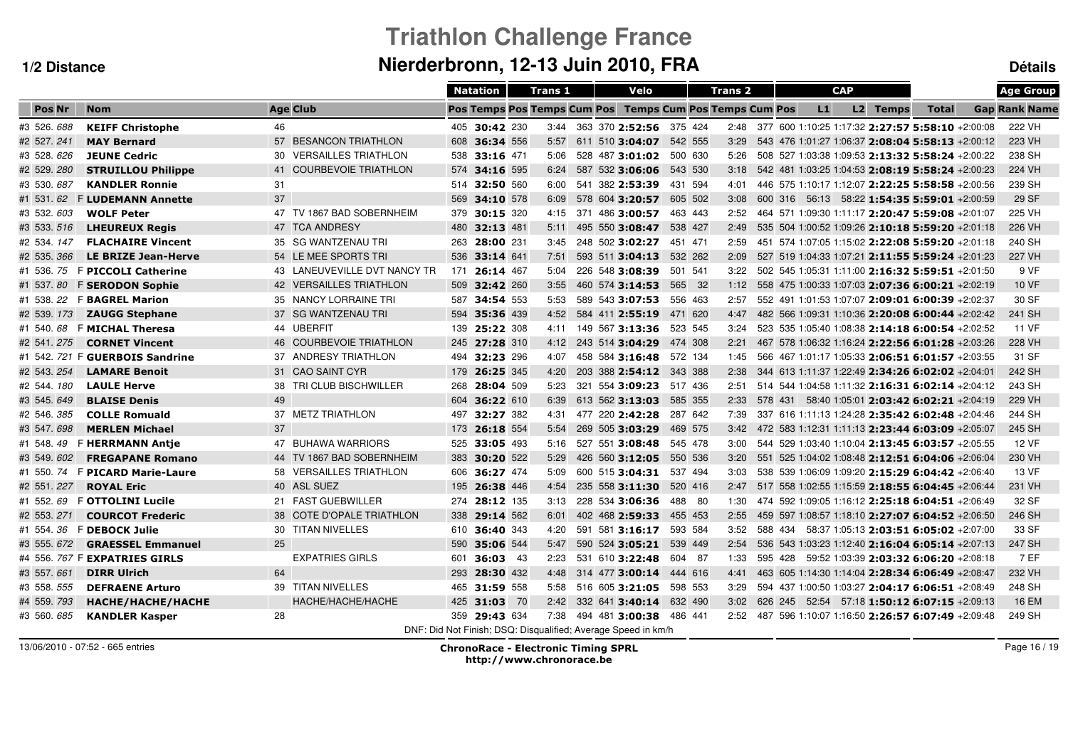# **Triathlon Challenge FranceNierderbronn, 12-13 Juin 2010, FRA Détails**

|                |                               |                                   | <b>Natation</b>                                               | <b>Trans 1</b> | Velo                         |         | <b>Trans 2</b>                     |         |         |    | <b>CAP</b> |          |                                                       | <b>Age Group</b>     |
|----------------|-------------------------------|-----------------------------------|---------------------------------------------------------------|----------------|------------------------------|---------|------------------------------------|---------|---------|----|------------|----------|-------------------------------------------------------|----------------------|
| Pos Nr         | <b>Nom</b>                    | <b>Age Club</b>                   | Pos Temps Pos Temps Cum Pos                                   |                |                              |         | <b>Temps Cum Pos Temps Cum Pos</b> |         |         | L1 |            | L2 Temps | <b>Total</b>                                          | <b>Gap Rank Name</b> |
| #3 526, 688    | <b>KEIFF Christophe</b>       | 46                                | 405 30:42 230                                                 |                | 3:44 363 370 2:52:56 375 424 |         |                                    |         |         |    |            |          | 2:48 377 600 1:10:25 1:17:32 2:27:57 5:58:10 +2:00:08 | 222 VH               |
| #2 527.241     | <b>MAY Bernard</b>            | 57 BESANCON TRIATHLON             | 608<br>36:34 556                                              | 5:57           | 611 510 3:04:07              | 542 555 | 3:29                               |         |         |    |            |          | 543 476 1:01:27 1:06:37 2:08:04 5:58:13 +2:00:12      | 223 VH               |
| #3 528.626     | <b>JEUNE Cedric</b>           | 30 VERSAILLES TRIATHLON           | 538<br>33:16 471                                              | 5:06           | 528 487 3:01:02              | 500 630 | 5:26                               |         |         |    |            |          | 508 527 1:03:38 1:09:53 2:13:32 5:58:24 +2:00:22      | 238 SH               |
| #2 529.280     | <b>STRUILLOU Philippe</b>     | <b>COURBEVOIE TRIATHLON</b><br>41 | 574<br>34:16 595                                              | 6:24           | 587 532 3:06:06              | 543 530 | 3:18                               |         |         |    |            |          | 542 481 1:03:25 1:04:53 2:08:19 5:58:24 +2:00:23      | 224 VH               |
| #3 530.687     | <b>KANDLER Ronnie</b>         | 31                                | 514<br>32:50 560                                              | 6:00           | 541 382 2:53:39              | 431 594 | 4:01                               |         |         |    |            |          | 446 575 1:10:17 1:12:07 2:22:25 5:58:58 +2:00:56      | 239 SH               |
| #1 531.62      | <b>FLUDEMANN Annette</b>      | 37                                | 569<br>34:10 578                                              | 6:09           | 578 604 3:20:57              | 605 502 | 3:08                               | 600 316 |         |    |            |          | 56:13 58:22 1:54:35 5:59:01 +2:00:59                  | 29 SF                |
| #3 532.603     | <b>WOLF Peter</b>             | 47 TV 1867 BAD SOBERNHEIM         | 379<br>30:15 320                                              | 4:15           | 371 486 3:00:57              | 463 443 | 2:52                               |         |         |    |            |          | 464 571 1:09:30 1:11:17 2:20:47 5:59:08 +2:01:07      | 225 VH               |
| #3 533, 516    | <b>LHEUREUX Regis</b>         | 47 TCA ANDRESY                    | 480<br>32:13 481                                              | 5:11           | 495 550 3:08:47              | 538 427 | 2:49                               |         |         |    |            |          | 535 504 1:00:52 1:09:26 2:10:18 5:59:20 +2:01:18      | 226 VH               |
| #2 534, 147    | <b>FLACHAIRE Vincent</b>      | 35 SG WANTZENAU TRI               | 28:00 231<br>263                                              | 3:45           | 248 502 3:02:27              | 451 471 | 2:59                               |         |         |    |            |          | 451 574 1:07:05 1:15:02 2:22:08 5:59:20 +2:01:18      | 240 SH               |
| #2 535.366     | <b>LE BRIZE Jean-Herve</b>    | 54 LE MEE SPORTS TRI              | 536<br>33:14 641                                              | 7:51           | 593 511 3:04:13              | 532 262 | 2:09                               |         |         |    |            |          | 527 519 1:04:33 1:07:21 2:11:55 5:59:24 +2:01:23      | 227 VH               |
| #1 536.75      | <b>F PICCOLI Catherine</b>    | 43 LANEUVEVILLE DVT NANCY TR      | 171<br>26:14 467                                              | 5:04           | 226 548 3:08:39              | 501 541 | 3:22                               |         |         |    |            |          | 502 545 1:05:31 1:11:00 2:16:32 5:59:51 +2:01:50      | 9 VF                 |
| #1 537.80      | <b>F SERODON Sophie</b>       | 42 VERSAILLES TRIATHLON           | 509 32:42 260                                                 | 3:55           | 460 574 3:14:53              | 565 32  | 1:12                               |         |         |    |            |          | 558 475 1:00:33 1:07:03 2:07:36 6:00:21 +2:02:19      | <b>10 VF</b>         |
| #1 538.22      | <b>F BAGREL Marion</b>        | 35 NANCY LORRAINE TRI             | 587 34:54 553                                                 | 5:53           | 589 543 3:07:53              | 556 463 | 2:57                               |         |         |    |            |          | 552 491 1:01:53 1:07:07 2:09:01 6:00:39 +2:02:37      | 30 SF                |
| #2 539.173     | <b>ZAUGG Stephane</b>         | 37 SG WANTZENAU TRI               | 594<br>35:36 439                                              | 4:52           | 584 411 2:55:19              | 471 620 | 4:47                               |         |         |    |            |          | 482 566 1:09:31 1:10:36 2:20:08 6:00:44 +2:02:42      | 241 SH               |
| #1 540.68      | <b>F MICHAL Theresa</b>       | 44 UBERFIT                        | 139 25:22 308                                                 | 4:11           | 149 567 3:13:36              | 523 545 | 3:24                               |         |         |    |            |          | 523 535 1:05:40 1:08:38 2:14:18 6:00:54 +2:02:52      | 11 VF                |
| #2 541, 275    | <b>CORNET Vincent</b>         | 46 COURBEVOIE TRIATHLON           | 245 27:28 310                                                 | 4:12           | 243 514 3:04:29              | 474 308 | 2:21                               |         |         |    |            |          | 467 578 1:06:32 1:16:24 2:22:56 6:01:28 +2:03:26      | 228 VH               |
| #1 542.721     | <b>F GUERBOIS Sandrine</b>    | 37 ANDRESY TRIATHLON              | 494 32:23 296                                                 | 4:07           | 458 584 3:16:48              | 572 134 | 1:45                               |         |         |    |            |          | 566 467 1:01:17 1:05:33 2:06:51 6:01:57 +2:03:55      | 31 SF                |
| #2 543, 254    | <b>LAMARE Benoit</b>          | 31 CAO SAINT CYR                  | 179 26:25 345                                                 | 4:20           | 203 388 2:54:12 343 388      |         | 2:38                               |         |         |    |            |          | 344 613 1:11:37 1:22:49 2:34:26 6:02:02 +2:04:01      | 242 SH               |
| #2 544.180     | <b>LAULE Herve</b>            | 38 TRI CLUB BISCHWILLER           | 28:04 509<br>268                                              | 5:23           | 321 554 3:09:23              | 517 436 | 2:51                               |         |         |    |            |          | 514 544 1:04:58 1:11:32 2:16:31 6:02:14 +2:04:12      | 243 SH               |
| #3 545.649     | <b>BLAISE Denis</b>           | 49                                | 604 36:22 610                                                 | 6:39           | 613 562 3:13:03              | 585 355 | 2:33                               |         |         |    |            |          | 578 431 58:40 1:05:01 2:03:42 6:02:21 +2:04:19        | 229 VH               |
| #2 546.385     | <b>COLLE Romuald</b>          | 37 METZ TRIATHLON                 | 32:27 382<br>497                                              | 4:31           | 477 220 2:42:28              | 287 642 | 7:39                               |         |         |    |            |          | 337 616 1:11:13 1:24:28 2:35:42 6:02:48 +2:04:46      | 244 SH               |
| #3 547.698     | <b>MERLEN Michael</b>         | 37                                | 173<br>26:18 554                                              | 5:54           | 269 505 3:03:29              | 469 575 | 3:42                               |         |         |    |            |          | 472 583 1:12:31 1:11:13 2:23:44 6:03:09 +2:05:07      | 245 SH               |
| #1 548.49      | <b>F HERRMANN Antie</b>       | 47 BUHAWA WARRIORS                | 33:05 493<br>525                                              | 5:16           | 527 551 3:08:48              | 545 478 | 3:00                               |         |         |    |            |          | 544 529 1:03:40 1:10:04 2:13:45 6:03:57 +2:05:55      | <b>12 VF</b>         |
| #3 549.<br>602 | <b>FREGAPANE Romano</b>       | 44 TV 1867 BAD SOBERNHEIM         | 383<br>30:20 522                                              | 5:29           | 426 560 3:12:05              | 550 536 | 3:20                               |         |         |    |            |          | 551 525 1:04:02 1:08:48 2:12:51 6:04:06 +2:06:04      | 230 VH               |
| #1 550.74      | <b>F PICARD Marie-Laure</b>   | 58 VERSAILLES TRIATHLON           | 606<br>36:27 474                                              | 5:09           | 600 515 3:04:31              | 537 494 | 3:03                               |         |         |    |            |          | 538 539 1:06:09 1:09:20 2:15:29 6:04:42 +2:06:40      | 13 VF                |
| #2 551.227     | <b>ROYAL Eric</b>             | 40 ASL SUEZ                       | 195<br>26:38 446                                              | 4:54           | 235 558 3:11:30              | 520 416 | 2:47                               |         |         |    |            |          | 517 558 1:02:55 1:15:59 2:18:55 6:04:45 +2:06:44      | 231 VH               |
| #1 552.<br>69  | <b>F OTTOLINI Lucile</b>      | 21 FAST GUEBWILLER                | 274<br>28:12 135                                              | 3:13           | 228 534 3:06:36              | 488 80  | 1:30                               |         |         |    |            |          | 474 592 1:09:05 1:16:12 2:25:18 6:04:51 +2:06:49      | 32 SF                |
| #2 553.271     | <b>COURCOT Frederic</b>       | 38 COTE D'OPALE TRIATHLON         | 338<br>29:14 562                                              | 6:01           | 402 468 2:59:33              | 455 453 | 2:55                               |         |         |    |            |          | 459 597 1:08:57 1:18:10 2:27:07 6:04:52 +2:06:50      | 246 SH               |
| #1 554.36      | <b>F DEBOCK Julie</b>         | 30 TITAN NIVELLES                 | 610<br>36:40 343                                              | 4:20           | 591 581 3:16:17              | 593 584 | 3:52                               |         | 588 434 |    |            |          | 58:37 1:05:13 2:03:51 6:05:02 +2:07:00                | 33 SF                |
| #3 555.672     | <b>GRAESSEL Emmanuel</b>      | 25                                | 35:06 544<br>590                                              | 5:47           | 590 524 3:05:21              | 539 449 | 2:54                               |         |         |    |            |          | 536 543 1:03:23 1:12:40 2:16:04 6:05:14 +2:07:13      | 247 SH               |
|                | #4 556. 767 F EXPATRIES GIRLS | <b>EXPATRIES GIRLS</b>            | 601<br>36:03 43                                               | 2:23           | 531 610 3:22:48              | 604 87  | 1:33                               |         |         |    |            |          | 595 428 59:52 1:03:39 2:03:32 6:06:20 +2:08:18        | 7 EF                 |
| #3 557.661     | <b>DIRR Ulrich</b>            | 64                                | 293<br>28:30 432                                              | 4:48           | 314 477 3:00:14              | 444 616 | 4:41                               |         |         |    |            |          | 463 605 1:14:30 1:14:04 2:28:34 6:06:49 +2:08:47      | 232 VH               |
| #3 558.555     | <b>DEFRAENE Arturo</b>        | 39 TITAN NIVELLES                 | 465 31:59 558                                                 | 5:58           | 516 605 3:21:05              | 598 553 | 3:29                               |         |         |    |            |          | 594 437 1:00:50 1:03:27 2:04:17 6:06:51 +2:08:49      | 248 SH               |
| #4 559.793     | HACHE/HACHE/HACHE             | HACHE/HACHE/HACHE                 | 425 31:03 70                                                  | 2:42           | 332 641 3:40:14 632 490      |         | 3:02                               |         |         |    |            |          | 626 245 52:54 57:18 1:50:12 6:07:15 +2:09:13          | <b>16 EM</b>         |
| #3 560, 685    | <b>KANDLER Kasper</b>         | 28                                | 359 29:43 634                                                 | 7:38           | 494 481 3:00:38              | 486 441 | 2:52                               |         |         |    |            |          | 487 596 1:10:07 1:16:50 2:26:57 6:07:49 +2:09:48      | 249 SH               |
|                |                               |                                   | DNF: Did Not Finish: DSQ: Disqualified: Average Speed in km/h |                |                              |         |                                    |         |         |    |            |          |                                                       |                      |

13/06/2010 - 07:52 - 665 entries

 ChronoRace - Electronic Timing SPRL http://www.chronorace.be

Page 16 / 19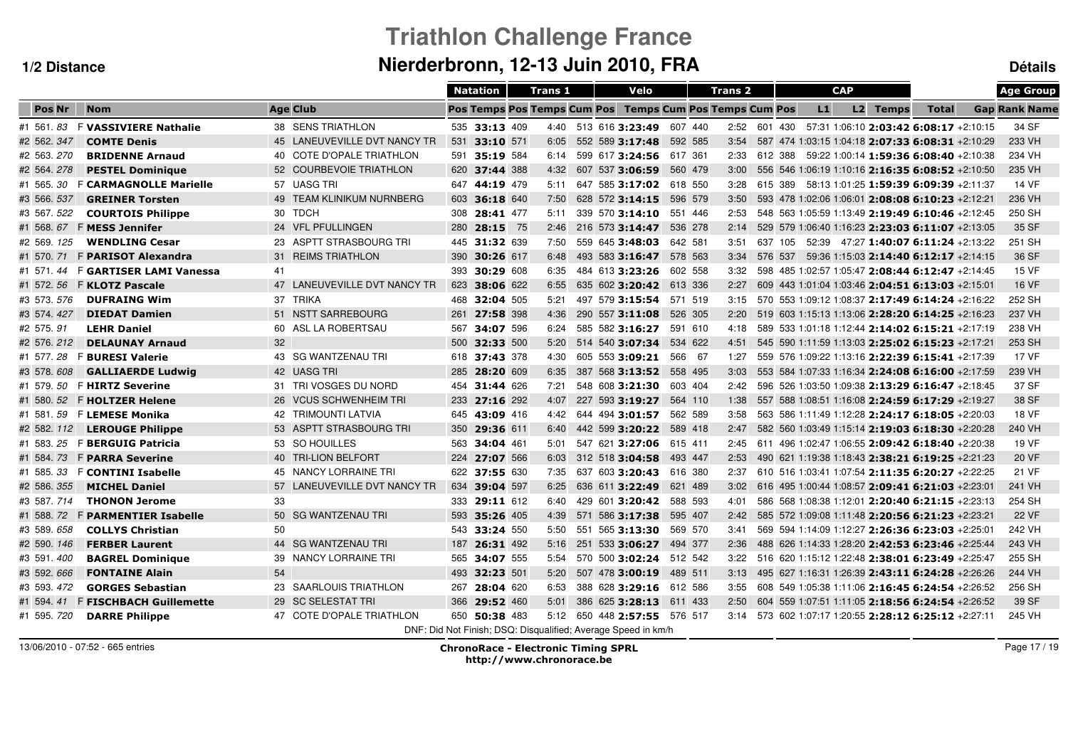# **Triathlon Challenge FranceNierderbronn, 12-13 Juin 2010, FRA Détails**

|                |                                |                              | <b>Natation</b> |           | <b>Trans 1</b>              | Velo                                                          |         | <b>Trans 2</b> |         |    | <b>CAP</b> |          |                                                         | <b>Age Group</b>     |
|----------------|--------------------------------|------------------------------|-----------------|-----------|-----------------------------|---------------------------------------------------------------|---------|----------------|---------|----|------------|----------|---------------------------------------------------------|----------------------|
| <b>Pos Nr</b>  | <b>Nom</b>                     | <b>Age Club</b>              |                 |           | Pos Temps Pos Temps Cum Pos | <b>Temps Cum Pos Temps Cum Pos</b>                            |         |                |         | L1 |            | L2 Temps | <b>Total</b>                                            | <b>Gap Rank Name</b> |
| #1 561 83      | <b>F VASSIVIERE Nathalie</b>   | 38 SENS TRIATHLON            | 535 33:13 409   |           |                             | 4:40 513 616 3:23:49                                          | 607 440 |                |         |    |            |          | 2:52 601 430 57:31 1:06:10 2:03:42 6:08:17 +2:10:15     | 34 SF                |
| #2 562.347     | <b>COMTE Denis</b>             | 45 LANEUVEVILLE DVT NANCY TR | 531 33:10 571   |           | 6:05                        | 552 589 3:17:48                                               | 592 585 | 3:54           |         |    |            |          | 587 474 1:03:15 1:04:18 2:07:33 6:08:31 +2:10:29        | 233 VH               |
| #2 563.270     | <b>BRIDENNE Arnaud</b>         | 40 COTE D'OPALE TRIATHLON    | 591             | 35:19 584 | 6:14                        | 599 617 3:24:56                                               | 617 361 | 2:33           |         |    |            |          | 612 388 59:22 1:00:14 1:59:36 6:08:40 +2:10:38          | 234 VH               |
| #2 564.278     | <b>PESTEL Dominique</b>        | 52 COURBEVOIE TRIATHLON      | 620             | 37:44 388 | 4:32                        | 607 537 3:06:59                                               | 560 479 | 3:00           |         |    |            |          | 556 546 1:06:19 1:10:16 2:16:35 6:08:52 +2:10:50        | 235 VH               |
| #1 565.30      | <b>F CARMAGNOLLE Marielle</b>  | 57 UASG TRI                  | 647             | 44:19 479 | 5:11                        | 647 585 3:17:02                                               | 618 550 | 3:28           |         |    |            |          | 615 389 58:13 1:01:25 1:59:39 6:09:39 +2:11:37          | 14 VF                |
| #3 566. 537    | <b>GREINER Torsten</b>         | 49 TEAM KLINIKUM NURNBERG    | 603             | 36:18 640 | 7:50                        | 628 572 3:14:15                                               | 596 579 | 3:50           |         |    |            |          | 593 478 1:02:06 1:06:01 2:08:08 6:10:23 +2:12:21        | 236 VH               |
| #3 567.522     | <b>COURTOIS Philippe</b>       | 30 TDCH                      | 308             | 28:41 477 | 5:11                        | 339 570 3:14:10                                               | 551 446 | 2:53           |         |    |            |          | 548 563 1:05:59 1:13:49 2:19:49 6:10:46 +2:12:45        | 250 SH               |
| #1 568.67      | <b>F MESS Jennifer</b>         | 24 VFL PFULLINGEN            | 280             | 28:15 75  | 2:46                        | 216 573 3:14:47                                               | 536 278 | 2:14           |         |    |            |          | 529 579 1:06:40 1:16:23 2:23:03 6:11:07 +2:13:05        | 35 SF                |
| #2 569.<br>125 | <b>WENDLING Cesar</b>          | 23 ASPTT STRASBOURG TRI      | 445             | 31:32 639 | 7:50                        | 559 645 3:48:03                                               | 642 581 | 3:51           | 637 105 |    |            |          | 52:39 47:27 1:40:07 6:11:24 +2:13:22                    | 251 SH               |
| #1 570.71      | <b>F PARISOT Alexandra</b>     | 31 REIMS TRIATHLON           | 390             | 30:26 617 | 6:48                        | 493 583 3:16:47                                               | 578 563 | 3:34           | 576 537 |    |            |          | 59:36 1:15:03 2:14:40 6:12:17 +2:14:15                  | 36 SF                |
| #1 571.<br>44  | <b>F GARTISER LAMI Vanessa</b> | 41                           | 393             | 30:29 608 | 6:35                        | 484 613 3:23:26                                               | 602 558 | 3:32           |         |    |            |          | 598 485 1:02:57 1:05:47 2:08:44 6:12:47 +2:14:45        | <b>15 VF</b>         |
| #1 572.56      | <b>F KLOTZ Pascale</b>         | 47 LANEUVEVILLE DVT NANCY TR | 623             | 38:06 622 | 6:55                        | 635 602 3:20:42                                               | 613 336 | 2:27           |         |    |            |          | 609 443 1:01:04 1:03:46 2:04:51 6:13:03 +2:15:01        | 16 VF                |
| #3 573.576     | <b>DUFRAING Wim</b>            | 37 TRIKA                     | 468             | 32:04 505 | 5:21                        | 497 579 3:15:54                                               | 571 519 | 3:15           |         |    |            |          | 570 553 1:09:12 1:08:37 2:17:49 6:14:24 +2:16:22        | 252 SH               |
| #3 574.427     | <b>DIEDAT Damien</b>           | 51 NSTT SARREBOURG           | 261             | 27:58 398 | 4:36                        | 290 557 3:11:08                                               | 526 305 | 2:20           |         |    |            |          | 519 603 1:15:13 1:13:06 2:28:20 6:14:25 +2:16:23        | 237 VH               |
| #2 575.91      | <b>LEHR Daniel</b>             | 60 ASL LA ROBERTSAU          | 567             | 34:07 596 | 6:24                        | 585 582 3:16:27                                               | 591 610 | 4:18           |         |    |            |          | 589 533 1:01:18 1:12:44 2:14:02 6:15:21 +2:17:19        | 238 VH               |
| #2 576.212     | <b>DELAUNAY Arnaud</b>         | 32                           | 500             | 32:33 500 | 5:20                        | 514 540 3:07:34                                               | 534 622 | 4:51           |         |    |            |          | 545 590 1:11:59 1:13:03 2:25:02 6:15:23 +2:17:21        | 253 SH               |
| #1 577.28      | <b>F BURESI Valerie</b>        | 43 SG WANTZENAU TRI          | 618 37:43 378   |           | 4:30                        | 605 553 3:09:21                                               | 566 67  | 1:27           |         |    |            |          | 559 576 1:09:22 1:13:16 2:22:39 6:15:41 +2:17:39        | <b>17 VF</b>         |
| #3 578.608     | <b>GALLIAERDE Ludwig</b>       | 42 UASG TRI                  | 285             | 28:20 609 | 6:35                        | 387 568 3:13:52                                               | 558 495 | 3:03           |         |    |            |          | 553 584 1:07:33 1:16:34 2:24:08 6:16:00 +2:17:59        | 239 VH               |
| #1 579.50      | <b>F HIRTZ Severine</b>        | 31 TRI VOSGES DU NORD        | 454             | 31:44 626 | 7:21                        | 548 608 3:21:30                                               | 603 404 | 2:42           |         |    |            |          | 596 526 1:03:50 1:09:38 2:13:29 6:16:47 +2:18:45        | 37 SF                |
| #1 580. 52     | <b>F HOLTZER Helene</b>        | 26 VCUS SCHWENHEIM TRI       | 233             | 27:16 292 | 4:07                        | 227 593 3:19:27                                               | 564 110 | 1:38           |         |    |            |          | 557 588 1:08:51 1:16:08 2:24:59 6:17:29 +2:19:27        | 38 SF                |
| #1 581.59      | <b>F LEMESE Monika</b>         | <b>42 TRIMOUNTI LATVIA</b>   | 645             | 43:09 416 | 4:42                        | 644 494 3:01:57                                               | 562 589 | 3:58           |         |    |            |          | 563 586 1:11:49 1:12:28 2:24:17 6:18:05 +2:20:03        | 18 VF                |
| #2 582.112     | <b>LEROUGE Philippe</b>        | 53 ASPTT STRASBOURG TRI      | 350             | 29:36 611 | 6:40                        | 442 599 3:20:22                                               | 589 418 | 2:47           |         |    |            |          | 582 560 1:03:49 1:15:14 2:19:03 6:18:30 +2:20:28        | 240 VH               |
| #1 583.25      | <b>F BERGUIG Patricia</b>      | 53 SO HOUILLES               | 563             | 34:04 461 | 5:01                        | 547 621 3:27:06                                               | 615 411 | 2:45           |         |    |            |          | 611 496 1:02:47 1:06:55 2:09:42 6:18:40 +2:20:38        | 19 VF                |
| #1 584, 73     | <b>F PARRA Severine</b>        | 40 TRI-LION BELFORT          | 224             | 27:07 566 | 6:03                        | 312 518 3:04:58                                               | 493 447 | 2:53           |         |    |            |          | 490 621 1:19:38 1:18:43 2:38:21 6:19:25 +2:21:23        | 20 VF                |
| #1 585.<br>33  | <b>F CONTINI Isabelle</b>      | 45 NANCY LORRAINE TRI        | 622             | 37:55 630 | 7:35                        | 637 603 3:20:43                                               | 616 380 | 2:37           |         |    |            |          | 610 516 1:03:41 1:07:54 2:11:35 6:20:27 +2:22:25        | 21 VF                |
| #2 586.355     | <b>MICHEL Daniel</b>           | 57 LANEUVEVILLE DVT NANCY TR | 634             | 39:04 597 | 6:25                        | 636 611 3:22:49                                               | 621 489 | 3:02           |         |    |            |          | 616 495 1:00:44 1:08:57 2:09:41 6:21:03 +2:23:01        | 241 VH               |
| #3 587.714     | <b>THONON Jerome</b>           | 33                           | 333             | 29:11 612 | 6:40                        | 429 601 3:20:42                                               | 588 593 | 4:01           |         |    |            |          | 586 568 1:08:38 1:12:01 2:20:40 6:21:15 +2:23:13        | 254 SH               |
| #1 588.72      | <b>F PARMENTIER Isabelle</b>   | 50 SG WANTZENAU TRI          | 593             | 35:26 405 | 4:39                        | 571 586 3:17:38                                               | 595 407 | 2:42           |         |    |            |          | 585 572 1:09:08 1:11:48 2:20:56 6:21:23 +2:23:21        | <b>22 VF</b>         |
| #3 589.658     | <b>COLLYS Christian</b>        | 50                           | 543             | 33:24 550 | 5:50                        | 551 565 3:13:30                                               | 569 570 | 3:41           |         |    |            |          | 569 594 1:14:09 1:12:27 2:26:36 6:23:03 +2:25:01        | 242 VH               |
| #2 590. 146    | <b>FERBER Laurent</b>          | 44 SG WANTZENAU TRI          | 187             | 26:31 492 | 5:16                        | 251 533 3:06:27                                               | 494 377 | 2:36           |         |    |            |          | 488 626 1:14:33 1:28:20 2:42:53 6:23:46 +2:25:44        | 243 VH               |
| #3 591 400     | <b>BAGREL Dominique</b>        | 39 NANCY LORRAINE TRI        | 565             | 34:07 555 | 5:54                        | 570 500 3:02:24                                               | 512 542 | 3:22           |         |    |            |          | 516 620 1:15:12 1:22:48 2:38:01 6:23:49 +2:25:47        | 255 SH               |
| #3 592.666     | <b>FONTAINE Alain</b>          | 54                           | 493             | 32:23 501 | 5:20                        | 507 478 3:00:19                                               | 489 511 | 3:13           |         |    |            |          | 495 627 1:16:31 1:26:39 2:43:11 6:24:28 +2:26:26        | 244 VH               |
| #3 593.472     | <b>GORGES Sebastian</b>        | 23 SAARLOUIS TRIATHLON       | 267             | 28:04 620 | 6:53                        | 388 628 3:29:16 612 586                                       |         | 3:55           |         |    |            |          | 608 549 1:05:38 1:11:06 2:16:45 6:24:54 +2:26:52        | 256 SH               |
| #1 594.41      | <b>F FISCHBACH Guillemette</b> | 29 SC SELESTAT TRI           | 366             | 29:52 460 | 5:01                        | 386 625 3:28:13 611 433                                       |         | 2:50           |         |    |            |          | 604 559 1:07:51 1:11:05 2:18:56 6:24:54 +2:26:52        | 39 SF                |
| #1 595, 720    | <b>DARRE Philippe</b>          | 47 COTE D'OPALE TRIATHLON    | 650 50:38 483   |           | 5:12                        | 650 448 2:57:55 576 517                                       |         |                |         |    |            |          | $3:14$ 573 602 1:07:17 1:20:55 2:28:12 6:25:12 +2:27:11 | 245 VH               |
|                |                                |                              |                 |           |                             | DNF: Did Not Finish: DSQ: Disqualified: Average Speed in km/h |         |                |         |    |            |          |                                                         |                      |

13/06/2010 - 07:52 - 665 entries

 ChronoRace - Electronic Timing SPRL http://www.chronorace.be

Page 17 / 19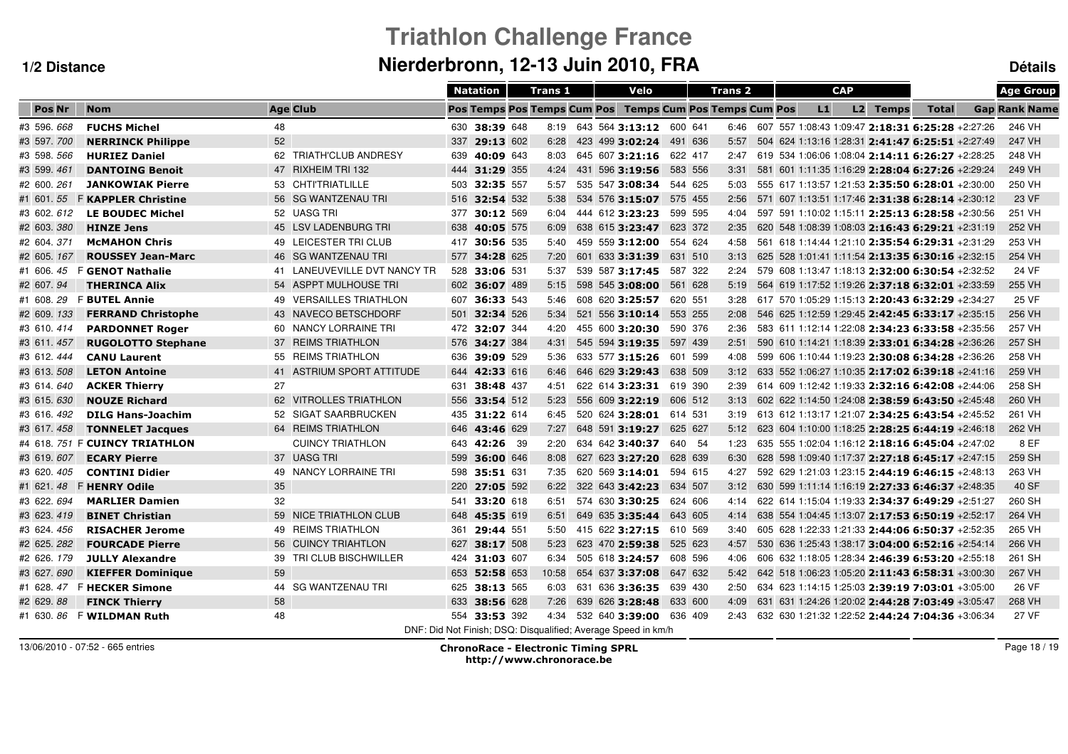# **Triathlon Challenge FranceNierderbronn, 12-13 Juin 2010, FRA Détails**

|             |                                |                              |     | <b>Natation</b> | <b>Trans 1</b> |  | Velo                                                          |         | <b>Trans 2</b> |      |    | <b>CAP</b> |          |                                                       | <b>Age Group</b>     |
|-------------|--------------------------------|------------------------------|-----|-----------------|----------------|--|---------------------------------------------------------------|---------|----------------|------|----|------------|----------|-------------------------------------------------------|----------------------|
| Pos Nr      | <b>Nom</b>                     | <b>Age Club</b>              |     |                 |                |  | Pos Temps Pos Temps Cum Pos Temps Cum Pos Temps Cum Pos       |         |                |      | L1 |            | L2 Temps | <b>Total</b>                                          | <b>Gap Rank Name</b> |
| #3 596.668  | <b>FUCHS Michel</b>            | 48                           |     | 630 38:39 648   |                |  | 8:19 643 564 3:13:12 600 641                                  |         |                |      |    |            |          | 6:46 607 557 1:08:43 1:09:47 2:18:31 6:25:28 +2:27:26 | 246 VH               |
| #3 597.700  | <b>NERRINCK Philippe</b>       | 52                           | 337 | 29:13 602       | 6:28           |  | 423 499 3:02:24                                               | 491 636 |                | 5:57 |    |            |          | 504 624 1:13:16 1:28:31 2:41:47 6:25:51 +2:27:49      | 247 VH               |
| #3 598. 566 | <b>HURIEZ Daniel</b>           | 62 TRIATH'CLUB ANDRESY       | 639 | 40:09 643       | 8:03           |  | 645 607 3:21:16                                               | 622 417 |                | 2:47 |    |            |          | 619 534 1:06:06 1:08:04 2:14:11 6:26:27 +2:28:25      | 248 VH               |
| #3 599.461  | <b>DANTOING Benoit</b>         | 47 RIXHEIM TRI 132           |     | 444 31:29 355   | 4:24           |  | 431 596 3:19:56                                               | 583 556 |                | 3:31 |    |            |          | 581 601 1:11:35 1:16:29 2:28:04 6:27:26 +2:29:24      | 249 VH               |
| #2 600, 261 | <b>JANKOWIAK Pierre</b>        | 53 CHTI'TRIATLILLE           | 503 | 32:35 557       | 5:57           |  | 535 547 3:08:34                                               | 544 625 |                | 5:03 |    |            |          | 555 617 1:13:57 1:21:53 2:35:50 6:28:01 +2:30:00      | 250 VH               |
| #1 601.55   | <b>F KAPPLER Christine</b>     | 56 SG WANTZENAU TRI          |     | 516 32:54 532   | 5:38           |  | 534 576 3:15:07                                               | 575 455 |                | 2:56 |    |            |          | 571 607 1:13:51 1:17:46 2:31:38 6:28:14 +2:30:12      | 23 VF                |
| #3 602. 612 | <b>LE BOUDEC Michel</b>        | 52 UASG TRI                  | 377 | 30:12 569       | 6:04           |  | 444 612 3:23:23                                               | 599 595 |                | 4:04 |    |            |          | 597 591 1:10:02 1:15:11 2:25:13 6:28:58 +2:30:56      | 251 VH               |
| #2 603.380  | <b>HINZE Jens</b>              | 45 LSV LADENBURG TRI         | 638 | 40:05 575       | 6:09           |  | 638 615 3:23:47                                               | 623 372 |                | 2:35 |    |            |          | 620 548 1:08:39 1:08:03 2:16:43 6:29:21 +2:31:19      | 252 VH               |
| #2 604.371  | <b>MCMAHON Chris</b>           | 49 LEICESTER TRI CLUB        | 417 | 30:56 535       | 5:40           |  | 459 559 3:12:00                                               | 554 624 |                | 4:58 |    |            |          | 561 618 1:14:44 1:21:10 2:35:54 6:29:31 +2:31:29      | 253 VH               |
| #2 605.167  | <b>ROUSSEY Jean-Marc</b>       | 46 SG WANTZENAU TRI          | 577 | 34:28 625       | 7:20           |  | 601 633 3:31:39                                               | 631 510 |                | 3:13 |    |            |          | 625 528 1:01:41 1:11:54 2:13:35 6:30:16 +2:32:15      | 254 VH               |
| #1 606.45   | <b>F GENOT Nathalie</b>        | 41 LANEUVEVILLE DVT NANCY TR | 528 | 33:06 531       | 5:37           |  | 539 587 3:17:45                                               | 587 322 |                | 2:24 |    |            |          | 579 608 1:13:47 1:18:13 2:32:00 6:30:54 +2:32:52      | 24 VF                |
| #2 607.94   | <b>THERINCA Alix</b>           | 54 ASPPT MULHOUSE TRI        |     | 602 36:07 489   | 5:15           |  | 598 545 3:08:00                                               | 561 628 |                | 5:19 |    |            |          | 564 619 1:17:52 1:19:26 2:37:18 6:32:01 +2:33:59      | 255 VH               |
| #1 608.29   | <b>F BUTEL Annie</b>           | 49 VERSAILLES TRIATHLON      |     | 607 36:33 543   | 5:46           |  | 608 620 3:25:57                                               | 620 551 |                | 3:28 |    |            |          | 617 570 1:05:29 1:15:13 2:20:43 6:32:29 +2:34:27      | 25 VF                |
| #2 609. 133 | <b>FERRAND Christophe</b>      | 43 NAVECO BETSCHDORF         |     | 501 32:34 526   | 5:34           |  | 521 556 3:10:14                                               | 553 255 |                | 2:08 |    |            |          | 546 625 1:12:59 1:29:45 2:42:45 6:33:17 +2:35:15      | 256 VH               |
| #3 610.414  | <b>PARDONNET Roger</b>         | 60 NANCY LORRAINE TRI        |     | 472 32:07 344   | 4:20           |  | 455 600 3:20:30                                               | 590 376 |                | 2:36 |    |            |          | 583 611 1:12:14 1:22:08 2:34:23 6:33:58 +2:35:56      | 257 VH               |
| #3 611.457  | <b>RUGOLOTTO Stephane</b>      | 37 REIMS TRIATHLON           |     | 576 34:27 384   | 4:31           |  | 545 594 3:19:35 597 439                                       |         |                | 2:51 |    |            |          | 590 610 1:14:21 1:18:39 2:33:01 6:34:28 +2:36:26      | 257 SH               |
| #3 612.444  | <b>CANU Laurent</b>            | 55 REIMS TRIATHLON           |     | 636 39:09 529   | 5:36           |  | 633 577 3:15:26                                               | 601 599 |                | 4:08 |    |            |          | 599 606 1:10:44 1:19:23 2:30:08 6:34:28 +2:36:26      | 258 VH               |
| #3 613, 508 | <b>LETON Antoine</b>           | 41 ASTRIUM SPORT ATTITUDE    |     | 644 42:33 616   | 6:46           |  | 646 629 3:29:43                                               | 638 509 |                | 3:12 |    |            |          | 633 552 1:06:27 1:10:35 2:17:02 6:39:18 +2:41:16      | 259 VH               |
| #3 614.640  | <b>ACKER Thierry</b>           | 27                           | 631 | 38:48 437       | 4:51           |  | 622 614 3:23:31 619 390                                       |         |                | 2:39 |    |            |          | 614 609 1:12:42 1:19:33 2:32:16 6:42:08 +2:44:06      | 258 SH               |
| #3 615.630  | <b>NOUZE Richard</b>           | 62 VITROLLES TRIATHLON       |     | 556 33:54 512   | 5:23           |  | 556 609 3:22:19                                               | 606 512 |                | 3:13 |    |            |          | 602 622 1:14:50 1:24:08 2:38:59 6:43:50 +2:45:48      | 260 VH               |
| #3 616.492  | <b>DILG Hans-Joachim</b>       | 52 SIGAT SAARBRUCKEN         |     | 435 31:22 614   | 6:45           |  | 520 624 3:28:01                                               | 614 531 |                | 3:19 |    |            |          | 613 612 1:13:17 1:21:07 2:34:25 6:43:54 +2:45:52      | 261 VH               |
| #3 617.458  | <b>TONNELET Jacques</b>        | 64 REIMS TRIATHLON           | 646 | 43:46 629       | 7:27           |  | 648 591 3:19:27                                               | 625 627 |                | 5:12 |    |            |          | 623 604 1:10:00 1:18:25 2:28:25 6:44:19 +2:46:18      | 262 VH               |
|             | #4 618. 751 F CUINCY TRIATHLON | <b>CUINCY TRIATHLON</b>      | 643 | 42:26 39        | 2:20           |  | 634 642 3:40:37                                               | 640 54  |                | 1:23 |    |            |          | 635 555 1:02:04 1:16:12 2:18:16 6:45:04 +2:47:02      | 8 EF                 |
| #3 619.607  | <b>ECARY Pierre</b>            | 37 UASG TRI                  | 599 | 36:00 646       | 8:08           |  | 627 623 3:27:20                                               | 628 639 |                | 6:30 |    |            |          | 628 598 1:09:40 1:17:37 2:27:18 6:45:17 +2:47:15      | 259 SH               |
| #3 620.405  | <b>CONTINI Didier</b>          | 49 NANCY LORRAINE TRI        | 598 | 35:51 631       | 7:35           |  | 620 569 3:14:01                                               | 594 615 |                | 4:27 |    |            |          | 592 629 1:21:03 1:23:15 2:44:19 6:46:15 +2:48:13      | 263 VH               |
| #1 621.48   | <b>F HENRY Odile</b>           | 35                           | 220 | 27:05 592       | 6:22           |  | 322 643 3:42:23                                               | 634 507 |                | 3:12 |    |            |          | 630 599 1:11:14 1:16:19 2:27:33 6:46:37 +2:48:35      | 40 SF                |
| #3 622. 694 | <b>MARLIER Damien</b>          | 32                           | 541 | 33:20 618       | 6:51           |  | 574 630 3:30:25                                               | 624 606 |                | 4:14 |    |            |          | 622 614 1:15:04 1:19:33 2:34:37 6:49:29 +2:51:27      | 260 SH               |
| #3 623.419  | <b>BINET Christian</b>         | 59 NICE TRIATHLON CLUB       | 648 | 45:35 619       | 6:51           |  | 649 635 3:35:44                                               | 643 605 |                | 4:14 |    |            |          | 638 554 1:04:45 1:13:07 2:17:53 6:50:19 +2:52:17      | 264 VH               |
| #3 624.456  | <b>RISACHER Jerome</b>         | 49 REIMS TRIATHLON           | 361 | 29:44 551       | 5:50           |  | 415 622 3:27:15                                               | 610 569 |                | 3:40 |    |            |          | 605 628 1:22:33 1:21:33 2:44:06 6:50:37 +2:52:35      | 265 VH               |
| #2 625.282  | <b>FOURCADE Pierre</b>         | 56 CUINCY TRIAHTLON          | 627 | 38:17 508       | 5:23           |  | 623 470 2:59:38                                               | 525 623 |                | 4:57 |    |            |          | 530 636 1:25:43 1:38:17 3:04:00 6:52:16 +2:54:14      | 266 VH               |
| #2 626.179  | <b>JULLY Alexandre</b>         | 39 TRI CLUB BISCHWILLER      | 424 | 31:03 607       | 6:34           |  | 505 618 3:24:57                                               | 608 596 |                | 4:06 |    |            |          | 606 632 1:18:05 1:28:34 2:46:39 6:53:20 +2:55:18      | 261 SH               |
| #3 627.690  | <b>KIEFFER Dominique</b>       | 59                           | 653 | 52:58 653       | 10:58          |  | 654 637 3:37:08                                               | 647 632 |                | 5:42 |    |            |          | 642 518 1:06:23 1:05:20 2:11:43 6:58:31 +3:00:30      | 267 VH               |
| #1 628.47   | <b>F HECKER Simone</b>         | 44 SG WANTZENAU TRI          | 625 | 38:13 565       | 6:03           |  | 631 636 3:36:35                                               | 639 430 |                | 2:50 |    |            |          | 634 623 1:14:15 1:25:03 2:39:19 7:03:01 +3:05:00      | 26 VF                |
| #2 629.88   | <b>FINCK Thierry</b>           | 58                           |     | 633 38:56 628   | 7:26           |  | 639 626 3:28:48                                               | 633 600 |                | 4:09 |    |            |          | 631 631 1:24:26 1:20:02 2:44:28 7:03:49 +3:05:47      | 268 VH               |
|             | #1 630.86 F WILDMAN Ruth       | 48                           |     | 554 33:53 392   | 4:34           |  | 532 640 3:39:00 636 409                                       |         |                | 2:43 |    |            |          | 632 630 1:21:32 1:22:52 2:44:24 7:04:36 +3:06:34      | 27 VF                |
|             |                                |                              |     |                 |                |  | DNF: Did Not Finish; DSQ: Disqualified; Average Speed in km/h |         |                |      |    |            |          |                                                       |                      |

13/06/2010 - 07:52 - 665 entries

 ChronoRace - Electronic Timing SPRL http://www.chronorace.be

Page 18 / 19